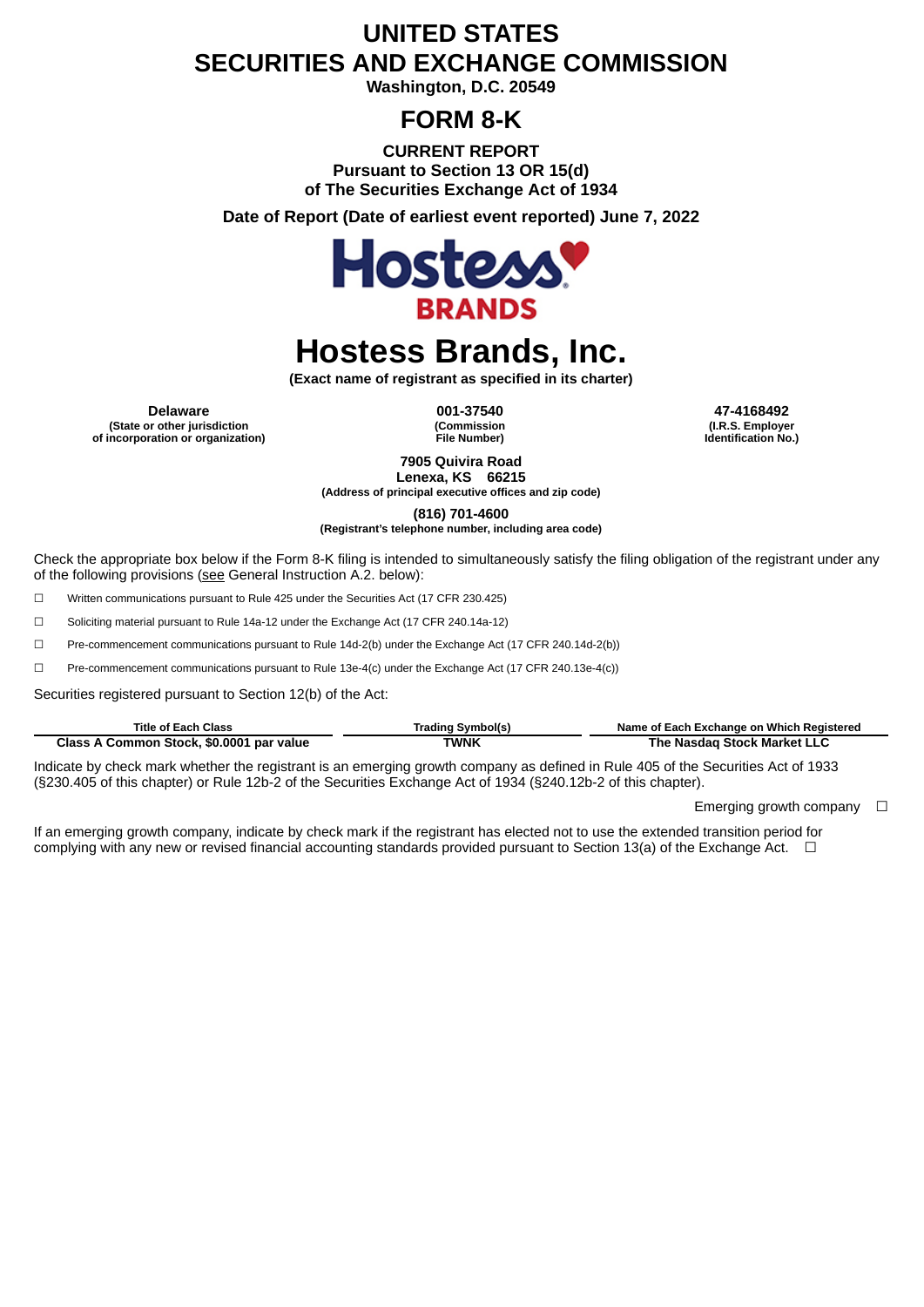# **UNITED STATES SECURITIES AND EXCHANGE COMMISSION**

**Washington, D.C. 20549**

# **FORM 8-K**

**CURRENT REPORT Pursuant to Section 13 OR 15(d) of The Securities Exchange Act of 1934**

**Date of Report (Date of earliest event reported) June 7, 2022**



# **Hostess Brands, Inc.**

**(Exact name of registrant as specified in its charter)**

**Delaware 001-37540 47-4168492 (State or other jurisdiction of incorporation or organization)**

**(Commission File Number)**

**(I.R.S. Employer Identification No.)**

**7905 Quivira Road Lenexa, KS 66215**

**(Address of principal executive offices and zip code)**

**(816) 701-4600**

**(Registrant's telephone number, including area code)**

Check the appropriate box below if the Form 8-K filing is intended to simultaneously satisfy the filing obligation of the registrant under any of the following provisions (see General Instruction A.2. below):

☐ Written communications pursuant to Rule 425 under the Securities Act (17 CFR 230.425)

☐ Soliciting material pursuant to Rule 14a-12 under the Exchange Act (17 CFR 240.14a-12)

☐ Pre-commencement communications pursuant to Rule 14d-2(b) under the Exchange Act (17 CFR 240.14d-2(b))

☐ Pre-commencement communications pursuant to Rule 13e-4(c) under the Exchange Act (17 CFR 240.13e-4(c))

Securities registered pursuant to Section 12(b) of the Act:

| <b>Title of Each Class</b>               | Trading Svmbol(s) | Name of Each Exchange on Which Registered |
|------------------------------------------|-------------------|-------------------------------------------|
| Class A Common Stock, \$0.0001 par value | TWNK              | The Nasdag Stock Market LLC               |

Indicate by check mark whether the registrant is an emerging growth company as defined in Rule 405 of the Securities Act of 1933 (§230.405 of this chapter) or Rule 12b-2 of the Securities Exchange Act of 1934 (§240.12b-2 of this chapter).

Emerging growth company  $\Box$ 

If an emerging growth company, indicate by check mark if the registrant has elected not to use the extended transition period for complying with any new or revised financial accounting standards provided pursuant to Section 13(a) of the Exchange Act.  $\Box$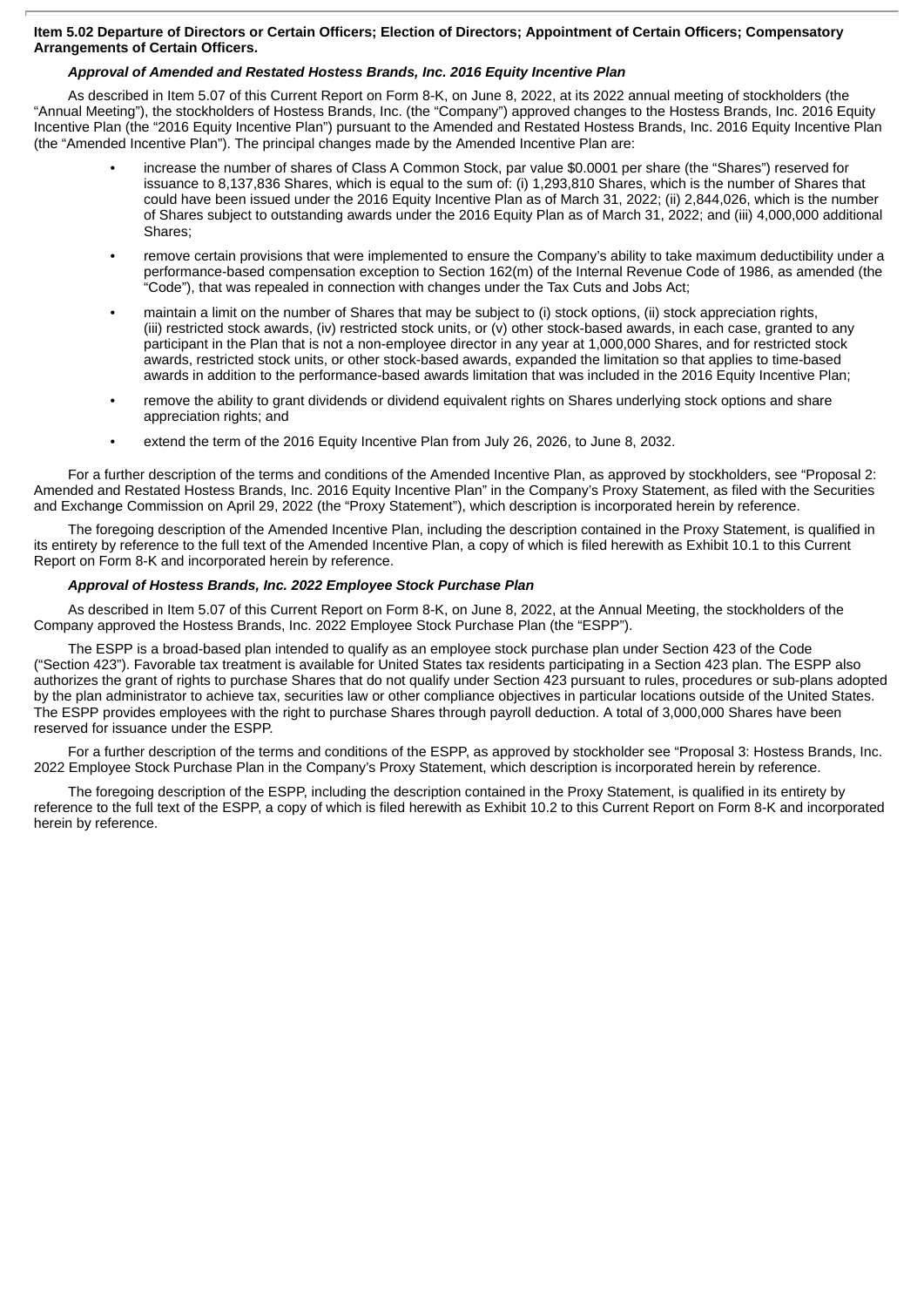# Item 5.02 Departure of Directors or Certain Officers; Election of Directors; Appointment of Certain Officers; Compensatory **Arrangements of Certain Officers.**

# *Approval of Amended and Restated Hostess Brands, Inc. 2016 Equity Incentive Plan*

As described in Item 5.07 of this Current Report on Form 8-K, on June 8, 2022, at its 2022 annual meeting of stockholders (the "Annual Meeting"), the stockholders of Hostess Brands, Inc. (the "Company") approved changes to the Hostess Brands, Inc. 2016 Equity Incentive Plan (the "2016 Equity Incentive Plan") pursuant to the Amended and Restated Hostess Brands, Inc. 2016 Equity Incentive Plan (the "Amended Incentive Plan"). The principal changes made by the Amended Incentive Plan are:

- increase the number of shares of Class A Common Stock, par value \$0.0001 per share (the "Shares") reserved for issuance to 8,137,836 Shares, which is equal to the sum of: (i) 1,293,810 Shares, which is the number of Shares that could have been issued under the 2016 Equity Incentive Plan as of March 31, 2022; (ii) 2,844,026, which is the number of Shares subject to outstanding awards under the 2016 Equity Plan as of March 31, 2022; and (iii) 4,000,000 additional Shares;
- remove certain provisions that were implemented to ensure the Company's ability to take maximum deductibility under a performance-based compensation exception to Section 162(m) of the Internal Revenue Code of 1986, as amended (the "Code"), that was repealed in connection with changes under the Tax Cuts and Jobs Act;
- maintain a limit on the number of Shares that may be subject to (i) stock options, (ii) stock appreciation rights, (iii) restricted stock awards, (iv) restricted stock units, or (v) other stock-based awards, in each case, granted to any participant in the Plan that is not a non-employee director in any year at 1,000,000 Shares, and for restricted stock awards, restricted stock units, or other stock-based awards, expanded the limitation so that applies to time-based awards in addition to the performance-based awards limitation that was included in the 2016 Equity Incentive Plan;
- remove the ability to grant dividends or dividend equivalent rights on Shares underlying stock options and share appreciation rights; and
- extend the term of the 2016 Equity Incentive Plan from July 26, 2026, to June 8, 2032.

For a further description of the terms and conditions of the Amended Incentive Plan, as approved by stockholders, see "Proposal 2: Amended and Restated Hostess Brands, Inc. 2016 Equity Incentive Plan" in the Company's Proxy Statement, as filed with the Securities and Exchange Commission on April 29, 2022 (the "Proxy Statement"), which description is incorporated herein by reference.

The foregoing description of the Amended Incentive Plan, including the description contained in the Proxy Statement, is qualified in its entirety by reference to the full text of the Amended Incentive Plan, a copy of which is filed herewith as Exhibit 10.1 to this Current Report on Form 8-K and incorporated herein by reference.

# *Approval of Hostess Brands, Inc. 2022 Employee Stock Purchase Plan*

As described in Item 5.07 of this Current Report on Form 8-K, on June 8, 2022, at the Annual Meeting, the stockholders of the Company approved the Hostess Brands, Inc. 2022 Employee Stock Purchase Plan (the "ESPP").

The ESPP is a broad-based plan intended to qualify as an employee stock purchase plan under Section 423 of the Code ("Section 423"). Favorable tax treatment is available for United States tax residents participating in a Section 423 plan. The ESPP also authorizes the grant of rights to purchase Shares that do not qualify under Section 423 pursuant to rules, procedures or sub-plans adopted by the plan administrator to achieve tax, securities law or other compliance objectives in particular locations outside of the United States. The ESPP provides employees with the right to purchase Shares through payroll deduction. A total of 3,000,000 Shares have been reserved for issuance under the ESPP.

For a further description of the terms and conditions of the ESPP, as approved by stockholder see "Proposal 3: Hostess Brands, Inc. 2022 Employee Stock Purchase Plan in the Company's Proxy Statement, which description is incorporated herein by reference.

The foregoing description of the ESPP, including the description contained in the Proxy Statement, is qualified in its entirety by reference to the full text of the ESPP, a copy of which is filed herewith as Exhibit 10.2 to this Current Report on Form 8-K and incorporated herein by reference.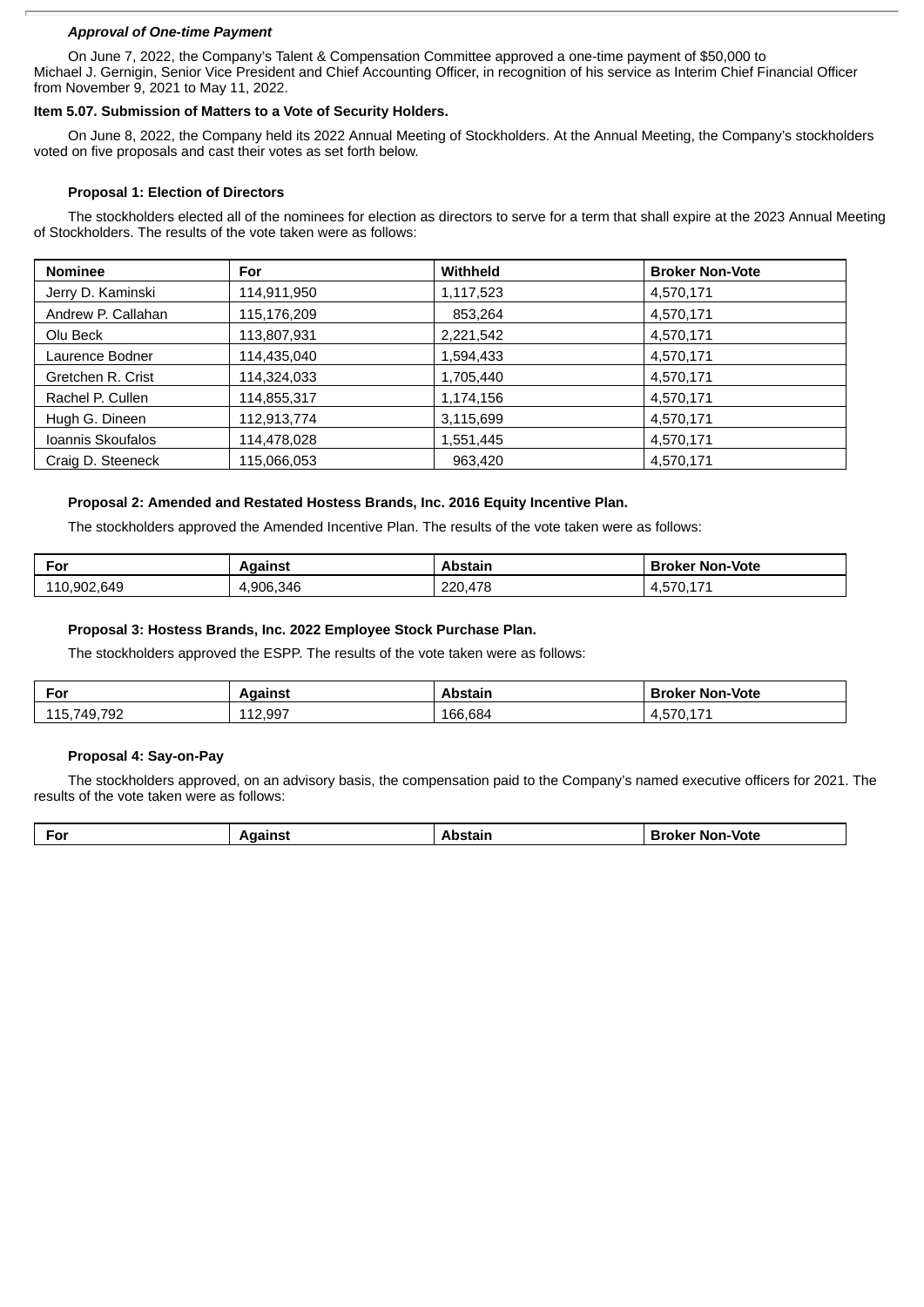# *Approval of One-time Payment*

On June 7, 2022, the Company's Talent & Compensation Committee approved a one-time payment of \$50,000 to Michael J. Gernigin, Senior Vice President and Chief Accounting Officer, in recognition of his service as Interim Chief Financial Officer from November 9, 2021 to May 11, 2022.

# **Item 5.07. Submission of Matters to a Vote of Security Holders.**

On June 8, 2022, the Company held its 2022 Annual Meeting of Stockholders. At the Annual Meeting, the Company's stockholders voted on five proposals and cast their votes as set forth below.

# **Proposal 1: Election of Directors**

The stockholders elected all of the nominees for election as directors to serve for a term that shall expire at the 2023 Annual Meeting of Stockholders. The results of the vote taken were as follows:

| <b>Nominee</b>     | For         | <b>Withheld</b> | <b>Broker Non-Vote</b> |
|--------------------|-------------|-----------------|------------------------|
| Jerry D. Kaminski  | 114,911,950 | 1,117,523       | 4,570,171              |
| Andrew P. Callahan | 115,176,209 | 853,264         | 4,570,171              |
| Olu Beck           | 113,807,931 | 2,221,542       | 4,570,171              |
| Laurence Bodner    | 114,435,040 | 1,594,433       | 4,570,171              |
| Gretchen R. Crist  | 114,324,033 | 1,705,440       | 4,570,171              |
| Rachel P. Cullen   | 114,855,317 | 1,174,156       | 4,570,171              |
| Hugh G. Dineen     | 112,913,774 | 3,115,699       | 4,570,171              |
| Ioannis Skoufalos  | 114,478,028 | 1,551,445       | 4,570,171              |
| Craig D. Steeneck  | 115,066,053 | 963,420         | 4,570,171              |

# **Proposal 2: Amended and Restated Hostess Brands, Inc. 2016 Equity Incentive Plan.**

The stockholders approved the Amended Incentive Plan. The results of the vote taken were as follows:

| ≂or         | Against   | Abstain | <b>Broker Non-Vote</b>                                 |
|-------------|-----------|---------|--------------------------------------------------------|
| 110,902,649 | 1.906.346 | 220.478 | $\rightarrow$ $\rightarrow$ $\rightarrow$<br>4.5/0.1/1 |

# **Proposal 3: Hostess Brands, Inc. 2022 Employee Stock Purchase Plan.**

The stockholders approved the ESPP. The results of the vote taken were as follows:

| For             | Against                  | <b>\bstair</b> | <b>Broker Non-Vote</b>                                                                        |
|-----------------|--------------------------|----------------|-----------------------------------------------------------------------------------------------|
| .749.792<br>115 | 12 997<br><b>116.991</b> | 166,684        | $\rightarrow$ $\rightarrow$ $\rightarrow$<br>$\overline{\phantom{a}}$<br>-<br>ᅮ,◡ , ◡ , ㅗ , ㅗ |

# **Proposal 4: Say-on-Pay**

The stockholders approved, on an advisory basis, the compensation paid to the Company's named executive officers for 2021. The results of the vote taken were as follows:

| <b>Non-Vote</b><br>$\sim$<br>−…<br>rokr<br>ы.<br>υ<br>-- |
|----------------------------------------------------------|
|----------------------------------------------------------|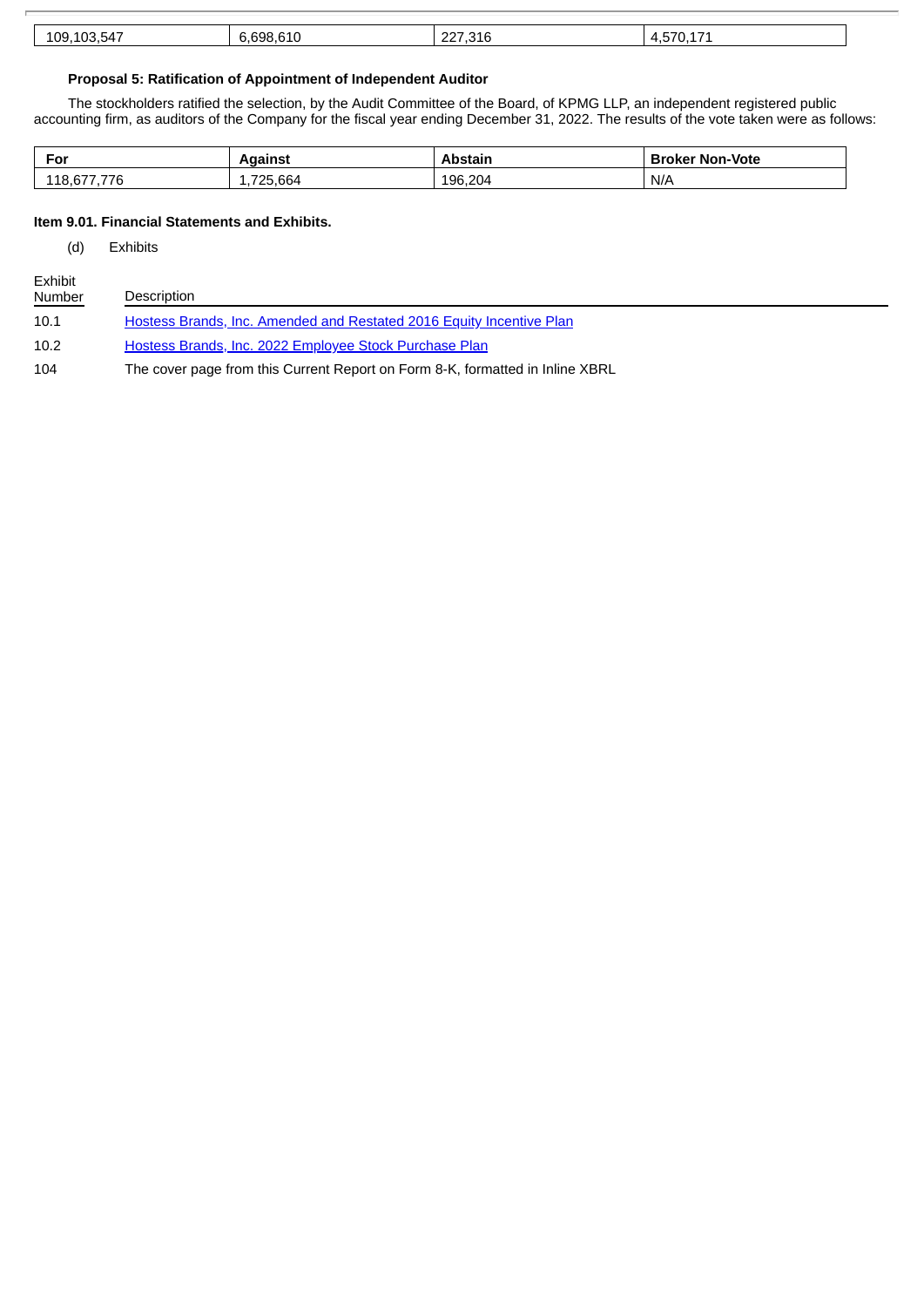| $ -$<br>109.<br>۵۶،<br>∽⊿<br>-- | <b>CA.</b><br>coo<br>$\sim$<br>אטר<br>. . | $\sim$<br>$-1$<br>-- |  |
|---------------------------------|-------------------------------------------|----------------------|--|
|---------------------------------|-------------------------------------------|----------------------|--|

# **Proposal 5: Ratification of Appointment of Independent Auditor**

The stockholders ratified the selection, by the Audit Committee of the Board, of KPMG LLP, an independent registered public accounting firm, as auditors of the Company for the fiscal year ending December 31, 2022. The results of the vote taken were as follows:

| For                     | Aɑaınst | Abstain | <b>Broker Non-Vote</b> |
|-------------------------|---------|---------|------------------------|
| $- - -$<br>118,67<br>76 | 725,664 | 196,204 | N/A                    |

# **Item 9.01. Financial Statements and Exhibits.**

(d) Exhibits

| Exhibit<br><b>Number</b> | Description                                                                   |
|--------------------------|-------------------------------------------------------------------------------|
| 10.1                     | Hostess Brands, Inc. Amended and Restated 2016 Equity Incentive Plan          |
| 10.2                     | Hostess Brands, Inc. 2022 Employee Stock Purchase Plan                        |
| 104                      | The cover page from this Current Report on Form 8-K, formatted in Inline XBRL |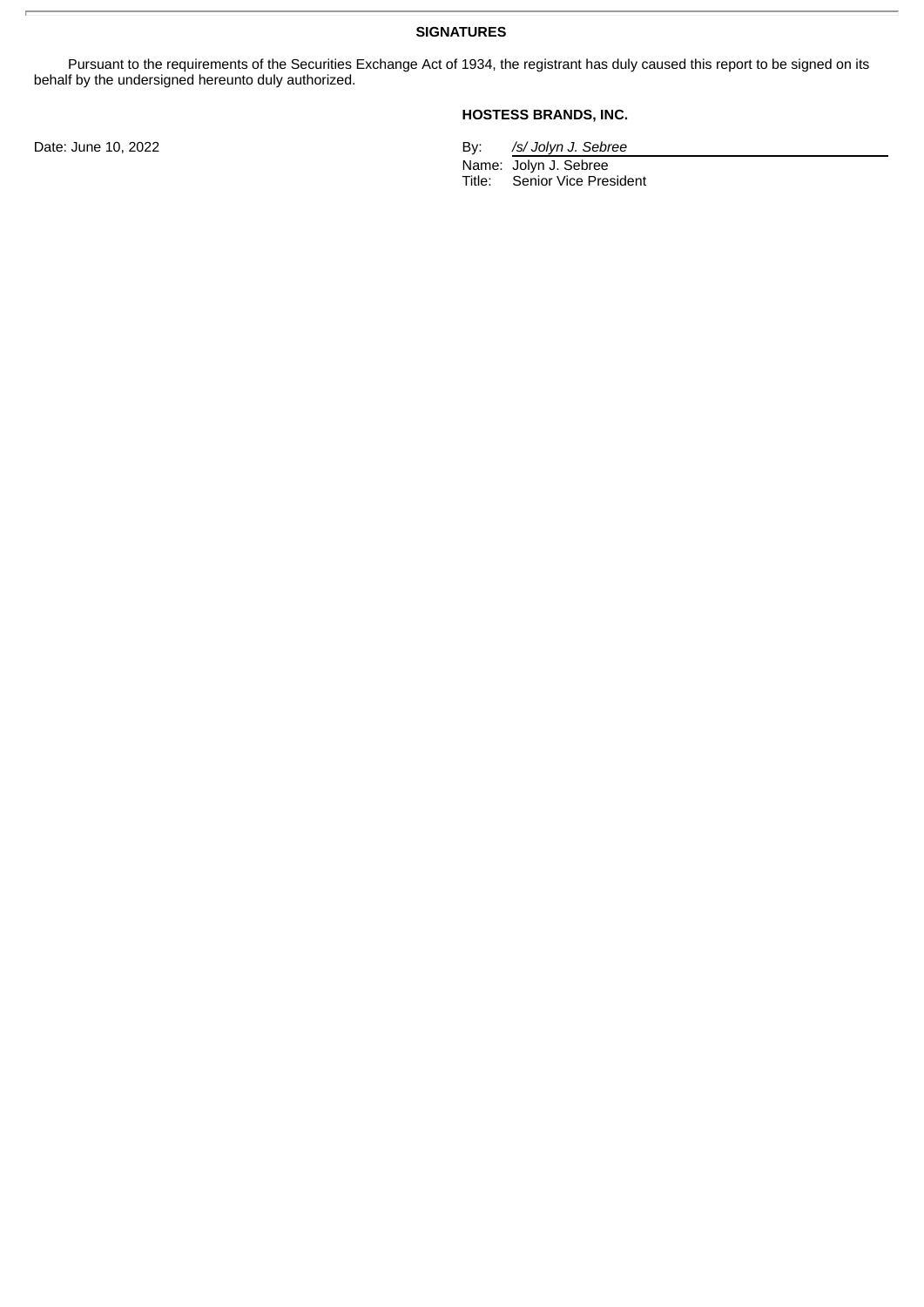**SIGNATURES**

Pursuant to the requirements of the Securities Exchange Act of 1934, the registrant has duly caused this report to be signed on its behalf by the undersigned hereunto duly authorized.

# **HOSTESS BRANDS, INC.**

Date: June 10, 2022 By: */s/ Jolyn J. Sebree*

Name: Jolyn J. Sebree Title: Senior Vice President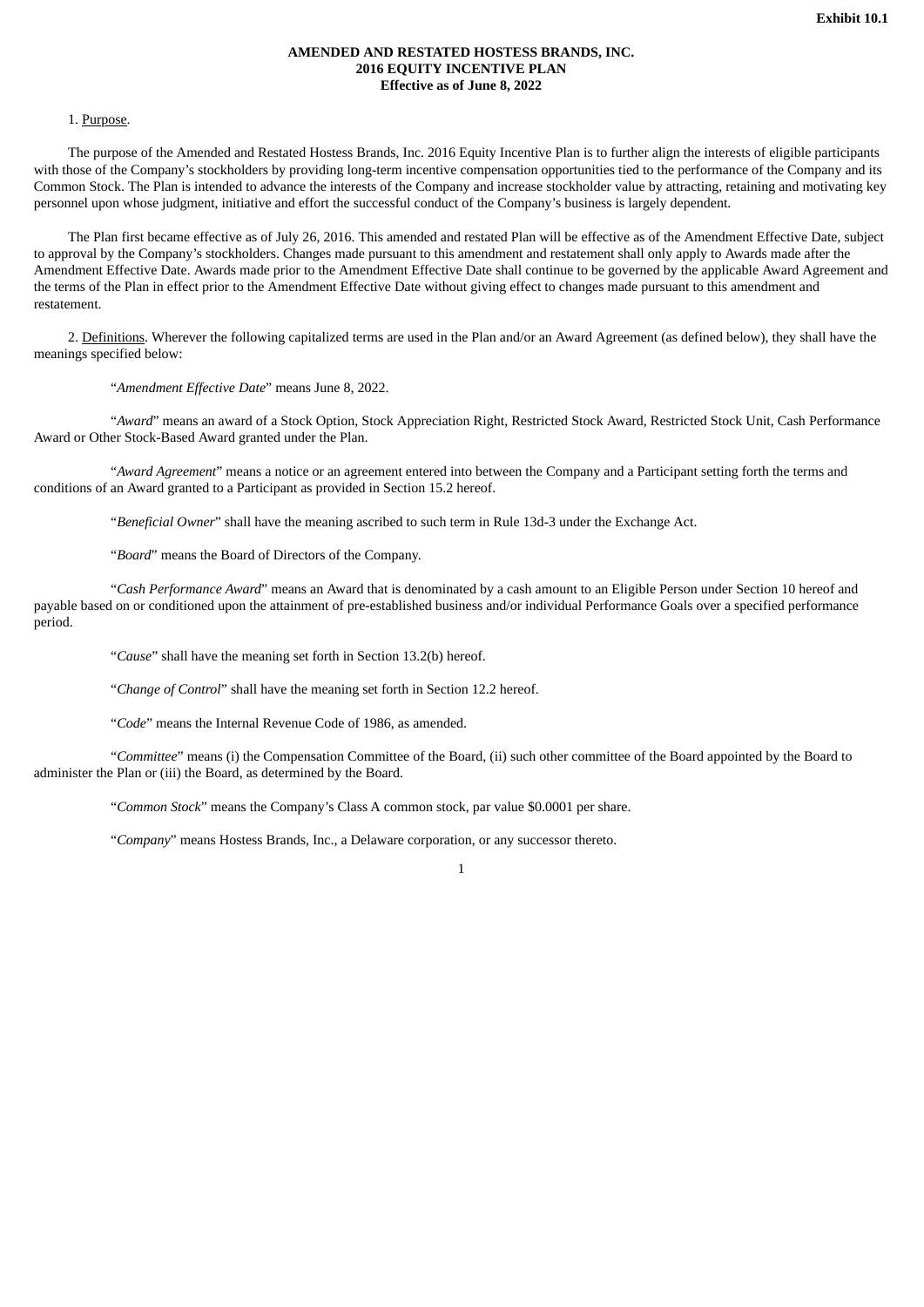# **AMENDED AND RESTATED HOSTESS BRANDS, INC. 2016 EQUITY INCENTIVE PLAN Effective as of June 8, 2022**

#### <span id="page-5-0"></span>1. Purpose.

The purpose of the Amended and Restated Hostess Brands, Inc. 2016 Equity Incentive Plan is to further align the interests of eligible participants with those of the Company's stockholders by providing long-term incentive compensation opportunities tied to the performance of the Company and its Common Stock. The Plan is intended to advance the interests of the Company and increase stockholder value by attracting, retaining and motivating key personnel upon whose judgment, initiative and effort the successful conduct of the Company's business is largely dependent.

The Plan first became effective as of July 26, 2016. This amended and restated Plan will be effective as of the Amendment Effective Date, subject to approval by the Company's stockholders. Changes made pursuant to this amendment and restatement shall only apply to Awards made after the Amendment Effective Date. Awards made prior to the Amendment Effective Date shall continue to be governed by the applicable Award Agreement and the terms of the Plan in effect prior to the Amendment Effective Date without giving effect to changes made pursuant to this amendment and restatement.

2. Definitions. Wherever the following capitalized terms are used in the Plan and/or an Award Agreement (as defined below), they shall have the meanings specified below:

"*Amendment Effective Date*" means June 8, 2022.

"*Award*" means an award of a Stock Option, Stock Appreciation Right, Restricted Stock Award, Restricted Stock Unit, Cash Performance Award or Other Stock-Based Award granted under the Plan.

"*Award Agreement*" means a notice or an agreement entered into between the Company and a Participant setting forth the terms and conditions of an Award granted to a Participant as provided in Section 15.2 hereof.

"*Beneficial Owner*" shall have the meaning ascribed to such term in Rule 13d-3 under the Exchange Act.

"*Board*" means the Board of Directors of the Company.

"*Cash Performance Award*" means an Award that is denominated by a cash amount to an Eligible Person under Section 10 hereof and payable based on or conditioned upon the attainment of pre-established business and/or individual Performance Goals over a specified performance period.

"*Cause*" shall have the meaning set forth in Section 13.2(b) hereof.

"*Change of Control*" shall have the meaning set forth in Section 12.2 hereof.

"*Code*" means the Internal Revenue Code of 1986, as amended.

"*Committee*" means (i) the Compensation Committee of the Board, (ii) such other committee of the Board appointed by the Board to administer the Plan or (iii) the Board, as determined by the Board.

"*Common Stock*" means the Company's Class A common stock, par value \$0.0001 per share.

"*Company*" means Hostess Brands, Inc., a Delaware corporation, or any successor thereto.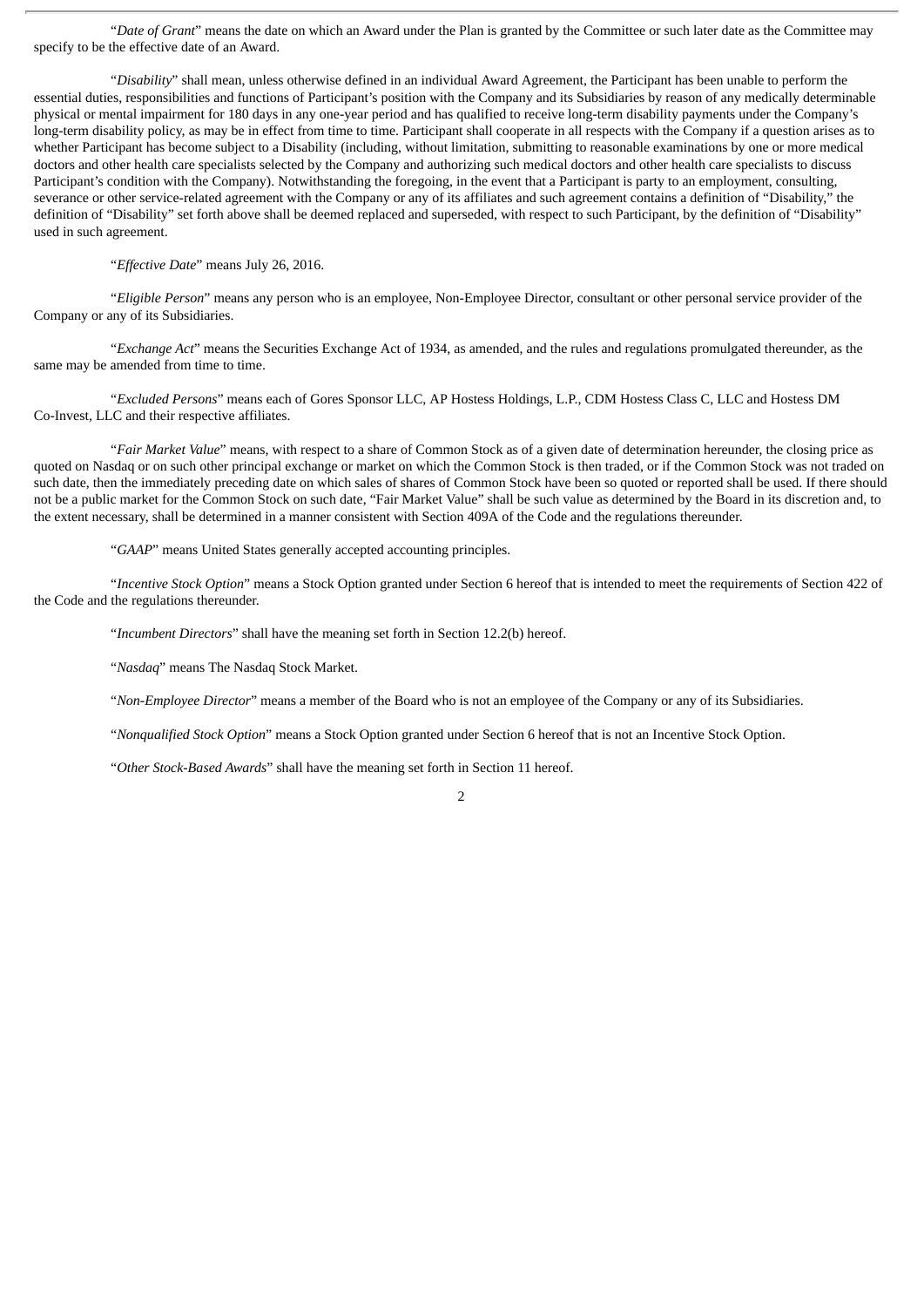"*Date of Grant*" means the date on which an Award under the Plan is granted by the Committee or such later date as the Committee may specify to be the effective date of an Award.

"*Disability*" shall mean, unless otherwise defined in an individual Award Agreement, the Participant has been unable to perform the essential duties, responsibilities and functions of Participant's position with the Company and its Subsidiaries by reason of any medically determinable physical or mental impairment for 180 days in any one-year period and has qualified to receive long-term disability payments under the Company's long-term disability policy, as may be in effect from time to time. Participant shall cooperate in all respects with the Company if a question arises as to whether Participant has become subject to a Disability (including, without limitation, submitting to reasonable examinations by one or more medical doctors and other health care specialists selected by the Company and authorizing such medical doctors and other health care specialists to discuss Participant's condition with the Company). Notwithstanding the foregoing, in the event that a Participant is party to an employment, consulting, severance or other service-related agreement with the Company or any of its affiliates and such agreement contains a definition of "Disability," the definition of "Disability" set forth above shall be deemed replaced and superseded, with respect to such Participant, by the definition of "Disability" used in such agreement.

"*Effective Date*" means July 26, 2016.

"*Eligible Person*" means any person who is an employee, Non-Employee Director, consultant or other personal service provider of the Company or any of its Subsidiaries.

"*Exchange Act*" means the Securities Exchange Act of 1934, as amended, and the rules and regulations promulgated thereunder, as the same may be amended from time to time.

"*Excluded Persons*" means each of Gores Sponsor LLC, AP Hostess Holdings, L.P., CDM Hostess Class C, LLC and Hostess DM Co-Invest, LLC and their respective affiliates.

"*Fair Market Value*" means, with respect to a share of Common Stock as of a given date of determination hereunder, the closing price as quoted on Nasdaq or on such other principal exchange or market on which the Common Stock is then traded, or if the Common Stock was not traded on such date, then the immediately preceding date on which sales of shares of Common Stock have been so quoted or reported shall be used. If there should not be a public market for the Common Stock on such date, "Fair Market Value" shall be such value as determined by the Board in its discretion and, to the extent necessary, shall be determined in a manner consistent with Section 409A of the Code and the regulations thereunder.

"*GAAP*" means United States generally accepted accounting principles.

"*Incentive Stock Option*" means a Stock Option granted under Section 6 hereof that is intended to meet the requirements of Section 422 of the Code and the regulations thereunder.

"*Incumbent Directors*" shall have the meaning set forth in Section 12.2(b) hereof.

"*Nasdaq*" means The Nasdaq Stock Market.

"*Non-Employee Director*" means a member of the Board who is not an employee of the Company or any of its Subsidiaries.

2

"*Nonqualified Stock Option*" means a Stock Option granted under Section 6 hereof that is not an Incentive Stock Option.

"*Other Stock-Based Awards*" shall have the meaning set forth in Section 11 hereof.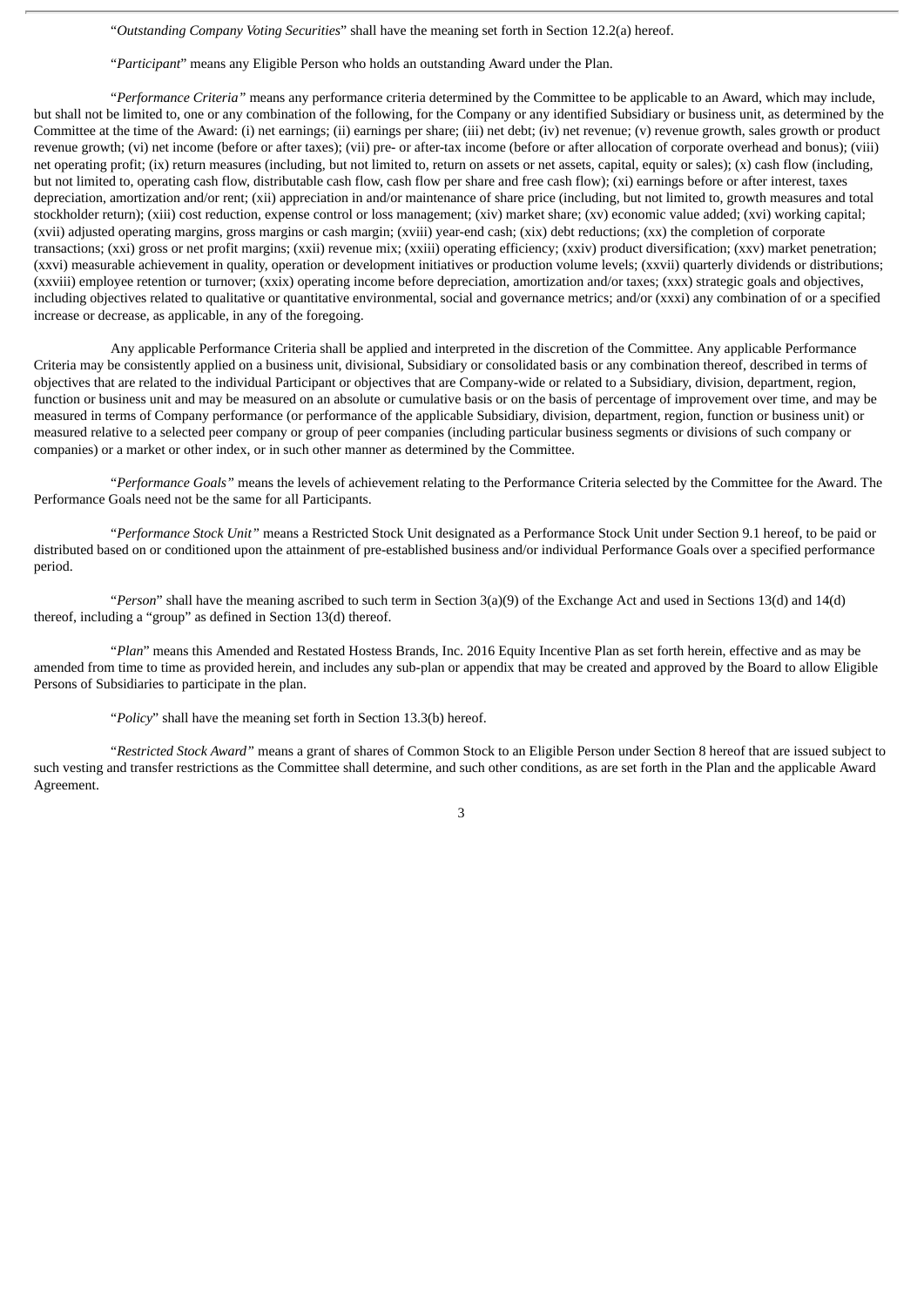"*Outstanding Company Voting Securities*" shall have the meaning set forth in Section 12.2(a) hereof.

"*Participant*" means any Eligible Person who holds an outstanding Award under the Plan.

"*Performance Criteria"* means any performance criteria determined by the Committee to be applicable to an Award, which may include, but shall not be limited to, one or any combination of the following, for the Company or any identified Subsidiary or business unit, as determined by the Committee at the time of the Award: (i) net earnings; (ii) earnings per share; (iii) net debt; (iv) net revenue; (v) revenue growth, sales growth or product revenue growth; (vi) net income (before or after taxes); (vii) pre- or after-tax income (before or after allocation of corporate overhead and bonus); (viii) net operating profit; (ix) return measures (including, but not limited to, return on assets or net assets, capital, equity or sales); (x) cash flow (including, but not limited to, operating cash flow, distributable cash flow, cash flow per share and free cash flow); (xi) earnings before or after interest, taxes depreciation, amortization and/or rent; (xii) appreciation in and/or maintenance of share price (including, but not limited to, growth measures and total stockholder return); (xiii) cost reduction, expense control or loss management; (xiv) market share; (xv) economic value added; (xvi) working capital; (xvii) adjusted operating margins, gross margins or cash margin; (xviii) year-end cash; (xix) debt reductions; (xx) the completion of corporate transactions; (xxi) gross or net profit margins; (xxii) revenue mix; (xxiii) operating efficiency; (xxiv) product diversification; (xxv) market penetration; (xxvi) measurable achievement in quality, operation or development initiatives or production volume levels; (xxvii) quarterly dividends or distributions; (xxviii) employee retention or turnover; (xxix) operating income before depreciation, amortization and/or taxes; (xxx) strategic goals and objectives, including objectives related to qualitative or quantitative environmental, social and governance metrics; and/or (xxxi) any combination of or a specified increase or decrease, as applicable, in any of the foregoing.

Any applicable Performance Criteria shall be applied and interpreted in the discretion of the Committee. Any applicable Performance Criteria may be consistently applied on a business unit, divisional, Subsidiary or consolidated basis or any combination thereof, described in terms of objectives that are related to the individual Participant or objectives that are Company-wide or related to a Subsidiary, division, department, region, function or business unit and may be measured on an absolute or cumulative basis or on the basis of percentage of improvement over time, and may be measured in terms of Company performance (or performance of the applicable Subsidiary, division, department, region, function or business unit) or measured relative to a selected peer company or group of peer companies (including particular business segments or divisions of such company or companies) or a market or other index, or in such other manner as determined by the Committee.

"*Performance Goals"* means the levels of achievement relating to the Performance Criteria selected by the Committee for the Award. The Performance Goals need not be the same for all Participants.

"*Performance Stock Unit"* means a Restricted Stock Unit designated as a Performance Stock Unit under Section 9.1 hereof, to be paid or distributed based on or conditioned upon the attainment of pre-established business and/or individual Performance Goals over a specified performance period.

"*Person*" shall have the meaning ascribed to such term in Section 3(a)(9) of the Exchange Act and used in Sections 13(d) and 14(d) thereof, including a "group" as defined in Section 13(d) thereof.

"*Plan*" means this Amended and Restated Hostess Brands, Inc. 2016 Equity Incentive Plan as set forth herein, effective and as may be amended from time to time as provided herein, and includes any sub-plan or appendix that may be created and approved by the Board to allow Eligible Persons of Subsidiaries to participate in the plan.

"*Policy*" shall have the meaning set forth in Section 13.3(b) hereof.

"*Restricted Stock Award"* means a grant of shares of Common Stock to an Eligible Person under Section 8 hereof that are issued subject to such vesting and transfer restrictions as the Committee shall determine, and such other conditions, as are set forth in the Plan and the applicable Award Agreement.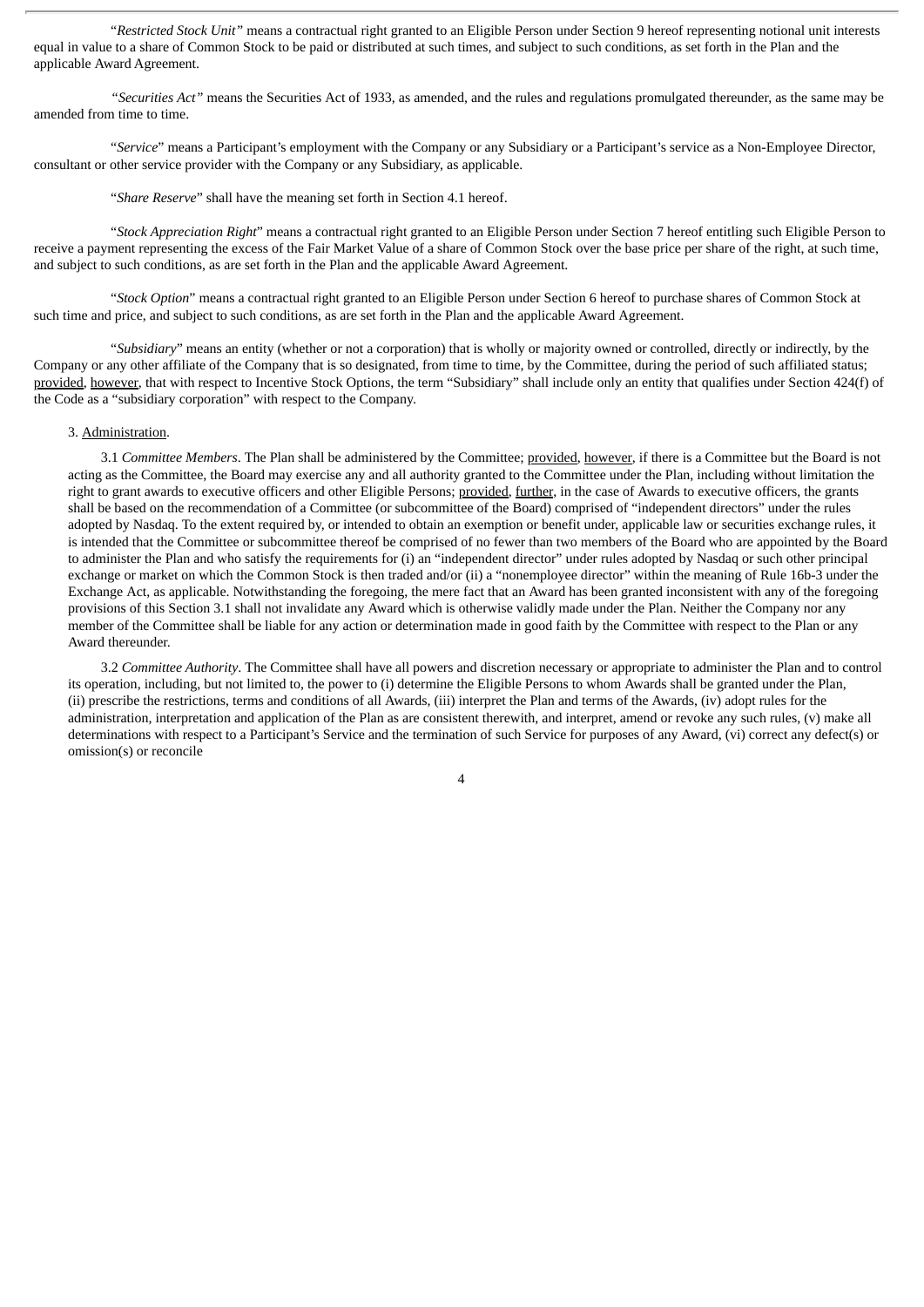"*Restricted Stock Unit"* means a contractual right granted to an Eligible Person under Section 9 hereof representing notional unit interests equal in value to a share of Common Stock to be paid or distributed at such times, and subject to such conditions, as set forth in the Plan and the applicable Award Agreement.

*"Securities Act"* means the Securities Act of 1933, as amended, and the rules and regulations promulgated thereunder, as the same may be amended from time to time.

"*Service*" means a Participant's employment with the Company or any Subsidiary or a Participant's service as a Non-Employee Director, consultant or other service provider with the Company or any Subsidiary, as applicable.

"*Share Reserve*" shall have the meaning set forth in Section 4.1 hereof.

"*Stock Appreciation Right*" means a contractual right granted to an Eligible Person under Section 7 hereof entitling such Eligible Person to receive a payment representing the excess of the Fair Market Value of a share of Common Stock over the base price per share of the right, at such time, and subject to such conditions, as are set forth in the Plan and the applicable Award Agreement.

"*Stock Option*" means a contractual right granted to an Eligible Person under Section 6 hereof to purchase shares of Common Stock at such time and price, and subject to such conditions, as are set forth in the Plan and the applicable Award Agreement.

"*Subsidiary*" means an entity (whether or not a corporation) that is wholly or majority owned or controlled, directly or indirectly, by the Company or any other affiliate of the Company that is so designated, from time to time, by the Committee, during the period of such affiliated status; provided, however, that with respect to Incentive Stock Options, the term "Subsidiary" shall include only an entity that qualifies under Section 424(f) of the Code as a "subsidiary corporation" with respect to the Company.

# 3. Administration.

3.1 *Committee Members*. The Plan shall be administered by the Committee; provided, however, if there is a Committee but the Board is not acting as the Committee, the Board may exercise any and all authority granted to the Committee under the Plan, including without limitation the right to grant awards to executive officers and other Eligible Persons; provided, further, in the case of Awards to executive officers, the grants shall be based on the recommendation of a Committee (or subcommittee of the Board) comprised of "independent directors" under the rules adopted by Nasdaq. To the extent required by, or intended to obtain an exemption or benefit under, applicable law or securities exchange rules, it is intended that the Committee or subcommittee thereof be comprised of no fewer than two members of the Board who are appointed by the Board to administer the Plan and who satisfy the requirements for (i) an "independent director" under rules adopted by Nasdaq or such other principal exchange or market on which the Common Stock is then traded and/or (ii) a "nonemployee director" within the meaning of Rule 16b-3 under the Exchange Act, as applicable. Notwithstanding the foregoing, the mere fact that an Award has been granted inconsistent with any of the foregoing provisions of this Section 3.1 shall not invalidate any Award which is otherwise validly made under the Plan. Neither the Company nor any member of the Committee shall be liable for any action or determination made in good faith by the Committee with respect to the Plan or any Award thereunder.

3.2 *Committee Authority*. The Committee shall have all powers and discretion necessary or appropriate to administer the Plan and to control its operation, including, but not limited to, the power to (i) determine the Eligible Persons to whom Awards shall be granted under the Plan, (ii) prescribe the restrictions, terms and conditions of all Awards, (iii) interpret the Plan and terms of the Awards, (iv) adopt rules for the administration, interpretation and application of the Plan as are consistent therewith, and interpret, amend or revoke any such rules, (v) make all determinations with respect to a Participant's Service and the termination of such Service for purposes of any Award, (vi) correct any defect(s) or omission(s) or reconcile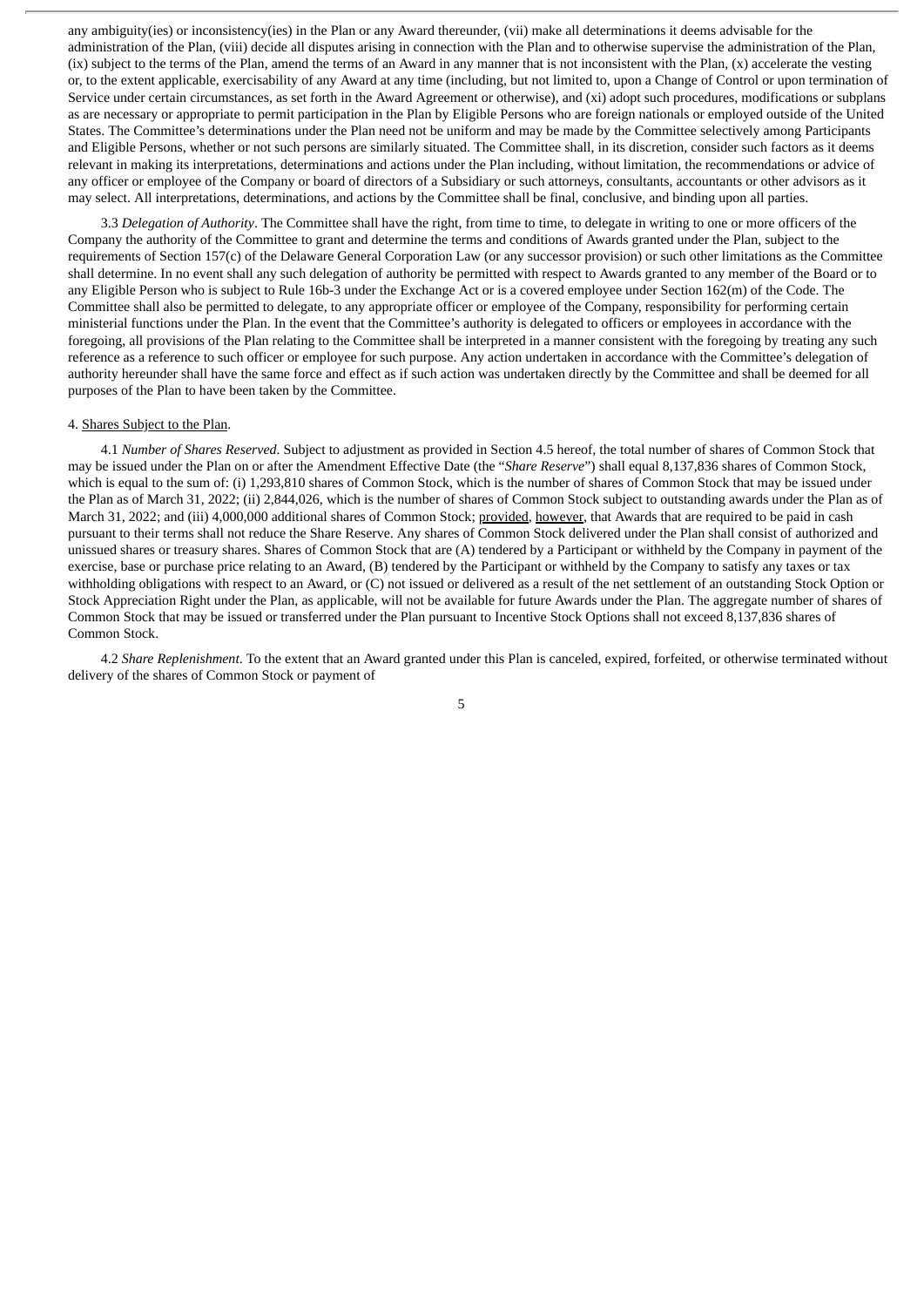any ambiguity(ies) or inconsistency(ies) in the Plan or any Award thereunder, (vii) make all determinations it deems advisable for the administration of the Plan, (viii) decide all disputes arising in connection with the Plan and to otherwise supervise the administration of the Plan, (ix) subject to the terms of the Plan, amend the terms of an Award in any manner that is not inconsistent with the Plan, (x) accelerate the vesting or, to the extent applicable, exercisability of any Award at any time (including, but not limited to, upon a Change of Control or upon termination of Service under certain circumstances, as set forth in the Award Agreement or otherwise), and (xi) adopt such procedures, modifications or subplans as are necessary or appropriate to permit participation in the Plan by Eligible Persons who are foreign nationals or employed outside of the United States. The Committee's determinations under the Plan need not be uniform and may be made by the Committee selectively among Participants and Eligible Persons, whether or not such persons are similarly situated. The Committee shall, in its discretion, consider such factors as it deems relevant in making its interpretations, determinations and actions under the Plan including, without limitation, the recommendations or advice of any officer or employee of the Company or board of directors of a Subsidiary or such attorneys, consultants, accountants or other advisors as it may select. All interpretations, determinations, and actions by the Committee shall be final, conclusive, and binding upon all parties.

3.3 *Delegation of Authority*. The Committee shall have the right, from time to time, to delegate in writing to one or more officers of the Company the authority of the Committee to grant and determine the terms and conditions of Awards granted under the Plan, subject to the requirements of Section 157(c) of the Delaware General Corporation Law (or any successor provision) or such other limitations as the Committee shall determine. In no event shall any such delegation of authority be permitted with respect to Awards granted to any member of the Board or to any Eligible Person who is subject to Rule 16b-3 under the Exchange Act or is a covered employee under Section 162(m) of the Code. The Committee shall also be permitted to delegate, to any appropriate officer or employee of the Company, responsibility for performing certain ministerial functions under the Plan. In the event that the Committee's authority is delegated to officers or employees in accordance with the foregoing, all provisions of the Plan relating to the Committee shall be interpreted in a manner consistent with the foregoing by treating any such reference as a reference to such officer or employee for such purpose. Any action undertaken in accordance with the Committee's delegation of authority hereunder shall have the same force and effect as if such action was undertaken directly by the Committee and shall be deemed for all purposes of the Plan to have been taken by the Committee.

#### 4. Shares Subject to the Plan.

4.1 *Number of Shares Reserved*. Subject to adjustment as provided in Section 4.5 hereof, the total number of shares of Common Stock that may be issued under the Plan on or after the Amendment Effective Date (the "*Share Reserve*") shall equal 8,137,836 shares of Common Stock, which is equal to the sum of: (i) 1,293,810 shares of Common Stock, which is the number of shares of Common Stock that may be issued under the Plan as of March 31, 2022; (ii) 2,844,026, which is the number of shares of Common Stock subject to outstanding awards under the Plan as of March 31, 2022; and (iii) 4,000,000 additional shares of Common Stock; provided, however, that Awards that are required to be paid in cash pursuant to their terms shall not reduce the Share Reserve. Any shares of Common Stock delivered under the Plan shall consist of authorized and unissued shares or treasury shares. Shares of Common Stock that are (A) tendered by a Participant or withheld by the Company in payment of the exercise, base or purchase price relating to an Award, (B) tendered by the Participant or withheld by the Company to satisfy any taxes or tax withholding obligations with respect to an Award, or (C) not issued or delivered as a result of the net settlement of an outstanding Stock Option or Stock Appreciation Right under the Plan, as applicable, will not be available for future Awards under the Plan. The aggregate number of shares of Common Stock that may be issued or transferred under the Plan pursuant to Incentive Stock Options shall not exceed 8,137,836 shares of Common Stock.

4.2 *Share Replenishment*. To the extent that an Award granted under this Plan is canceled, expired, forfeited, or otherwise terminated without delivery of the shares of Common Stock or payment of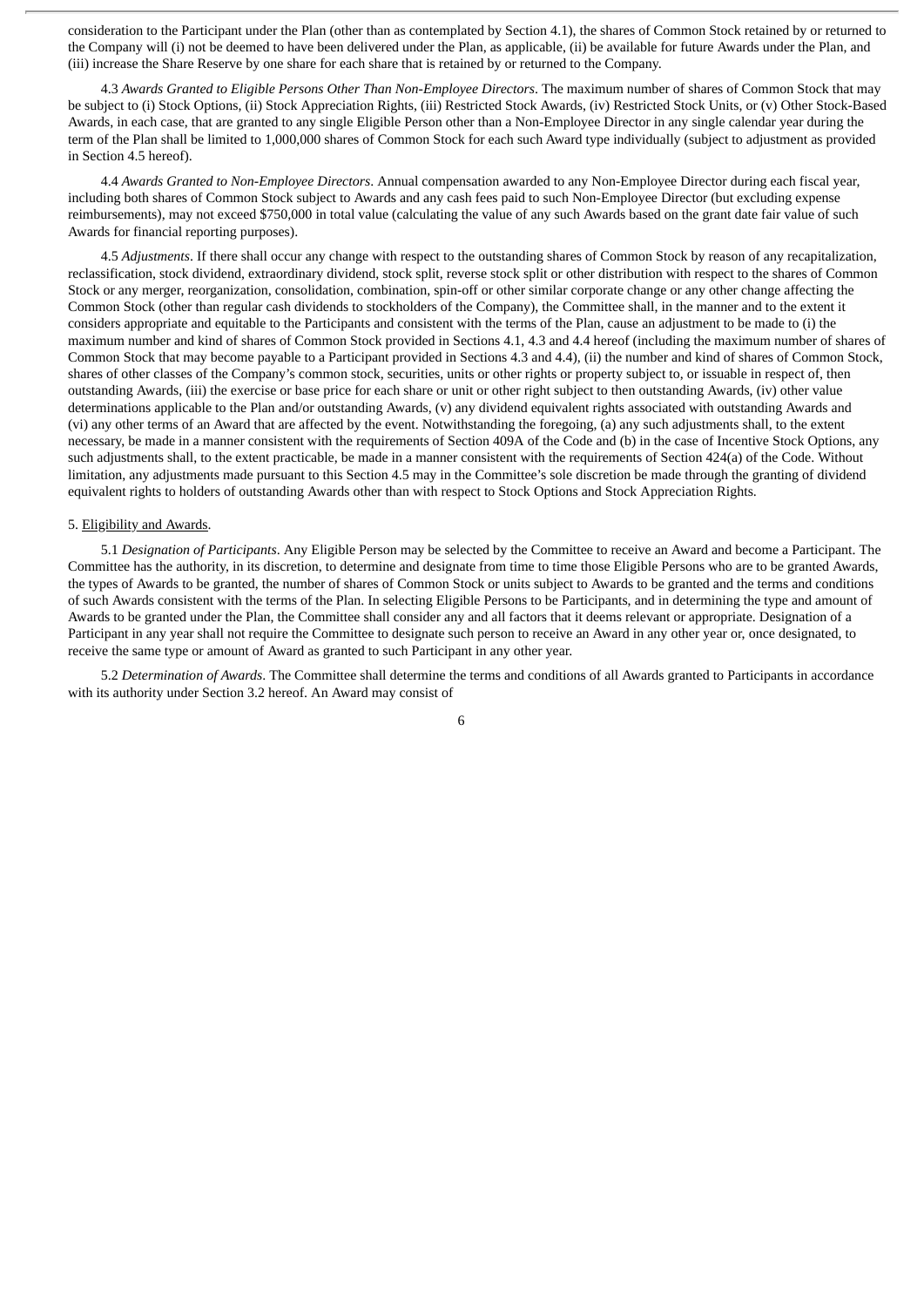consideration to the Participant under the Plan (other than as contemplated by Section 4.1), the shares of Common Stock retained by or returned to the Company will (i) not be deemed to have been delivered under the Plan, as applicable, (ii) be available for future Awards under the Plan, and (iii) increase the Share Reserve by one share for each share that is retained by or returned to the Company.

4.3 *Awards Granted to Eligible Persons Other Than Non-Employee Directors*. The maximum number of shares of Common Stock that may be subject to (i) Stock Options, (ii) Stock Appreciation Rights, (iii) Restricted Stock Awards, (iv) Restricted Stock Units, or (v) Other Stock-Based Awards, in each case, that are granted to any single Eligible Person other than a Non-Employee Director in any single calendar year during the term of the Plan shall be limited to 1,000,000 shares of Common Stock for each such Award type individually (subject to adjustment as provided in Section 4.5 hereof).

4.4 *Awards Granted to Non-Employee Directors*. Annual compensation awarded to any Non-Employee Director during each fiscal year, including both shares of Common Stock subject to Awards and any cash fees paid to such Non-Employee Director (but excluding expense reimbursements), may not exceed \$750,000 in total value (calculating the value of any such Awards based on the grant date fair value of such Awards for financial reporting purposes).

4.5 *Adjustments*. If there shall occur any change with respect to the outstanding shares of Common Stock by reason of any recapitalization, reclassification, stock dividend, extraordinary dividend, stock split, reverse stock split or other distribution with respect to the shares of Common Stock or any merger, reorganization, consolidation, combination, spin-off or other similar corporate change or any other change affecting the Common Stock (other than regular cash dividends to stockholders of the Company), the Committee shall, in the manner and to the extent it considers appropriate and equitable to the Participants and consistent with the terms of the Plan, cause an adjustment to be made to (i) the maximum number and kind of shares of Common Stock provided in Sections 4.1, 4.3 and 4.4 hereof (including the maximum number of shares of Common Stock that may become payable to a Participant provided in Sections 4.3 and 4.4), (ii) the number and kind of shares of Common Stock, shares of other classes of the Company's common stock, securities, units or other rights or property subject to, or issuable in respect of, then outstanding Awards, (iii) the exercise or base price for each share or unit or other right subject to then outstanding Awards, (iv) other value determinations applicable to the Plan and/or outstanding Awards, (v) any dividend equivalent rights associated with outstanding Awards and (vi) any other terms of an Award that are affected by the event. Notwithstanding the foregoing, (a) any such adjustments shall, to the extent necessary, be made in a manner consistent with the requirements of Section 409A of the Code and (b) in the case of Incentive Stock Options, any such adjustments shall, to the extent practicable, be made in a manner consistent with the requirements of Section 424(a) of the Code. Without limitation, any adjustments made pursuant to this Section 4.5 may in the Committee's sole discretion be made through the granting of dividend equivalent rights to holders of outstanding Awards other than with respect to Stock Options and Stock Appreciation Rights.

#### 5. Eligibility and Awards.

5.1 *Designation of Participants*. Any Eligible Person may be selected by the Committee to receive an Award and become a Participant. The Committee has the authority, in its discretion, to determine and designate from time to time those Eligible Persons who are to be granted Awards, the types of Awards to be granted, the number of shares of Common Stock or units subject to Awards to be granted and the terms and conditions of such Awards consistent with the terms of the Plan. In selecting Eligible Persons to be Participants, and in determining the type and amount of Awards to be granted under the Plan, the Committee shall consider any and all factors that it deems relevant or appropriate. Designation of a Participant in any year shall not require the Committee to designate such person to receive an Award in any other year or, once designated, to receive the same type or amount of Award as granted to such Participant in any other year.

5.2 *Determination of Awards*. The Committee shall determine the terms and conditions of all Awards granted to Participants in accordance with its authority under Section 3.2 hereof. An Award may consist of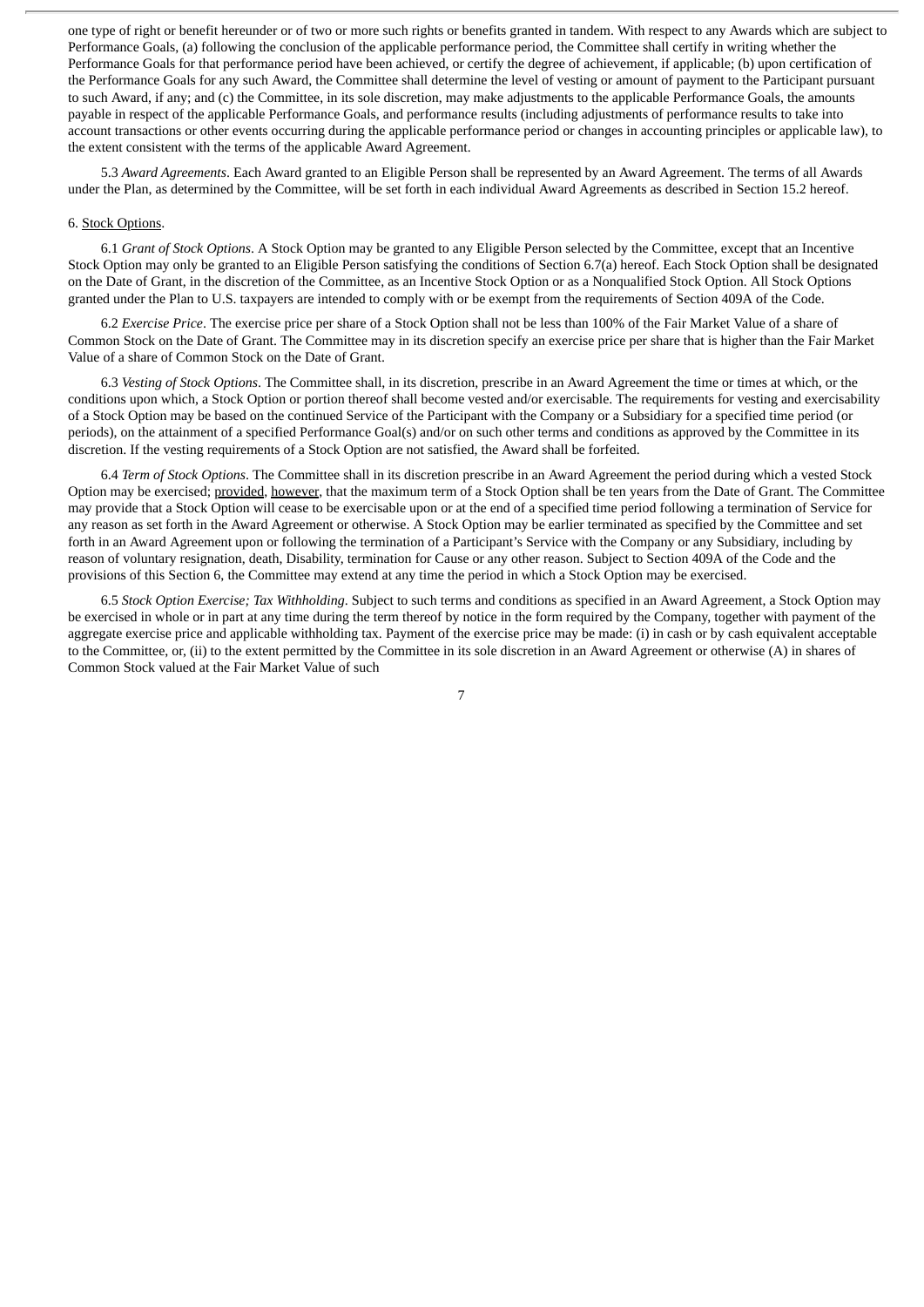one type of right or benefit hereunder or of two or more such rights or benefits granted in tandem. With respect to any Awards which are subject to Performance Goals, (a) following the conclusion of the applicable performance period, the Committee shall certify in writing whether the Performance Goals for that performance period have been achieved, or certify the degree of achievement, if applicable; (b) upon certification of the Performance Goals for any such Award, the Committee shall determine the level of vesting or amount of payment to the Participant pursuant to such Award, if any; and (c) the Committee, in its sole discretion, may make adjustments to the applicable Performance Goals, the amounts payable in respect of the applicable Performance Goals, and performance results (including adjustments of performance results to take into account transactions or other events occurring during the applicable performance period or changes in accounting principles or applicable law), to the extent consistent with the terms of the applicable Award Agreement.

5.3 *Award Agreements*. Each Award granted to an Eligible Person shall be represented by an Award Agreement. The terms of all Awards under the Plan, as determined by the Committee, will be set forth in each individual Award Agreements as described in Section 15.2 hereof.

#### 6. Stock Options.

6.1 *Grant of Stock Options*. A Stock Option may be granted to any Eligible Person selected by the Committee, except that an Incentive Stock Option may only be granted to an Eligible Person satisfying the conditions of Section 6.7(a) hereof. Each Stock Option shall be designated on the Date of Grant, in the discretion of the Committee, as an Incentive Stock Option or as a Nonqualified Stock Option. All Stock Options granted under the Plan to U.S. taxpayers are intended to comply with or be exempt from the requirements of Section 409A of the Code.

6.2 *Exercise Price*. The exercise price per share of a Stock Option shall not be less than 100% of the Fair Market Value of a share of Common Stock on the Date of Grant. The Committee may in its discretion specify an exercise price per share that is higher than the Fair Market Value of a share of Common Stock on the Date of Grant.

6.3 *Vesting of Stock Options*. The Committee shall, in its discretion, prescribe in an Award Agreement the time or times at which, or the conditions upon which, a Stock Option or portion thereof shall become vested and/or exercisable. The requirements for vesting and exercisability of a Stock Option may be based on the continued Service of the Participant with the Company or a Subsidiary for a specified time period (or periods), on the attainment of a specified Performance Goal(s) and/or on such other terms and conditions as approved by the Committee in its discretion. If the vesting requirements of a Stock Option are not satisfied, the Award shall be forfeited.

6.4 *Term of Stock Options*. The Committee shall in its discretion prescribe in an Award Agreement the period during which a vested Stock Option may be exercised; provided, however, that the maximum term of a Stock Option shall be ten years from the Date of Grant. The Committee may provide that a Stock Option will cease to be exercisable upon or at the end of a specified time period following a termination of Service for any reason as set forth in the Award Agreement or otherwise. A Stock Option may be earlier terminated as specified by the Committee and set forth in an Award Agreement upon or following the termination of a Participant's Service with the Company or any Subsidiary, including by reason of voluntary resignation, death, Disability, termination for Cause or any other reason. Subject to Section 409A of the Code and the provisions of this Section 6, the Committee may extend at any time the period in which a Stock Option may be exercised.

6.5 *Stock Option Exercise; Tax Withholding*. Subject to such terms and conditions as specified in an Award Agreement, a Stock Option may be exercised in whole or in part at any time during the term thereof by notice in the form required by the Company, together with payment of the aggregate exercise price and applicable withholding tax. Payment of the exercise price may be made: (i) in cash or by cash equivalent acceptable to the Committee, or, (ii) to the extent permitted by the Committee in its sole discretion in an Award Agreement or otherwise (A) in shares of Common Stock valued at the Fair Market Value of such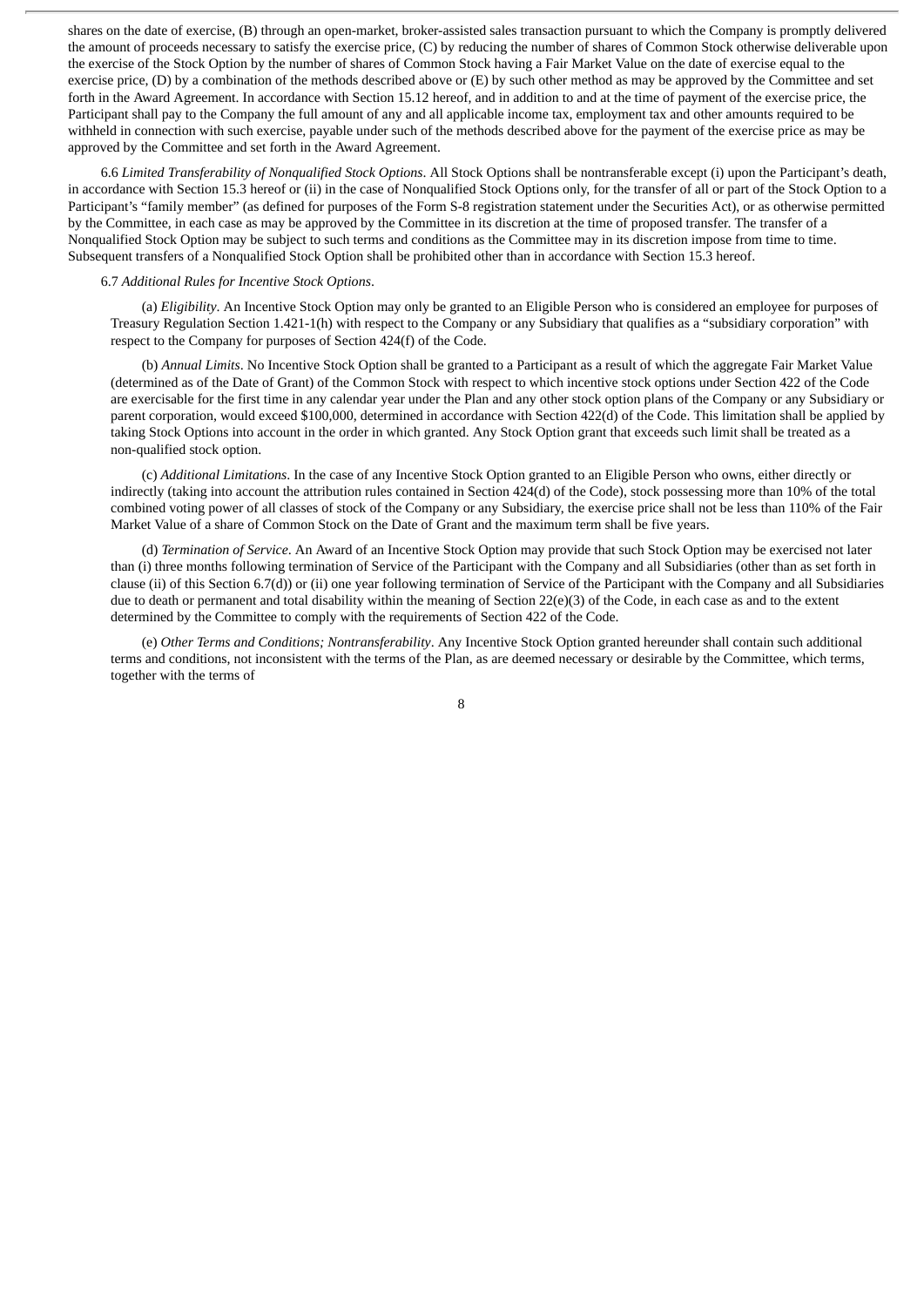shares on the date of exercise, (B) through an open-market, broker-assisted sales transaction pursuant to which the Company is promptly delivered the amount of proceeds necessary to satisfy the exercise price, (C) by reducing the number of shares of Common Stock otherwise deliverable upon the exercise of the Stock Option by the number of shares of Common Stock having a Fair Market Value on the date of exercise equal to the exercise price, (D) by a combination of the methods described above or  $(E)$  by such other method as may be approved by the Committee and set forth in the Award Agreement. In accordance with Section 15.12 hereof, and in addition to and at the time of payment of the exercise price, the Participant shall pay to the Company the full amount of any and all applicable income tax, employment tax and other amounts required to be withheld in connection with such exercise, payable under such of the methods described above for the payment of the exercise price as may be approved by the Committee and set forth in the Award Agreement.

6.6 *Limited Transferability of Nonqualified Stock Options*. All Stock Options shall be nontransferable except (i) upon the Participant's death, in accordance with Section 15.3 hereof or (ii) in the case of Nonqualified Stock Options only, for the transfer of all or part of the Stock Option to a Participant's "family member" (as defined for purposes of the Form S-8 registration statement under the Securities Act), or as otherwise permitted by the Committee, in each case as may be approved by the Committee in its discretion at the time of proposed transfer. The transfer of a Nonqualified Stock Option may be subject to such terms and conditions as the Committee may in its discretion impose from time to time. Subsequent transfers of a Nonqualified Stock Option shall be prohibited other than in accordance with Section 15.3 hereof.

#### 6.7 *Additional Rules for Incentive Stock Options*.

(a) *Eligibility*. An Incentive Stock Option may only be granted to an Eligible Person who is considered an employee for purposes of Treasury Regulation Section 1.421-1(h) with respect to the Company or any Subsidiary that qualifies as a "subsidiary corporation" with respect to the Company for purposes of Section 424(f) of the Code.

(b) *Annual Limits*. No Incentive Stock Option shall be granted to a Participant as a result of which the aggregate Fair Market Value (determined as of the Date of Grant) of the Common Stock with respect to which incentive stock options under Section 422 of the Code are exercisable for the first time in any calendar year under the Plan and any other stock option plans of the Company or any Subsidiary or parent corporation, would exceed \$100,000, determined in accordance with Section 422(d) of the Code. This limitation shall be applied by taking Stock Options into account in the order in which granted. Any Stock Option grant that exceeds such limit shall be treated as a non-qualified stock option.

(c) *Additional Limitations*. In the case of any Incentive Stock Option granted to an Eligible Person who owns, either directly or indirectly (taking into account the attribution rules contained in Section 424(d) of the Code), stock possessing more than 10% of the total combined voting power of all classes of stock of the Company or any Subsidiary, the exercise price shall not be less than 110% of the Fair Market Value of a share of Common Stock on the Date of Grant and the maximum term shall be five years.

(d) *Termination of Service*. An Award of an Incentive Stock Option may provide that such Stock Option may be exercised not later than (i) three months following termination of Service of the Participant with the Company and all Subsidiaries (other than as set forth in clause (ii) of this Section 6.7(d)) or (ii) one year following termination of Service of the Participant with the Company and all Subsidiaries due to death or permanent and total disability within the meaning of Section 22(e)(3) of the Code, in each case as and to the extent determined by the Committee to comply with the requirements of Section 422 of the Code.

(e) *Other Terms and Conditions; Nontransferability*. Any Incentive Stock Option granted hereunder shall contain such additional terms and conditions, not inconsistent with the terms of the Plan, as are deemed necessary or desirable by the Committee, which terms, together with the terms of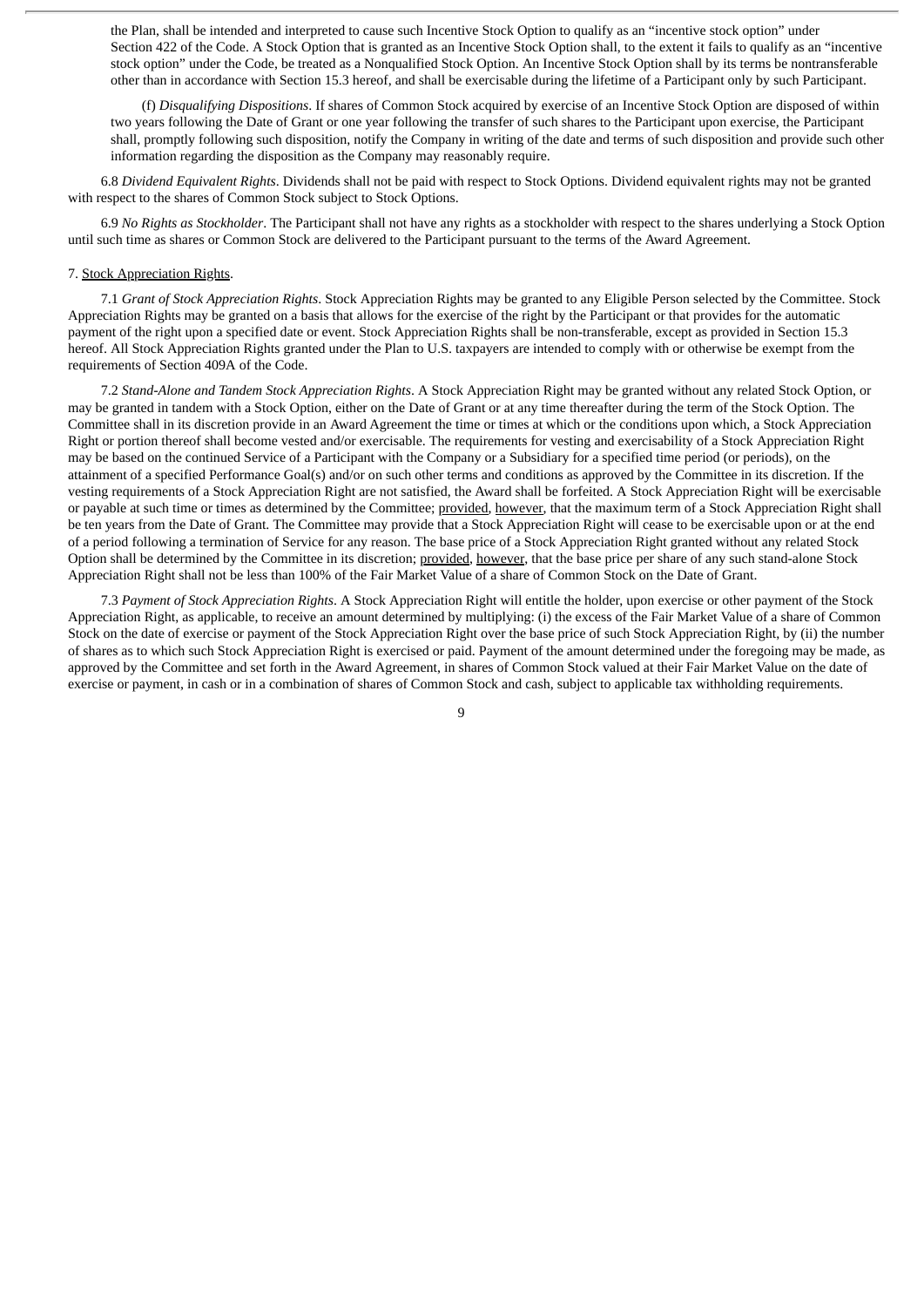the Plan, shall be intended and interpreted to cause such Incentive Stock Option to qualify as an "incentive stock option" under Section 422 of the Code. A Stock Option that is granted as an Incentive Stock Option shall, to the extent it fails to qualify as an "incentive stock option" under the Code, be treated as a Nonqualified Stock Option. An Incentive Stock Option shall by its terms be nontransferable other than in accordance with Section 15.3 hereof, and shall be exercisable during the lifetime of a Participant only by such Participant.

(f) *Disqualifying Dispositions*. If shares of Common Stock acquired by exercise of an Incentive Stock Option are disposed of within two years following the Date of Grant or one year following the transfer of such shares to the Participant upon exercise, the Participant shall, promptly following such disposition, notify the Company in writing of the date and terms of such disposition and provide such other information regarding the disposition as the Company may reasonably require.

6.8 *Dividend Equivalent Rights*. Dividends shall not be paid with respect to Stock Options. Dividend equivalent rights may not be granted with respect to the shares of Common Stock subject to Stock Options.

6.9 *No Rights as Stockholder*. The Participant shall not have any rights as a stockholder with respect to the shares underlying a Stock Option until such time as shares or Common Stock are delivered to the Participant pursuant to the terms of the Award Agreement.

#### 7. Stock Appreciation Rights.

7.1 *Grant of Stock Appreciation Rights*. Stock Appreciation Rights may be granted to any Eligible Person selected by the Committee. Stock Appreciation Rights may be granted on a basis that allows for the exercise of the right by the Participant or that provides for the automatic payment of the right upon a specified date or event. Stock Appreciation Rights shall be non-transferable, except as provided in Section 15.3 hereof. All Stock Appreciation Rights granted under the Plan to U.S. taxpayers are intended to comply with or otherwise be exempt from the requirements of Section 409A of the Code.

7.2 *Stand-Alone and Tandem Stock Appreciation Rights*. A Stock Appreciation Right may be granted without any related Stock Option, or may be granted in tandem with a Stock Option, either on the Date of Grant or at any time thereafter during the term of the Stock Option. The Committee shall in its discretion provide in an Award Agreement the time or times at which or the conditions upon which, a Stock Appreciation Right or portion thereof shall become vested and/or exercisable. The requirements for vesting and exercisability of a Stock Appreciation Right may be based on the continued Service of a Participant with the Company or a Subsidiary for a specified time period (or periods), on the attainment of a specified Performance Goal(s) and/or on such other terms and conditions as approved by the Committee in its discretion. If the vesting requirements of a Stock Appreciation Right are not satisfied, the Award shall be forfeited. A Stock Appreciation Right will be exercisable or payable at such time or times as determined by the Committee; provided, however, that the maximum term of a Stock Appreciation Right shall be ten years from the Date of Grant. The Committee may provide that a Stock Appreciation Right will cease to be exercisable upon or at the end of a period following a termination of Service for any reason. The base price of a Stock Appreciation Right granted without any related Stock Option shall be determined by the Committee in its discretion; provided, however, that the base price per share of any such stand-alone Stock Appreciation Right shall not be less than 100% of the Fair Market Value of a share of Common Stock on the Date of Grant.

7.3 *Payment of Stock Appreciation Rights*. A Stock Appreciation Right will entitle the holder, upon exercise or other payment of the Stock Appreciation Right, as applicable, to receive an amount determined by multiplying: (i) the excess of the Fair Market Value of a share of Common Stock on the date of exercise or payment of the Stock Appreciation Right over the base price of such Stock Appreciation Right, by (ii) the number of shares as to which such Stock Appreciation Right is exercised or paid. Payment of the amount determined under the foregoing may be made, as approved by the Committee and set forth in the Award Agreement, in shares of Common Stock valued at their Fair Market Value on the date of exercise or payment, in cash or in a combination of shares of Common Stock and cash, subject to applicable tax withholding requirements.

 $\mathbf q$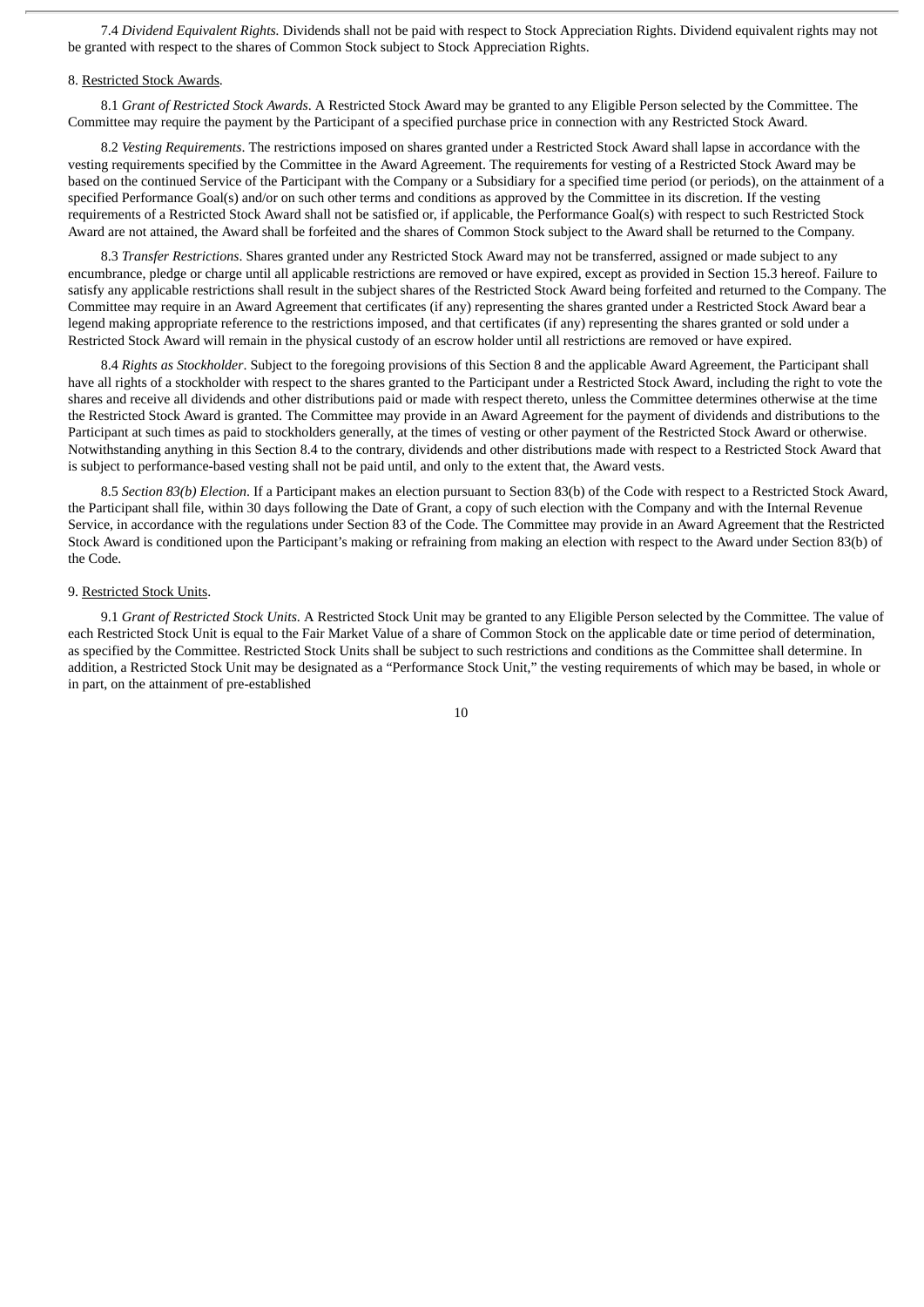7.4 *Dividend Equivalent Rights.* Dividends shall not be paid with respect to Stock Appreciation Rights. Dividend equivalent rights may not be granted with respect to the shares of Common Stock subject to Stock Appreciation Rights.

#### 8. Restricted Stock Awards.

8.1 *Grant of Restricted Stock Awards*. A Restricted Stock Award may be granted to any Eligible Person selected by the Committee. The Committee may require the payment by the Participant of a specified purchase price in connection with any Restricted Stock Award.

8.2 *Vesting Requirements*. The restrictions imposed on shares granted under a Restricted Stock Award shall lapse in accordance with the vesting requirements specified by the Committee in the Award Agreement. The requirements for vesting of a Restricted Stock Award may be based on the continued Service of the Participant with the Company or a Subsidiary for a specified time period (or periods), on the attainment of a specified Performance Goal(s) and/or on such other terms and conditions as approved by the Committee in its discretion. If the vesting requirements of a Restricted Stock Award shall not be satisfied or, if applicable, the Performance Goal(s) with respect to such Restricted Stock Award are not attained, the Award shall be forfeited and the shares of Common Stock subject to the Award shall be returned to the Company.

8.3 *Transfer Restrictions*. Shares granted under any Restricted Stock Award may not be transferred, assigned or made subject to any encumbrance, pledge or charge until all applicable restrictions are removed or have expired, except as provided in Section 15.3 hereof. Failure to satisfy any applicable restrictions shall result in the subject shares of the Restricted Stock Award being forfeited and returned to the Company. The Committee may require in an Award Agreement that certificates (if any) representing the shares granted under a Restricted Stock Award bear a legend making appropriate reference to the restrictions imposed, and that certificates (if any) representing the shares granted or sold under a Restricted Stock Award will remain in the physical custody of an escrow holder until all restrictions are removed or have expired.

8.4 *Rights as Stockholder*. Subject to the foregoing provisions of this Section 8 and the applicable Award Agreement, the Participant shall have all rights of a stockholder with respect to the shares granted to the Participant under a Restricted Stock Award, including the right to vote the shares and receive all dividends and other distributions paid or made with respect thereto, unless the Committee determines otherwise at the time the Restricted Stock Award is granted. The Committee may provide in an Award Agreement for the payment of dividends and distributions to the Participant at such times as paid to stockholders generally, at the times of vesting or other payment of the Restricted Stock Award or otherwise. Notwithstanding anything in this Section 8.4 to the contrary, dividends and other distributions made with respect to a Restricted Stock Award that is subject to performance-based vesting shall not be paid until, and only to the extent that, the Award vests.

8.5 *Section 83(b) Election*. If a Participant makes an election pursuant to Section 83(b) of the Code with respect to a Restricted Stock Award, the Participant shall file, within 30 days following the Date of Grant, a copy of such election with the Company and with the Internal Revenue Service, in accordance with the regulations under Section 83 of the Code. The Committee may provide in an Award Agreement that the Restricted Stock Award is conditioned upon the Participant's making or refraining from making an election with respect to the Award under Section 83(b) of the Code.

#### 9. Restricted Stock Units.

9.1 *Grant of Restricted Stock Units*. A Restricted Stock Unit may be granted to any Eligible Person selected by the Committee. The value of each Restricted Stock Unit is equal to the Fair Market Value of a share of Common Stock on the applicable date or time period of determination, as specified by the Committee. Restricted Stock Units shall be subject to such restrictions and conditions as the Committee shall determine. In addition, a Restricted Stock Unit may be designated as a "Performance Stock Unit," the vesting requirements of which may be based, in whole or in part, on the attainment of pre-established

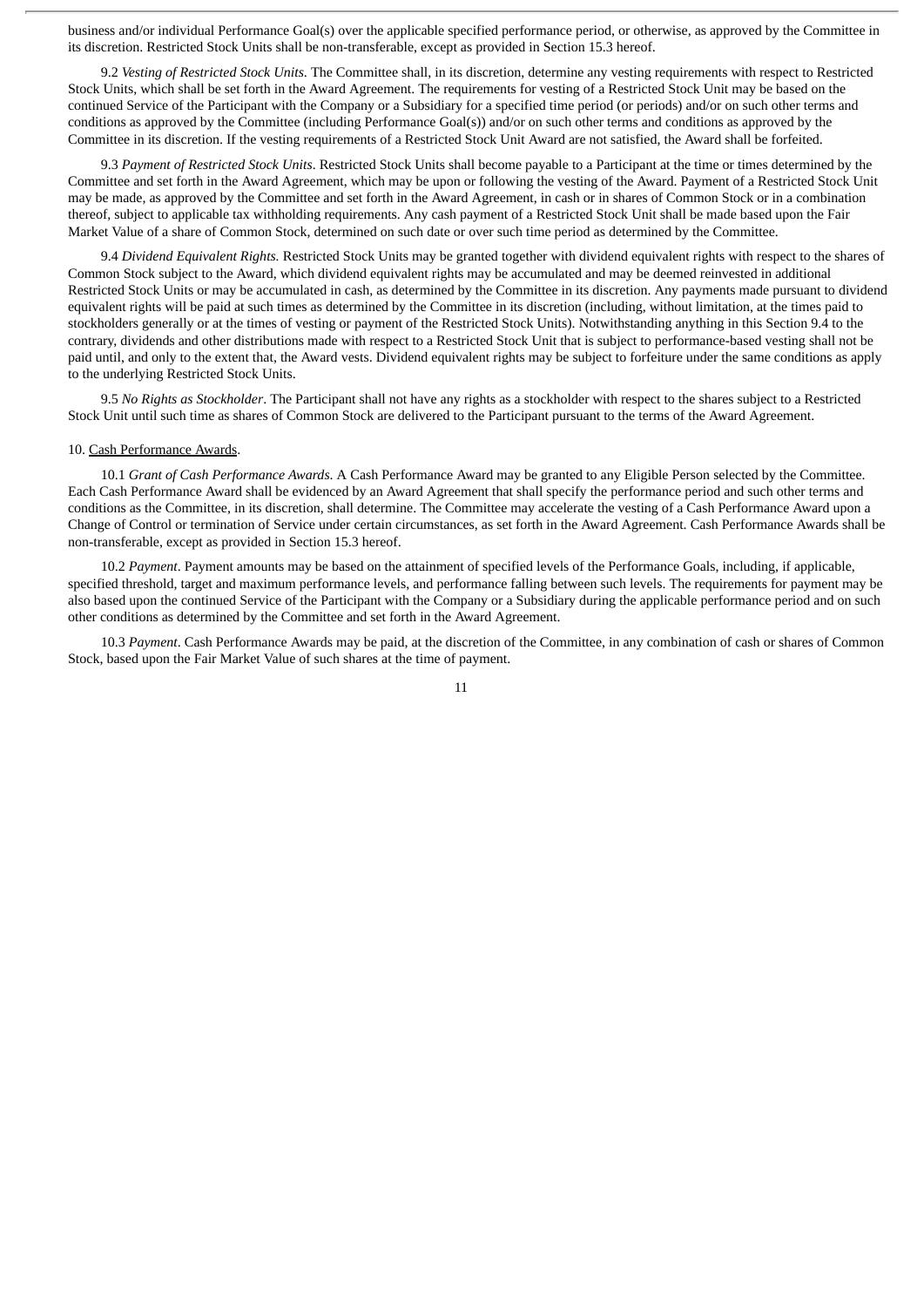business and/or individual Performance Goal(s) over the applicable specified performance period, or otherwise, as approved by the Committee in its discretion. Restricted Stock Units shall be non-transferable, except as provided in Section 15.3 hereof.

9.2 *Vesting of Restricted Stock Units*. The Committee shall, in its discretion, determine any vesting requirements with respect to Restricted Stock Units, which shall be set forth in the Award Agreement. The requirements for vesting of a Restricted Stock Unit may be based on the continued Service of the Participant with the Company or a Subsidiary for a specified time period (or periods) and/or on such other terms and conditions as approved by the Committee (including Performance Goal(s)) and/or on such other terms and conditions as approved by the Committee in its discretion. If the vesting requirements of a Restricted Stock Unit Award are not satisfied, the Award shall be forfeited.

9.3 *Payment of Restricted Stock Units*. Restricted Stock Units shall become payable to a Participant at the time or times determined by the Committee and set forth in the Award Agreement, which may be upon or following the vesting of the Award. Payment of a Restricted Stock Unit may be made, as approved by the Committee and set forth in the Award Agreement, in cash or in shares of Common Stock or in a combination thereof, subject to applicable tax withholding requirements. Any cash payment of a Restricted Stock Unit shall be made based upon the Fair Market Value of a share of Common Stock, determined on such date or over such time period as determined by the Committee.

9.4 *Dividend Equivalent Rights.* Restricted Stock Units may be granted together with dividend equivalent rights with respect to the shares of Common Stock subject to the Award, which dividend equivalent rights may be accumulated and may be deemed reinvested in additional Restricted Stock Units or may be accumulated in cash, as determined by the Committee in its discretion. Any payments made pursuant to dividend equivalent rights will be paid at such times as determined by the Committee in its discretion (including, without limitation, at the times paid to stockholders generally or at the times of vesting or payment of the Restricted Stock Units). Notwithstanding anything in this Section 9.4 to the contrary, dividends and other distributions made with respect to a Restricted Stock Unit that is subject to performance-based vesting shall not be paid until, and only to the extent that, the Award vests. Dividend equivalent rights may be subject to forfeiture under the same conditions as apply to the underlying Restricted Stock Units.

9.5 *No Rights as Stockholder*. The Participant shall not have any rights as a stockholder with respect to the shares subject to a Restricted Stock Unit until such time as shares of Common Stock are delivered to the Participant pursuant to the terms of the Award Agreement.

#### 10. Cash Performance Awards.

10.1 *Grant of Cash Performance Awards*. A Cash Performance Award may be granted to any Eligible Person selected by the Committee. Each Cash Performance Award shall be evidenced by an Award Agreement that shall specify the performance period and such other terms and conditions as the Committee, in its discretion, shall determine. The Committee may accelerate the vesting of a Cash Performance Award upon a Change of Control or termination of Service under certain circumstances, as set forth in the Award Agreement. Cash Performance Awards shall be non-transferable, except as provided in Section 15.3 hereof.

10.2 *Payment*. Payment amounts may be based on the attainment of specified levels of the Performance Goals, including, if applicable, specified threshold, target and maximum performance levels, and performance falling between such levels. The requirements for payment may be also based upon the continued Service of the Participant with the Company or a Subsidiary during the applicable performance period and on such other conditions as determined by the Committee and set forth in the Award Agreement.

10.3 *Payment*. Cash Performance Awards may be paid, at the discretion of the Committee, in any combination of cash or shares of Common Stock, based upon the Fair Market Value of such shares at the time of payment.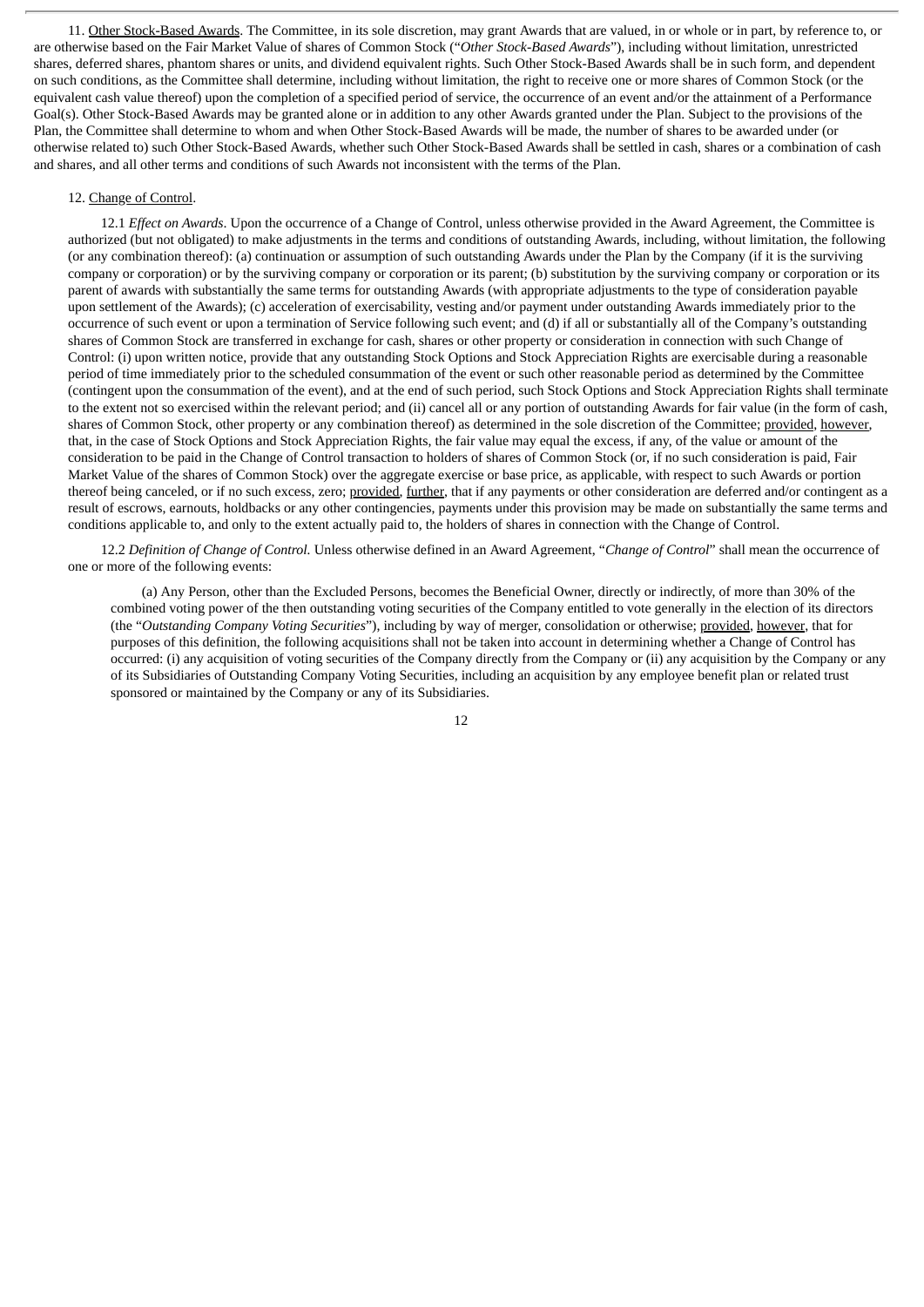11. Other Stock-Based Awards. The Committee, in its sole discretion, may grant Awards that are valued, in or whole or in part, by reference to, or are otherwise based on the Fair Market Value of shares of Common Stock ("*Other Stock-Based Awards*"), including without limitation, unrestricted shares, deferred shares, phantom shares or units, and dividend equivalent rights. Such Other Stock-Based Awards shall be in such form, and dependent on such conditions, as the Committee shall determine, including without limitation, the right to receive one or more shares of Common Stock (or the equivalent cash value thereof) upon the completion of a specified period of service, the occurrence of an event and/or the attainment of a Performance Goal(s). Other Stock-Based Awards may be granted alone or in addition to any other Awards granted under the Plan. Subject to the provisions of the Plan, the Committee shall determine to whom and when Other Stock-Based Awards will be made, the number of shares to be awarded under (or otherwise related to) such Other Stock-Based Awards, whether such Other Stock-Based Awards shall be settled in cash, shares or a combination of cash and shares, and all other terms and conditions of such Awards not inconsistent with the terms of the Plan.

# 12. Change of Control.

12.1 *Effect on Awards*. Upon the occurrence of a Change of Control, unless otherwise provided in the Award Agreement, the Committee is authorized (but not obligated) to make adjustments in the terms and conditions of outstanding Awards, including, without limitation, the following (or any combination thereof): (a) continuation or assumption of such outstanding Awards under the Plan by the Company (if it is the surviving company or corporation) or by the surviving company or corporation or its parent; (b) substitution by the surviving company or corporation or its parent of awards with substantially the same terms for outstanding Awards (with appropriate adjustments to the type of consideration payable upon settlement of the Awards); (c) acceleration of exercisability, vesting and/or payment under outstanding Awards immediately prior to the occurrence of such event or upon a termination of Service following such event; and (d) if all or substantially all of the Company's outstanding shares of Common Stock are transferred in exchange for cash, shares or other property or consideration in connection with such Change of Control: (i) upon written notice, provide that any outstanding Stock Options and Stock Appreciation Rights are exercisable during a reasonable period of time immediately prior to the scheduled consummation of the event or such other reasonable period as determined by the Committee (contingent upon the consummation of the event), and at the end of such period, such Stock Options and Stock Appreciation Rights shall terminate to the extent not so exercised within the relevant period; and (ii) cancel all or any portion of outstanding Awards for fair value (in the form of cash, shares of Common Stock, other property or any combination thereof) as determined in the sole discretion of the Committee; provided, however, that, in the case of Stock Options and Stock Appreciation Rights, the fair value may equal the excess, if any, of the value or amount of the consideration to be paid in the Change of Control transaction to holders of shares of Common Stock (or, if no such consideration is paid, Fair Market Value of the shares of Common Stock) over the aggregate exercise or base price, as applicable, with respect to such Awards or portion thereof being canceled, or if no such excess, zero; provided, further, that if any payments or other consideration are deferred and/or contingent as a result of escrows, earnouts, holdbacks or any other contingencies, payments under this provision may be made on substantially the same terms and conditions applicable to, and only to the extent actually paid to, the holders of shares in connection with the Change of Control.

12.2 *Definition of Change of Control.* Unless otherwise defined in an Award Agreement, "*Change of Control*" shall mean the occurrence of one or more of the following events:

(a) Any Person, other than the Excluded Persons, becomes the Beneficial Owner, directly or indirectly, of more than 30% of the combined voting power of the then outstanding voting securities of the Company entitled to vote generally in the election of its directors (the "*Outstanding Company Voting Securities*"), including by way of merger, consolidation or otherwise; provided, however, that for purposes of this definition, the following acquisitions shall not be taken into account in determining whether a Change of Control has occurred: (i) any acquisition of voting securities of the Company directly from the Company or (ii) any acquisition by the Company or any of its Subsidiaries of Outstanding Company Voting Securities, including an acquisition by any employee benefit plan or related trust sponsored or maintained by the Company or any of its Subsidiaries.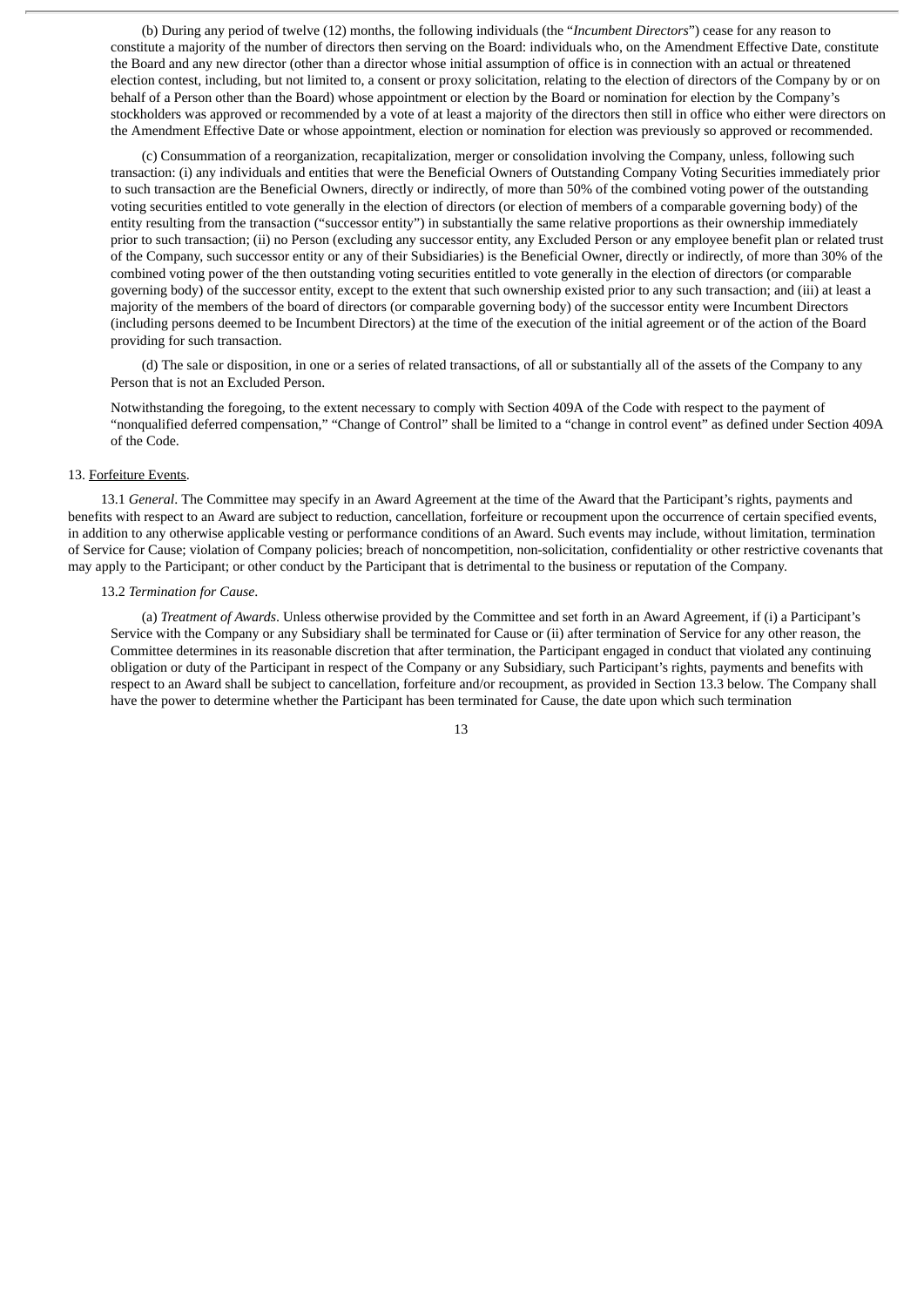(b) During any period of twelve (12) months, the following individuals (the "*Incumbent Directors*") cease for any reason to constitute a majority of the number of directors then serving on the Board: individuals who, on the Amendment Effective Date, constitute the Board and any new director (other than a director whose initial assumption of office is in connection with an actual or threatened election contest, including, but not limited to, a consent or proxy solicitation, relating to the election of directors of the Company by or on behalf of a Person other than the Board) whose appointment or election by the Board or nomination for election by the Company's stockholders was approved or recommended by a vote of at least a majority of the directors then still in office who either were directors on the Amendment Effective Date or whose appointment, election or nomination for election was previously so approved or recommended.

(c) Consummation of a reorganization, recapitalization, merger or consolidation involving the Company, unless, following such transaction: (i) any individuals and entities that were the Beneficial Owners of Outstanding Company Voting Securities immediately prior to such transaction are the Beneficial Owners, directly or indirectly, of more than 50% of the combined voting power of the outstanding voting securities entitled to vote generally in the election of directors (or election of members of a comparable governing body) of the entity resulting from the transaction ("successor entity") in substantially the same relative proportions as their ownership immediately prior to such transaction; (ii) no Person (excluding any successor entity, any Excluded Person or any employee benefit plan or related trust of the Company, such successor entity or any of their Subsidiaries) is the Beneficial Owner, directly or indirectly, of more than 30% of the combined voting power of the then outstanding voting securities entitled to vote generally in the election of directors (or comparable governing body) of the successor entity, except to the extent that such ownership existed prior to any such transaction; and (iii) at least a majority of the members of the board of directors (or comparable governing body) of the successor entity were Incumbent Directors (including persons deemed to be Incumbent Directors) at the time of the execution of the initial agreement or of the action of the Board providing for such transaction.

(d) The sale or disposition, in one or a series of related transactions, of all or substantially all of the assets of the Company to any Person that is not an Excluded Person.

Notwithstanding the foregoing, to the extent necessary to comply with Section 409A of the Code with respect to the payment of "nonqualified deferred compensation," "Change of Control" shall be limited to a "change in control event" as defined under Section 409A of the Code.

# 13. Forfeiture Events.

13.1 *General*. The Committee may specify in an Award Agreement at the time of the Award that the Participant's rights, payments and benefits with respect to an Award are subject to reduction, cancellation, forfeiture or recoupment upon the occurrence of certain specified events, in addition to any otherwise applicable vesting or performance conditions of an Award. Such events may include, without limitation, termination of Service for Cause; violation of Company policies; breach of noncompetition, non-solicitation, confidentiality or other restrictive covenants that may apply to the Participant; or other conduct by the Participant that is detrimental to the business or reputation of the Company.

## 13.2 *Termination for Cause*.

(a) *Treatment of Awards*. Unless otherwise provided by the Committee and set forth in an Award Agreement, if (i) a Participant's Service with the Company or any Subsidiary shall be terminated for Cause or (ii) after termination of Service for any other reason, the Committee determines in its reasonable discretion that after termination, the Participant engaged in conduct that violated any continuing obligation or duty of the Participant in respect of the Company or any Subsidiary, such Participant's rights, payments and benefits with respect to an Award shall be subject to cancellation, forfeiture and/or recoupment, as provided in Section 13.3 below. The Company shall have the power to determine whether the Participant has been terminated for Cause, the date upon which such termination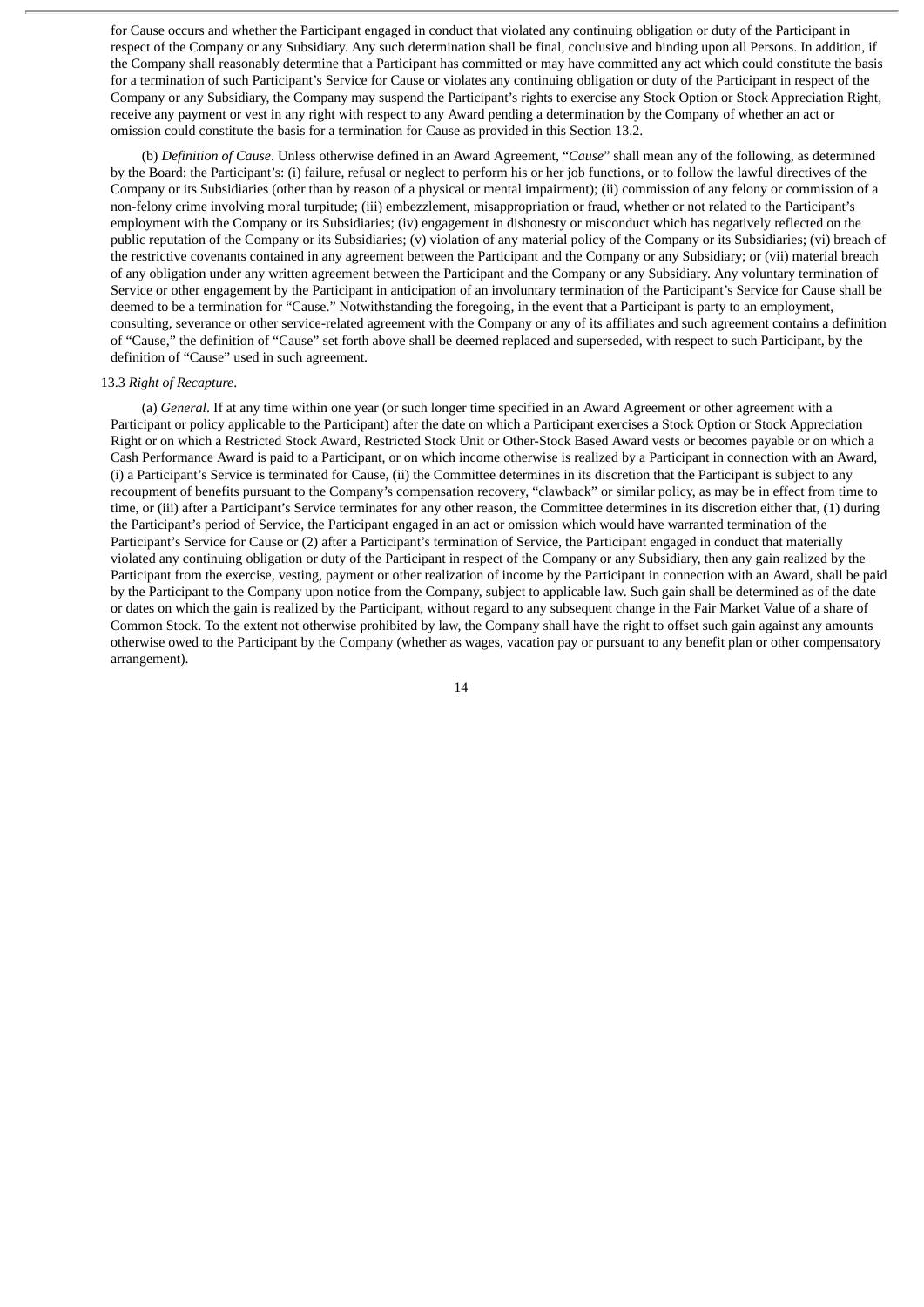for Cause occurs and whether the Participant engaged in conduct that violated any continuing obligation or duty of the Participant in respect of the Company or any Subsidiary. Any such determination shall be final, conclusive and binding upon all Persons. In addition, if the Company shall reasonably determine that a Participant has committed or may have committed any act which could constitute the basis for a termination of such Participant's Service for Cause or violates any continuing obligation or duty of the Participant in respect of the Company or any Subsidiary, the Company may suspend the Participant's rights to exercise any Stock Option or Stock Appreciation Right, receive any payment or vest in any right with respect to any Award pending a determination by the Company of whether an act or omission could constitute the basis for a termination for Cause as provided in this Section 13.2.

(b) *Definition of Cause*. Unless otherwise defined in an Award Agreement, "*Cause*" shall mean any of the following, as determined by the Board: the Participant's: (i) failure, refusal or neglect to perform his or her job functions, or to follow the lawful directives of the Company or its Subsidiaries (other than by reason of a physical or mental impairment); (ii) commission of any felony or commission of a non-felony crime involving moral turpitude; (iii) embezzlement, misappropriation or fraud, whether or not related to the Participant's employment with the Company or its Subsidiaries; (iv) engagement in dishonesty or misconduct which has negatively reflected on the public reputation of the Company or its Subsidiaries; (v) violation of any material policy of the Company or its Subsidiaries; (vi) breach of the restrictive covenants contained in any agreement between the Participant and the Company or any Subsidiary; or (vii) material breach of any obligation under any written agreement between the Participant and the Company or any Subsidiary. Any voluntary termination of Service or other engagement by the Participant in anticipation of an involuntary termination of the Participant's Service for Cause shall be deemed to be a termination for "Cause." Notwithstanding the foregoing, in the event that a Participant is party to an employment, consulting, severance or other service-related agreement with the Company or any of its affiliates and such agreement contains a definition of "Cause," the definition of "Cause" set forth above shall be deemed replaced and superseded, with respect to such Participant, by the definition of "Cause" used in such agreement.

# 13.3 *Right of Recapture*.

(a) *General*. If at any time within one year (or such longer time specified in an Award Agreement or other agreement with a Participant or policy applicable to the Participant) after the date on which a Participant exercises a Stock Option or Stock Appreciation Right or on which a Restricted Stock Award, Restricted Stock Unit or Other-Stock Based Award vests or becomes payable or on which a Cash Performance Award is paid to a Participant, or on which income otherwise is realized by a Participant in connection with an Award, (i) a Participant's Service is terminated for Cause, (ii) the Committee determines in its discretion that the Participant is subject to any recoupment of benefits pursuant to the Company's compensation recovery, "clawback" or similar policy, as may be in effect from time to time, or (iii) after a Participant's Service terminates for any other reason, the Committee determines in its discretion either that, (1) during the Participant's period of Service, the Participant engaged in an act or omission which would have warranted termination of the Participant's Service for Cause or (2) after a Participant's termination of Service, the Participant engaged in conduct that materially violated any continuing obligation or duty of the Participant in respect of the Company or any Subsidiary, then any gain realized by the Participant from the exercise, vesting, payment or other realization of income by the Participant in connection with an Award, shall be paid by the Participant to the Company upon notice from the Company, subject to applicable law. Such gain shall be determined as of the date or dates on which the gain is realized by the Participant, without regard to any subsequent change in the Fair Market Value of a share of Common Stock. To the extent not otherwise prohibited by law, the Company shall have the right to offset such gain against any amounts otherwise owed to the Participant by the Company (whether as wages, vacation pay or pursuant to any benefit plan or other compensatory arrangement).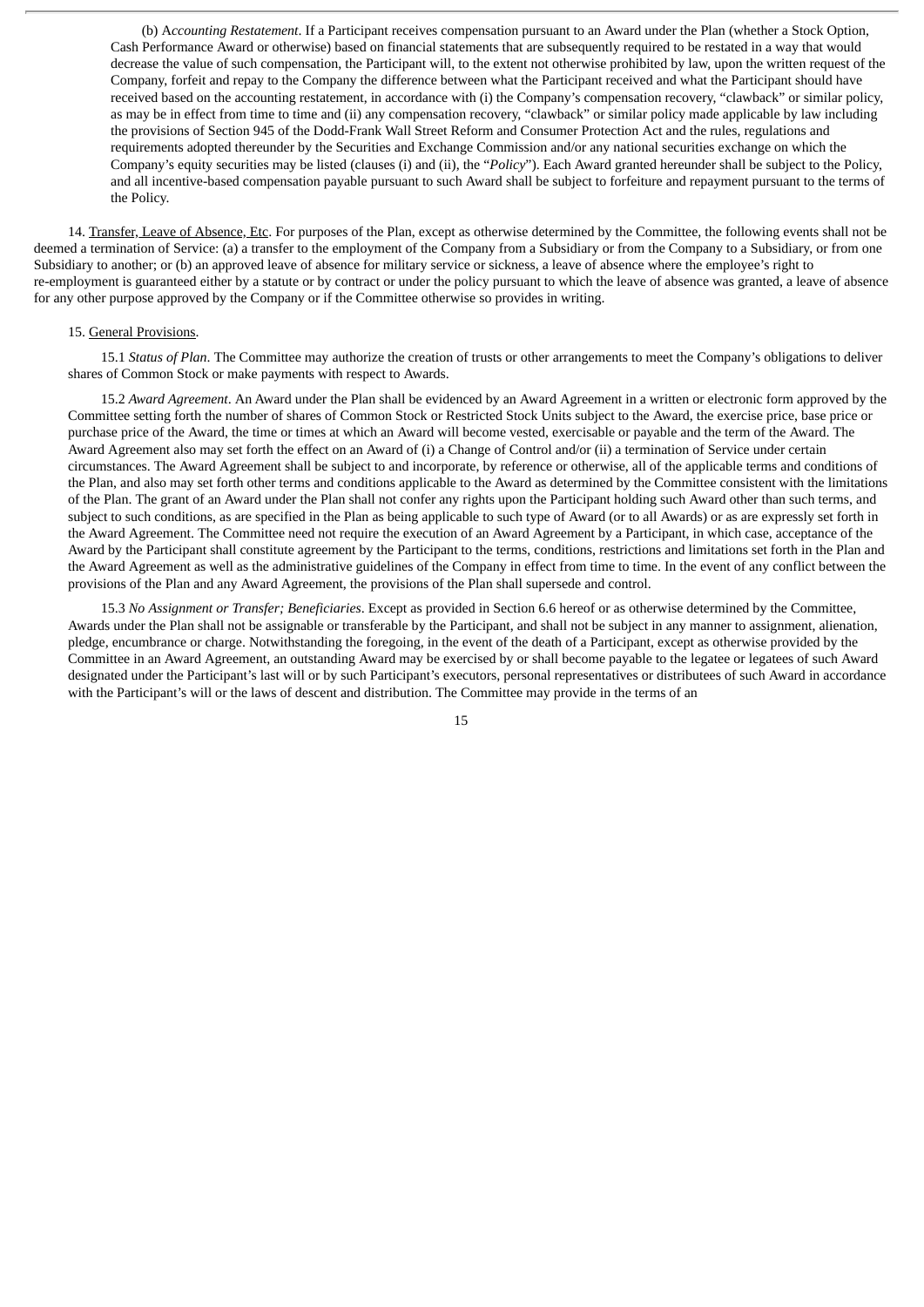(b) A*ccounting Restatement*. If a Participant receives compensation pursuant to an Award under the Plan (whether a Stock Option, Cash Performance Award or otherwise) based on financial statements that are subsequently required to be restated in a way that would decrease the value of such compensation, the Participant will, to the extent not otherwise prohibited by law, upon the written request of the Company, forfeit and repay to the Company the difference between what the Participant received and what the Participant should have received based on the accounting restatement, in accordance with (i) the Company's compensation recovery, "clawback" or similar policy, as may be in effect from time to time and (ii) any compensation recovery, "clawback" or similar policy made applicable by law including the provisions of Section 945 of the Dodd-Frank Wall Street Reform and Consumer Protection Act and the rules, regulations and requirements adopted thereunder by the Securities and Exchange Commission and/or any national securities exchange on which the Company's equity securities may be listed (clauses (i) and (ii), the "*Policy*"). Each Award granted hereunder shall be subject to the Policy, and all incentive-based compensation payable pursuant to such Award shall be subject to forfeiture and repayment pursuant to the terms of the Policy.

14. Transfer, Leave of Absence, Etc. For purposes of the Plan, except as otherwise determined by the Committee, the following events shall not be deemed a termination of Service: (a) a transfer to the employment of the Company from a Subsidiary or from the Company to a Subsidiary, or from one Subsidiary to another; or (b) an approved leave of absence for military service or sickness, a leave of absence where the employee's right to re-employment is guaranteed either by a statute or by contract or under the policy pursuant to which the leave of absence was granted, a leave of absence for any other purpose approved by the Company or if the Committee otherwise so provides in writing.

#### 15. General Provisions.

15.1 *Status of Plan*. The Committee may authorize the creation of trusts or other arrangements to meet the Company's obligations to deliver shares of Common Stock or make payments with respect to Awards.

15.2 *Award Agreement*. An Award under the Plan shall be evidenced by an Award Agreement in a written or electronic form approved by the Committee setting forth the number of shares of Common Stock or Restricted Stock Units subject to the Award, the exercise price, base price or purchase price of the Award, the time or times at which an Award will become vested, exercisable or payable and the term of the Award. The Award Agreement also may set forth the effect on an Award of (i) a Change of Control and/or (ii) a termination of Service under certain circumstances. The Award Agreement shall be subject to and incorporate, by reference or otherwise, all of the applicable terms and conditions of the Plan, and also may set forth other terms and conditions applicable to the Award as determined by the Committee consistent with the limitations of the Plan. The grant of an Award under the Plan shall not confer any rights upon the Participant holding such Award other than such terms, and subject to such conditions, as are specified in the Plan as being applicable to such type of Award (or to all Awards) or as are expressly set forth in the Award Agreement. The Committee need not require the execution of an Award Agreement by a Participant, in which case, acceptance of the Award by the Participant shall constitute agreement by the Participant to the terms, conditions, restrictions and limitations set forth in the Plan and the Award Agreement as well as the administrative guidelines of the Company in effect from time to time. In the event of any conflict between the provisions of the Plan and any Award Agreement, the provisions of the Plan shall supersede and control.

15.3 *No Assignment or Transfer; Beneficiaries*. Except as provided in Section 6.6 hereof or as otherwise determined by the Committee, Awards under the Plan shall not be assignable or transferable by the Participant, and shall not be subject in any manner to assignment, alienation, pledge, encumbrance or charge. Notwithstanding the foregoing, in the event of the death of a Participant, except as otherwise provided by the Committee in an Award Agreement, an outstanding Award may be exercised by or shall become payable to the legatee or legatees of such Award designated under the Participant's last will or by such Participant's executors, personal representatives or distributees of such Award in accordance with the Participant's will or the laws of descent and distribution. The Committee may provide in the terms of an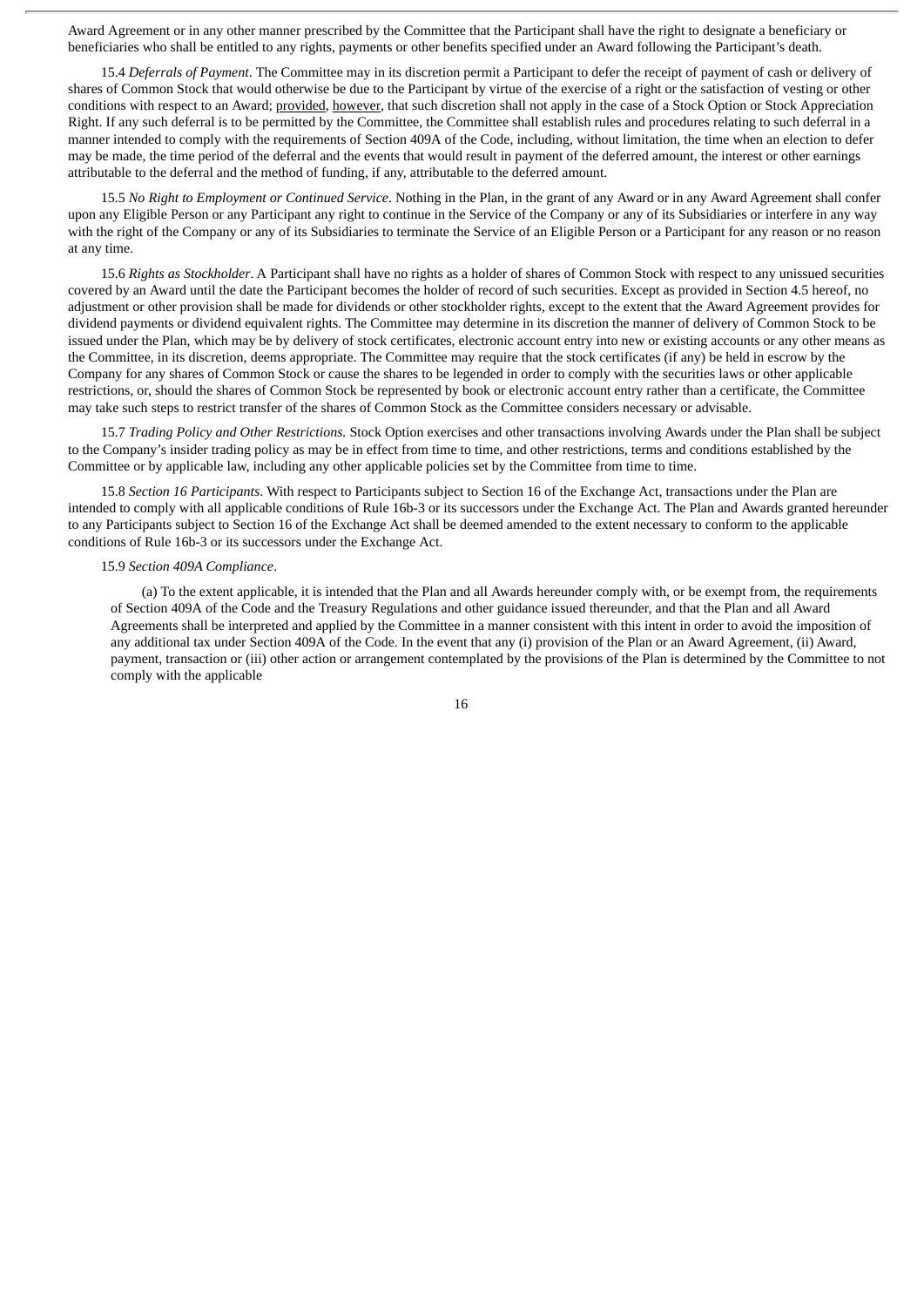Award Agreement or in any other manner prescribed by the Committee that the Participant shall have the right to designate a beneficiary or beneficiaries who shall be entitled to any rights, payments or other benefits specified under an Award following the Participant's death.

15.4 *Deferrals of Payment*. The Committee may in its discretion permit a Participant to defer the receipt of payment of cash or delivery of shares of Common Stock that would otherwise be due to the Participant by virtue of the exercise of a right or the satisfaction of vesting or other conditions with respect to an Award; provided, however, that such discretion shall not apply in the case of a Stock Option or Stock Appreciation Right. If any such deferral is to be permitted by the Committee, the Committee shall establish rules and procedures relating to such deferral in a manner intended to comply with the requirements of Section 409A of the Code, including, without limitation, the time when an election to defer may be made, the time period of the deferral and the events that would result in payment of the deferred amount, the interest or other earnings attributable to the deferral and the method of funding, if any, attributable to the deferred amount.

15.5 *No Right to Employment or Continued Service*. Nothing in the Plan, in the grant of any Award or in any Award Agreement shall confer upon any Eligible Person or any Participant any right to continue in the Service of the Company or any of its Subsidiaries or interfere in any way with the right of the Company or any of its Subsidiaries to terminate the Service of an Eligible Person or a Participant for any reason or no reason at any time.

15.6 *Rights as Stockholder*. A Participant shall have no rights as a holder of shares of Common Stock with respect to any unissued securities covered by an Award until the date the Participant becomes the holder of record of such securities. Except as provided in Section 4.5 hereof, no adjustment or other provision shall be made for dividends or other stockholder rights, except to the extent that the Award Agreement provides for dividend payments or dividend equivalent rights. The Committee may determine in its discretion the manner of delivery of Common Stock to be issued under the Plan, which may be by delivery of stock certificates, electronic account entry into new or existing accounts or any other means as the Committee, in its discretion, deems appropriate. The Committee may require that the stock certificates (if any) be held in escrow by the Company for any shares of Common Stock or cause the shares to be legended in order to comply with the securities laws or other applicable restrictions, or, should the shares of Common Stock be represented by book or electronic account entry rather than a certificate, the Committee may take such steps to restrict transfer of the shares of Common Stock as the Committee considers necessary or advisable.

15.7 *Trading Policy and Other Restrictions.* Stock Option exercises and other transactions involving Awards under the Plan shall be subject to the Company's insider trading policy as may be in effect from time to time, and other restrictions, terms and conditions established by the Committee or by applicable law, including any other applicable policies set by the Committee from time to time.

15.8 *Section 16 Participants*. With respect to Participants subject to Section 16 of the Exchange Act, transactions under the Plan are intended to comply with all applicable conditions of Rule 16b-3 or its successors under the Exchange Act. The Plan and Awards granted hereunder to any Participants subject to Section 16 of the Exchange Act shall be deemed amended to the extent necessary to conform to the applicable conditions of Rule 16b-3 or its successors under the Exchange Act.

#### 15.9 *Section 409A Compliance*.

(a) To the extent applicable, it is intended that the Plan and all Awards hereunder comply with, or be exempt from, the requirements of Section 409A of the Code and the Treasury Regulations and other guidance issued thereunder, and that the Plan and all Award Agreements shall be interpreted and applied by the Committee in a manner consistent with this intent in order to avoid the imposition of any additional tax under Section 409A of the Code. In the event that any (i) provision of the Plan or an Award Agreement, (ii) Award, payment, transaction or (iii) other action or arrangement contemplated by the provisions of the Plan is determined by the Committee to not comply with the applicable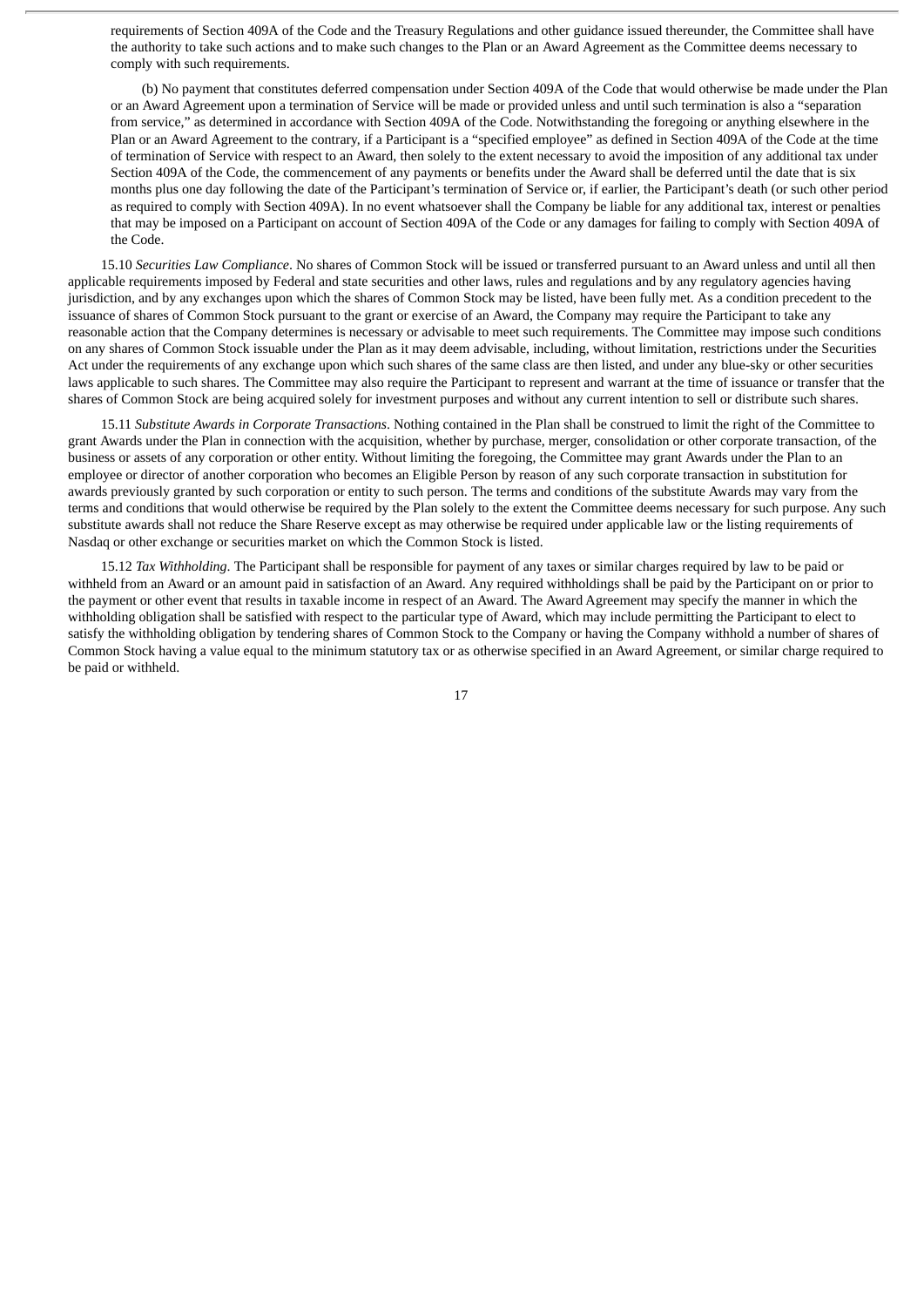requirements of Section 409A of the Code and the Treasury Regulations and other guidance issued thereunder, the Committee shall have the authority to take such actions and to make such changes to the Plan or an Award Agreement as the Committee deems necessary to comply with such requirements.

(b) No payment that constitutes deferred compensation under Section 409A of the Code that would otherwise be made under the Plan or an Award Agreement upon a termination of Service will be made or provided unless and until such termination is also a "separation from service," as determined in accordance with Section 409A of the Code. Notwithstanding the foregoing or anything elsewhere in the Plan or an Award Agreement to the contrary, if a Participant is a "specified employee" as defined in Section 409A of the Code at the time of termination of Service with respect to an Award, then solely to the extent necessary to avoid the imposition of any additional tax under Section 409A of the Code, the commencement of any payments or benefits under the Award shall be deferred until the date that is six months plus one day following the date of the Participant's termination of Service or, if earlier, the Participant's death (or such other period as required to comply with Section 409A). In no event whatsoever shall the Company be liable for any additional tax, interest or penalties that may be imposed on a Participant on account of Section 409A of the Code or any damages for failing to comply with Section 409A of the Code.

15.10 *Securities Law Compliance*. No shares of Common Stock will be issued or transferred pursuant to an Award unless and until all then applicable requirements imposed by Federal and state securities and other laws, rules and regulations and by any regulatory agencies having jurisdiction, and by any exchanges upon which the shares of Common Stock may be listed, have been fully met. As a condition precedent to the issuance of shares of Common Stock pursuant to the grant or exercise of an Award, the Company may require the Participant to take any reasonable action that the Company determines is necessary or advisable to meet such requirements. The Committee may impose such conditions on any shares of Common Stock issuable under the Plan as it may deem advisable, including, without limitation, restrictions under the Securities Act under the requirements of any exchange upon which such shares of the same class are then listed, and under any blue-sky or other securities laws applicable to such shares. The Committee may also require the Participant to represent and warrant at the time of issuance or transfer that the shares of Common Stock are being acquired solely for investment purposes and without any current intention to sell or distribute such shares.

15.11 *Substitute Awards in Corporate Transactions*. Nothing contained in the Plan shall be construed to limit the right of the Committee to grant Awards under the Plan in connection with the acquisition, whether by purchase, merger, consolidation or other corporate transaction, of the business or assets of any corporation or other entity. Without limiting the foregoing, the Committee may grant Awards under the Plan to an employee or director of another corporation who becomes an Eligible Person by reason of any such corporate transaction in substitution for awards previously granted by such corporation or entity to such person. The terms and conditions of the substitute Awards may vary from the terms and conditions that would otherwise be required by the Plan solely to the extent the Committee deems necessary for such purpose. Any such substitute awards shall not reduce the Share Reserve except as may otherwise be required under applicable law or the listing requirements of Nasdaq or other exchange or securities market on which the Common Stock is listed.

15.12 *Tax Withholding*. The Participant shall be responsible for payment of any taxes or similar charges required by law to be paid or withheld from an Award or an amount paid in satisfaction of an Award. Any required withholdings shall be paid by the Participant on or prior to the payment or other event that results in taxable income in respect of an Award. The Award Agreement may specify the manner in which the withholding obligation shall be satisfied with respect to the particular type of Award, which may include permitting the Participant to elect to satisfy the withholding obligation by tendering shares of Common Stock to the Company or having the Company withhold a number of shares of Common Stock having a value equal to the minimum statutory tax or as otherwise specified in an Award Agreement, or similar charge required to be paid or withheld.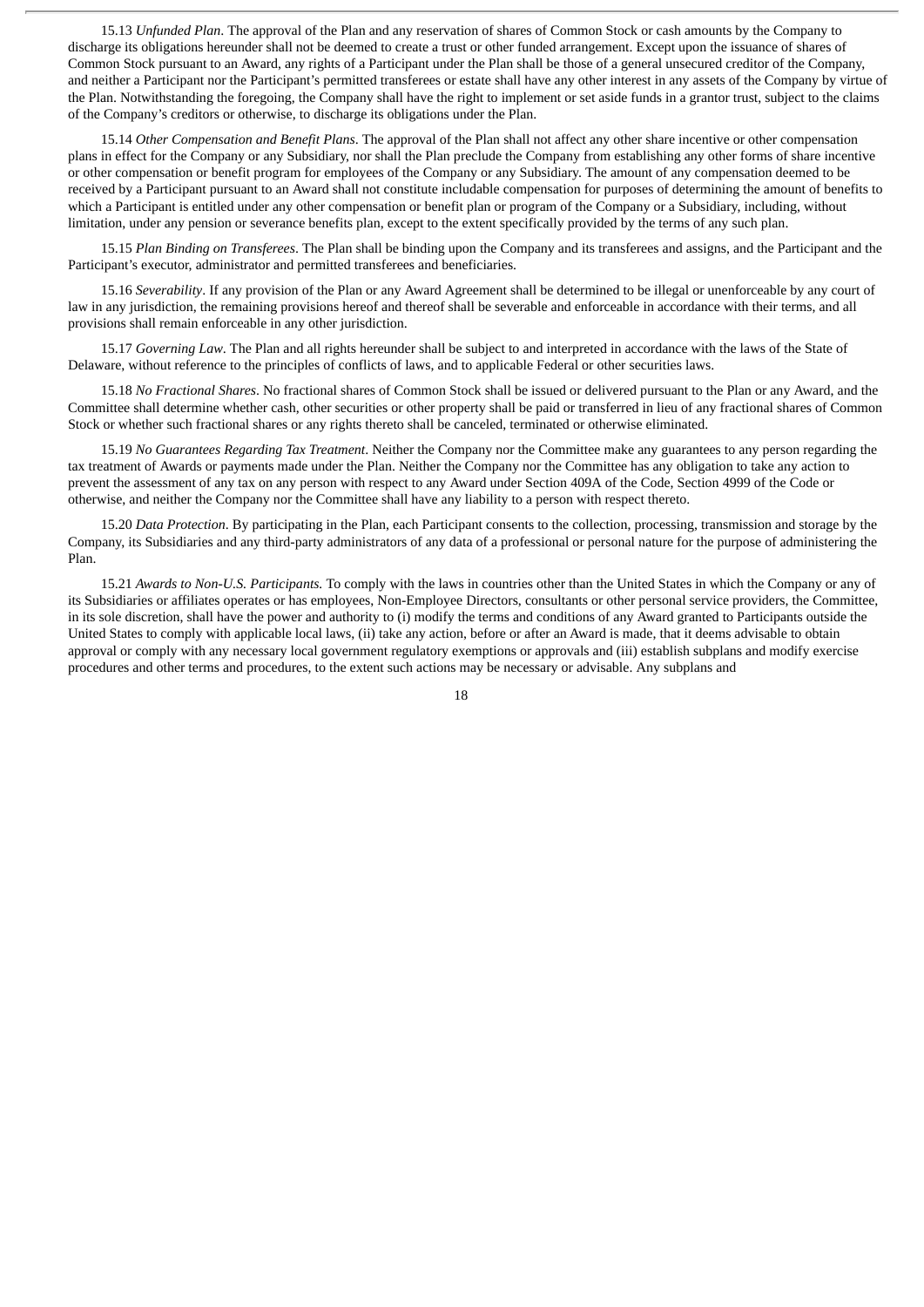15.13 *Unfunded Plan*. The approval of the Plan and any reservation of shares of Common Stock or cash amounts by the Company to discharge its obligations hereunder shall not be deemed to create a trust or other funded arrangement. Except upon the issuance of shares of Common Stock pursuant to an Award, any rights of a Participant under the Plan shall be those of a general unsecured creditor of the Company, and neither a Participant nor the Participant's permitted transferees or estate shall have any other interest in any assets of the Company by virtue of the Plan. Notwithstanding the foregoing, the Company shall have the right to implement or set aside funds in a grantor trust, subject to the claims of the Company's creditors or otherwise, to discharge its obligations under the Plan.

15.14 *Other Compensation and Benefit Plans*. The approval of the Plan shall not affect any other share incentive or other compensation plans in effect for the Company or any Subsidiary, nor shall the Plan preclude the Company from establishing any other forms of share incentive or other compensation or benefit program for employees of the Company or any Subsidiary. The amount of any compensation deemed to be received by a Participant pursuant to an Award shall not constitute includable compensation for purposes of determining the amount of benefits to which a Participant is entitled under any other compensation or benefit plan or program of the Company or a Subsidiary, including, without limitation, under any pension or severance benefits plan, except to the extent specifically provided by the terms of any such plan.

15.15 *Plan Binding on Transferees*. The Plan shall be binding upon the Company and its transferees and assigns, and the Participant and the Participant's executor, administrator and permitted transferees and beneficiaries.

15.16 *Severability*. If any provision of the Plan or any Award Agreement shall be determined to be illegal or unenforceable by any court of law in any jurisdiction, the remaining provisions hereof and thereof shall be severable and enforceable in accordance with their terms, and all provisions shall remain enforceable in any other jurisdiction.

15.17 *Governing Law*. The Plan and all rights hereunder shall be subject to and interpreted in accordance with the laws of the State of Delaware, without reference to the principles of conflicts of laws, and to applicable Federal or other securities laws.

15.18 *No Fractional Shares*. No fractional shares of Common Stock shall be issued or delivered pursuant to the Plan or any Award, and the Committee shall determine whether cash, other securities or other property shall be paid or transferred in lieu of any fractional shares of Common Stock or whether such fractional shares or any rights thereto shall be canceled, terminated or otherwise eliminated.

15.19 *No Guarantees Regarding Tax Treatment*. Neither the Company nor the Committee make any guarantees to any person regarding the tax treatment of Awards or payments made under the Plan. Neither the Company nor the Committee has any obligation to take any action to prevent the assessment of any tax on any person with respect to any Award under Section 409A of the Code, Section 4999 of the Code or otherwise, and neither the Company nor the Committee shall have any liability to a person with respect thereto.

15.20 *Data Protection*. By participating in the Plan, each Participant consents to the collection, processing, transmission and storage by the Company, its Subsidiaries and any third-party administrators of any data of a professional or personal nature for the purpose of administering the Plan.

15.21 *Awards to Non-U.S. Participants.* To comply with the laws in countries other than the United States in which the Company or any of its Subsidiaries or affiliates operates or has employees, Non-Employee Directors, consultants or other personal service providers, the Committee, in its sole discretion, shall have the power and authority to (i) modify the terms and conditions of any Award granted to Participants outside the United States to comply with applicable local laws, (ii) take any action, before or after an Award is made, that it deems advisable to obtain approval or comply with any necessary local government regulatory exemptions or approvals and (iii) establish subplans and modify exercise procedures and other terms and procedures, to the extent such actions may be necessary or advisable. Any subplans and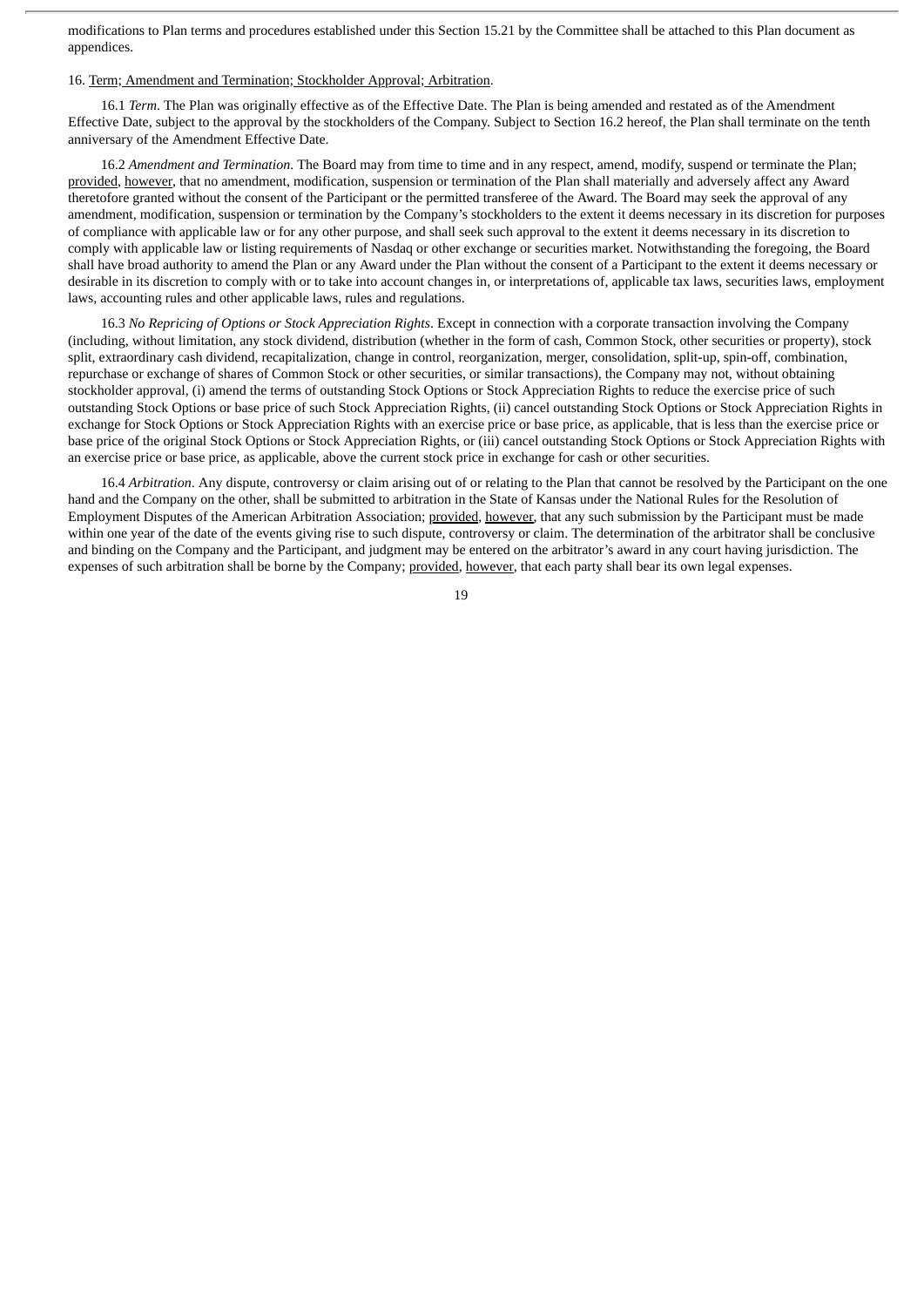modifications to Plan terms and procedures established under this Section 15.21 by the Committee shall be attached to this Plan document as appendices.

#### 16. Term; Amendment and Termination; Stockholder Approval; Arbitration.

16.1 *Term*. The Plan was originally effective as of the Effective Date. The Plan is being amended and restated as of the Amendment Effective Date, subject to the approval by the stockholders of the Company. Subject to Section 16.2 hereof, the Plan shall terminate on the tenth anniversary of the Amendment Effective Date.

16.2 *Amendment and Termination*. The Board may from time to time and in any respect, amend, modify, suspend or terminate the Plan; provided, however, that no amendment, modification, suspension or termination of the Plan shall materially and adversely affect any Award theretofore granted without the consent of the Participant or the permitted transferee of the Award. The Board may seek the approval of any amendment, modification, suspension or termination by the Company's stockholders to the extent it deems necessary in its discretion for purposes of compliance with applicable law or for any other purpose, and shall seek such approval to the extent it deems necessary in its discretion to comply with applicable law or listing requirements of Nasdaq or other exchange or securities market. Notwithstanding the foregoing, the Board shall have broad authority to amend the Plan or any Award under the Plan without the consent of a Participant to the extent it deems necessary or desirable in its discretion to comply with or to take into account changes in, or interpretations of, applicable tax laws, securities laws, employment laws, accounting rules and other applicable laws, rules and regulations.

16.3 *No Repricing of Options or Stock Appreciation Rights*. Except in connection with a corporate transaction involving the Company (including, without limitation, any stock dividend, distribution (whether in the form of cash, Common Stock, other securities or property), stock split, extraordinary cash dividend, recapitalization, change in control, reorganization, merger, consolidation, split-up, spin-off, combination, repurchase or exchange of shares of Common Stock or other securities, or similar transactions), the Company may not, without obtaining stockholder approval, (i) amend the terms of outstanding Stock Options or Stock Appreciation Rights to reduce the exercise price of such outstanding Stock Options or base price of such Stock Appreciation Rights, (ii) cancel outstanding Stock Options or Stock Appreciation Rights in exchange for Stock Options or Stock Appreciation Rights with an exercise price or base price, as applicable, that is less than the exercise price or base price of the original Stock Options or Stock Appreciation Rights, or (iii) cancel outstanding Stock Options or Stock Appreciation Rights with an exercise price or base price, as applicable, above the current stock price in exchange for cash or other securities.

16.4 *Arbitration*. Any dispute, controversy or claim arising out of or relating to the Plan that cannot be resolved by the Participant on the one hand and the Company on the other, shall be submitted to arbitration in the State of Kansas under the National Rules for the Resolution of Employment Disputes of the American Arbitration Association; provided, however, that any such submission by the Participant must be made within one year of the date of the events giving rise to such dispute, controversy or claim. The determination of the arbitrator shall be conclusive and binding on the Company and the Participant, and judgment may be entered on the arbitrator's award in any court having jurisdiction. The expenses of such arbitration shall be borne by the Company; provided, however, that each party shall bear its own legal expenses.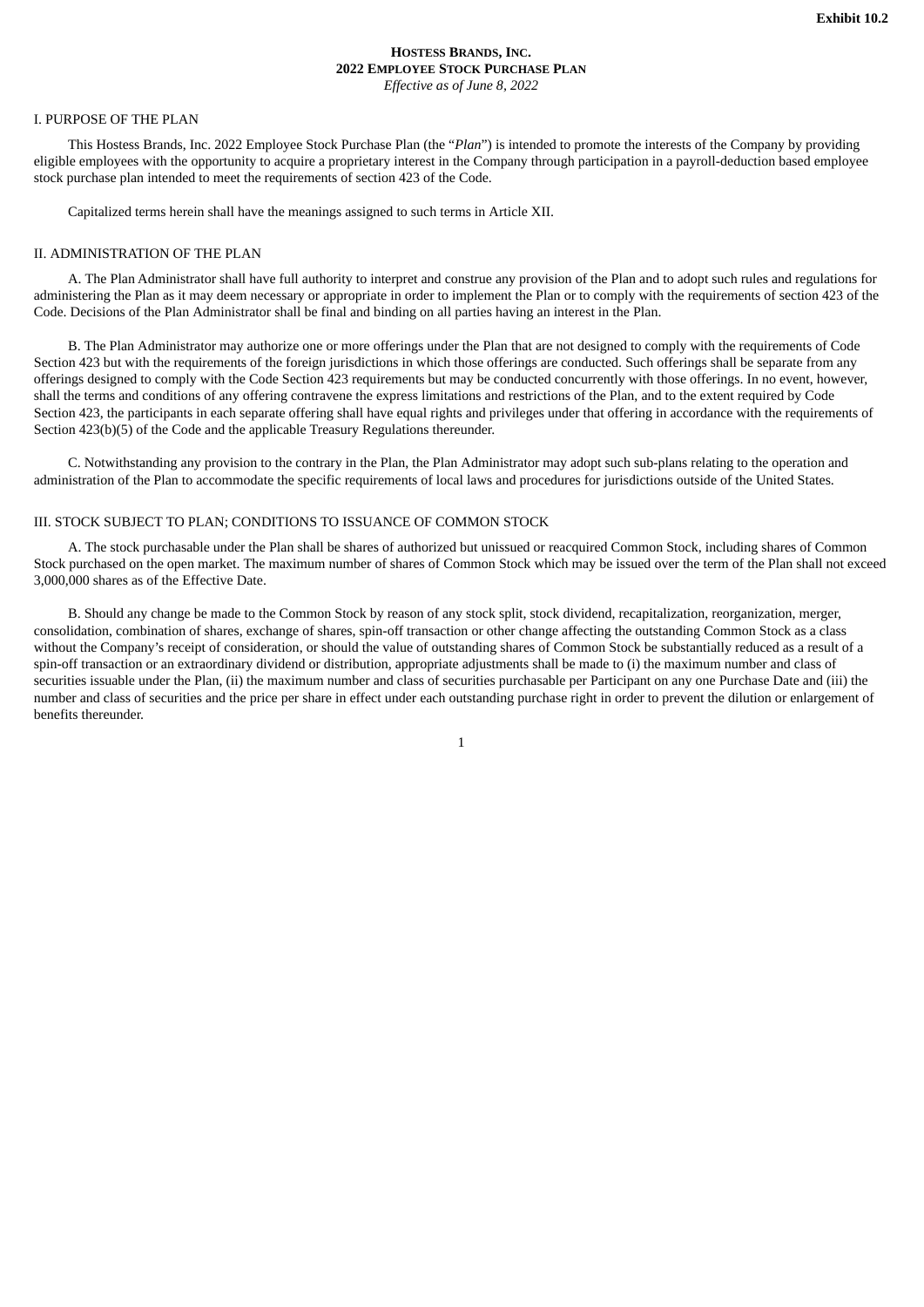# **HOSTESS BRANDS, INC. 2022 EMPLOYEE STOCK PURCHASE PLAN** *Effective as of June 8, 2022*

#### <span id="page-24-0"></span>I. PURPOSE OF THE PLAN

This Hostess Brands, Inc. 2022 Employee Stock Purchase Plan (the "*Plan*") is intended to promote the interests of the Company by providing eligible employees with the opportunity to acquire a proprietary interest in the Company through participation in a payroll-deduction based employee stock purchase plan intended to meet the requirements of section 423 of the Code.

Capitalized terms herein shall have the meanings assigned to such terms in Article XII.

#### II. ADMINISTRATION OF THE PLAN

A. The Plan Administrator shall have full authority to interpret and construe any provision of the Plan and to adopt such rules and regulations for administering the Plan as it may deem necessary or appropriate in order to implement the Plan or to comply with the requirements of section 423 of the Code. Decisions of the Plan Administrator shall be final and binding on all parties having an interest in the Plan.

B. The Plan Administrator may authorize one or more offerings under the Plan that are not designed to comply with the requirements of Code Section 423 but with the requirements of the foreign jurisdictions in which those offerings are conducted. Such offerings shall be separate from any offerings designed to comply with the Code Section 423 requirements but may be conducted concurrently with those offerings. In no event, however, shall the terms and conditions of any offering contravene the express limitations and restrictions of the Plan, and to the extent required by Code Section 423, the participants in each separate offering shall have equal rights and privileges under that offering in accordance with the requirements of Section 423(b)(5) of the Code and the applicable Treasury Regulations thereunder.

C. Notwithstanding any provision to the contrary in the Plan, the Plan Administrator may adopt such sub-plans relating to the operation and administration of the Plan to accommodate the specific requirements of local laws and procedures for jurisdictions outside of the United States.

# III. STOCK SUBJECT TO PLAN; CONDITIONS TO ISSUANCE OF COMMON STOCK

A. The stock purchasable under the Plan shall be shares of authorized but unissued or reacquired Common Stock, including shares of Common Stock purchased on the open market. The maximum number of shares of Common Stock which may be issued over the term of the Plan shall not exceed 3,000,000 shares as of the Effective Date.

B. Should any change be made to the Common Stock by reason of any stock split, stock dividend, recapitalization, reorganization, merger, consolidation, combination of shares, exchange of shares, spin-off transaction or other change affecting the outstanding Common Stock as a class without the Company's receipt of consideration, or should the value of outstanding shares of Common Stock be substantially reduced as a result of a spin-off transaction or an extraordinary dividend or distribution, appropriate adjustments shall be made to (i) the maximum number and class of securities issuable under the Plan, (ii) the maximum number and class of securities purchasable per Participant on any one Purchase Date and (iii) the number and class of securities and the price per share in effect under each outstanding purchase right in order to prevent the dilution or enlargement of benefits thereunder.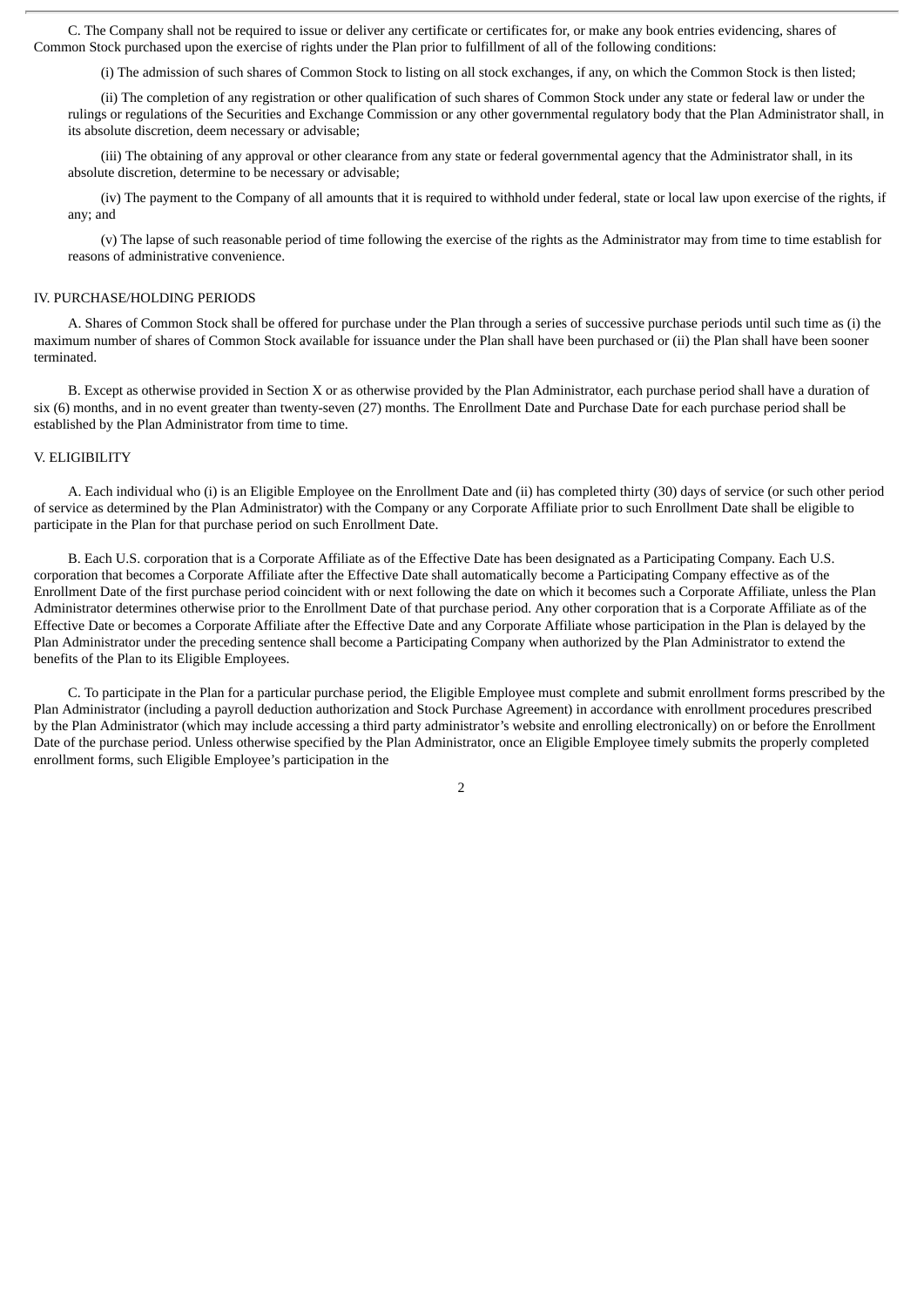C. The Company shall not be required to issue or deliver any certificate or certificates for, or make any book entries evidencing, shares of Common Stock purchased upon the exercise of rights under the Plan prior to fulfillment of all of the following conditions:

(i) The admission of such shares of Common Stock to listing on all stock exchanges, if any, on which the Common Stock is then listed;

(ii) The completion of any registration or other qualification of such shares of Common Stock under any state or federal law or under the rulings or regulations of the Securities and Exchange Commission or any other governmental regulatory body that the Plan Administrator shall, in its absolute discretion, deem necessary or advisable;

(iii) The obtaining of any approval or other clearance from any state or federal governmental agency that the Administrator shall, in its absolute discretion, determine to be necessary or advisable;

(iv) The payment to the Company of all amounts that it is required to withhold under federal, state or local law upon exercise of the rights, if any; and

(v) The lapse of such reasonable period of time following the exercise of the rights as the Administrator may from time to time establish for reasons of administrative convenience.

# IV. PURCHASE/HOLDING PERIODS

A. Shares of Common Stock shall be offered for purchase under the Plan through a series of successive purchase periods until such time as (i) the maximum number of shares of Common Stock available for issuance under the Plan shall have been purchased or (ii) the Plan shall have been sooner terminated.

B. Except as otherwise provided in Section X or as otherwise provided by the Plan Administrator, each purchase period shall have a duration of six (6) months, and in no event greater than twenty-seven (27) months. The Enrollment Date and Purchase Date for each purchase period shall be established by the Plan Administrator from time to time.

#### V. ELIGIBILITY

A. Each individual who (i) is an Eligible Employee on the Enrollment Date and (ii) has completed thirty (30) days of service (or such other period of service as determined by the Plan Administrator) with the Company or any Corporate Affiliate prior to such Enrollment Date shall be eligible to participate in the Plan for that purchase period on such Enrollment Date.

B. Each U.S. corporation that is a Corporate Affiliate as of the Effective Date has been designated as a Participating Company. Each U.S. corporation that becomes a Corporate Affiliate after the Effective Date shall automatically become a Participating Company effective as of the Enrollment Date of the first purchase period coincident with or next following the date on which it becomes such a Corporate Affiliate, unless the Plan Administrator determines otherwise prior to the Enrollment Date of that purchase period. Any other corporation that is a Corporate Affiliate as of the Effective Date or becomes a Corporate Affiliate after the Effective Date and any Corporate Affiliate whose participation in the Plan is delayed by the Plan Administrator under the preceding sentence shall become a Participating Company when authorized by the Plan Administrator to extend the benefits of the Plan to its Eligible Employees.

C. To participate in the Plan for a particular purchase period, the Eligible Employee must complete and submit enrollment forms prescribed by the Plan Administrator (including a payroll deduction authorization and Stock Purchase Agreement) in accordance with enrollment procedures prescribed by the Plan Administrator (which may include accessing a third party administrator's website and enrolling electronically) on or before the Enrollment Date of the purchase period. Unless otherwise specified by the Plan Administrator, once an Eligible Employee timely submits the properly completed enrollment forms, such Eligible Employee's participation in the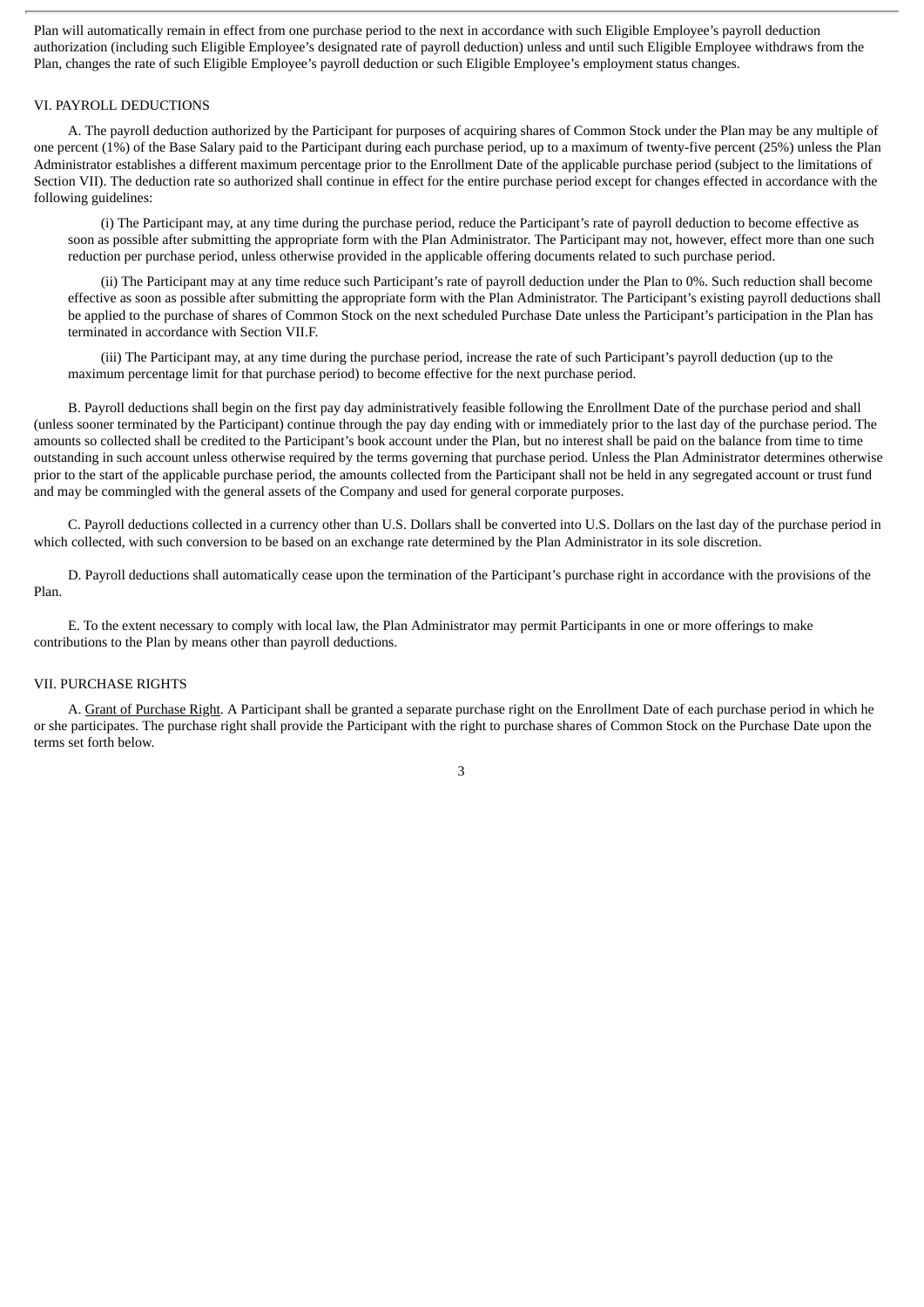Plan will automatically remain in effect from one purchase period to the next in accordance with such Eligible Employee's payroll deduction authorization (including such Eligible Employee's designated rate of payroll deduction) unless and until such Eligible Employee withdraws from the Plan, changes the rate of such Eligible Employee's payroll deduction or such Eligible Employee's employment status changes.

#### VI. PAYROLL DEDUCTIONS

A. The payroll deduction authorized by the Participant for purposes of acquiring shares of Common Stock under the Plan may be any multiple of one percent (1%) of the Base Salary paid to the Participant during each purchase period, up to a maximum of twenty-five percent (25%) unless the Plan Administrator establishes a different maximum percentage prior to the Enrollment Date of the applicable purchase period (subject to the limitations of Section VII). The deduction rate so authorized shall continue in effect for the entire purchase period except for changes effected in accordance with the following guidelines:

(i) The Participant may, at any time during the purchase period, reduce the Participant's rate of payroll deduction to become effective as soon as possible after submitting the appropriate form with the Plan Administrator. The Participant may not, however, effect more than one such reduction per purchase period, unless otherwise provided in the applicable offering documents related to such purchase period.

(ii) The Participant may at any time reduce such Participant's rate of payroll deduction under the Plan to 0%. Such reduction shall become effective as soon as possible after submitting the appropriate form with the Plan Administrator. The Participant's existing payroll deductions shall be applied to the purchase of shares of Common Stock on the next scheduled Purchase Date unless the Participant's participation in the Plan has terminated in accordance with Section VII.F.

(iii) The Participant may, at any time during the purchase period, increase the rate of such Participant's payroll deduction (up to the maximum percentage limit for that purchase period) to become effective for the next purchase period.

B. Payroll deductions shall begin on the first pay day administratively feasible following the Enrollment Date of the purchase period and shall (unless sooner terminated by the Participant) continue through the pay day ending with or immediately prior to the last day of the purchase period. The amounts so collected shall be credited to the Participant's book account under the Plan, but no interest shall be paid on the balance from time to time outstanding in such account unless otherwise required by the terms governing that purchase period. Unless the Plan Administrator determines otherwise prior to the start of the applicable purchase period, the amounts collected from the Participant shall not be held in any segregated account or trust fund and may be commingled with the general assets of the Company and used for general corporate purposes.

C. Payroll deductions collected in a currency other than U.S. Dollars shall be converted into U.S. Dollars on the last day of the purchase period in which collected, with such conversion to be based on an exchange rate determined by the Plan Administrator in its sole discretion.

D. Payroll deductions shall automatically cease upon the termination of the Participant's purchase right in accordance with the provisions of the Plan.

E. To the extent necessary to comply with local law, the Plan Administrator may permit Participants in one or more offerings to make contributions to the Plan by means other than payroll deductions.

#### VII. PURCHASE RIGHTS

A. Grant of Purchase Right. A Participant shall be granted a separate purchase right on the Enrollment Date of each purchase period in which he or she participates. The purchase right shall provide the Participant with the right to purchase shares of Common Stock on the Purchase Date upon the terms set forth below.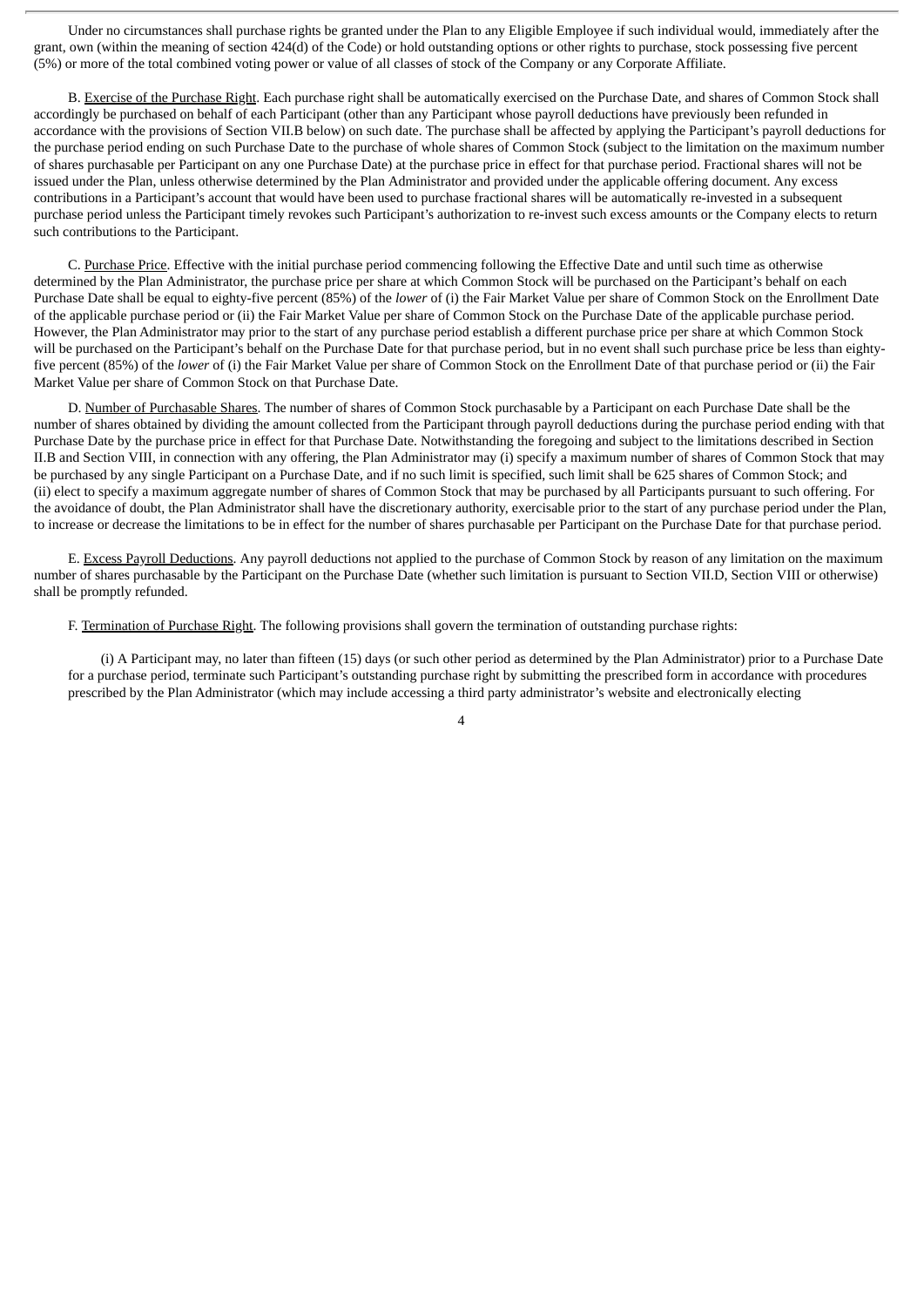Under no circumstances shall purchase rights be granted under the Plan to any Eligible Employee if such individual would, immediately after the grant, own (within the meaning of section 424(d) of the Code) or hold outstanding options or other rights to purchase, stock possessing five percent (5%) or more of the total combined voting power or value of all classes of stock of the Company or any Corporate Affiliate.

B. Exercise of the Purchase Right. Each purchase right shall be automatically exercised on the Purchase Date, and shares of Common Stock shall accordingly be purchased on behalf of each Participant (other than any Participant whose payroll deductions have previously been refunded in accordance with the provisions of Section VII.B below) on such date. The purchase shall be affected by applying the Participant's payroll deductions for the purchase period ending on such Purchase Date to the purchase of whole shares of Common Stock (subject to the limitation on the maximum number of shares purchasable per Participant on any one Purchase Date) at the purchase price in effect for that purchase period. Fractional shares will not be issued under the Plan, unless otherwise determined by the Plan Administrator and provided under the applicable offering document. Any excess contributions in a Participant's account that would have been used to purchase fractional shares will be automatically re-invested in a subsequent purchase period unless the Participant timely revokes such Participant's authorization to re-invest such excess amounts or the Company elects to return such contributions to the Participant.

C. Purchase Price. Effective with the initial purchase period commencing following the Effective Date and until such time as otherwise determined by the Plan Administrator, the purchase price per share at which Common Stock will be purchased on the Participant's behalf on each Purchase Date shall be equal to eighty-five percent (85%) of the *lower* of (i) the Fair Market Value per share of Common Stock on the Enrollment Date of the applicable purchase period or (ii) the Fair Market Value per share of Common Stock on the Purchase Date of the applicable purchase period. However, the Plan Administrator may prior to the start of any purchase period establish a different purchase price per share at which Common Stock will be purchased on the Participant's behalf on the Purchase Date for that purchase period, but in no event shall such purchase price be less than eightyfive percent (85%) of the *lower* of (i) the Fair Market Value per share of Common Stock on the Enrollment Date of that purchase period or (ii) the Fair Market Value per share of Common Stock on that Purchase Date.

D. Number of Purchasable Shares. The number of shares of Common Stock purchasable by a Participant on each Purchase Date shall be the number of shares obtained by dividing the amount collected from the Participant through payroll deductions during the purchase period ending with that Purchase Date by the purchase price in effect for that Purchase Date. Notwithstanding the foregoing and subject to the limitations described in Section II.B and Section VIII, in connection with any offering, the Plan Administrator may (i) specify a maximum number of shares of Common Stock that may be purchased by any single Participant on a Purchase Date, and if no such limit is specified, such limit shall be 625 shares of Common Stock; and (ii) elect to specify a maximum aggregate number of shares of Common Stock that may be purchased by all Participants pursuant to such offering. For the avoidance of doubt, the Plan Administrator shall have the discretionary authority, exercisable prior to the start of any purchase period under the Plan, to increase or decrease the limitations to be in effect for the number of shares purchasable per Participant on the Purchase Date for that purchase period.

E. Excess Payroll Deductions. Any payroll deductions not applied to the purchase of Common Stock by reason of any limitation on the maximum number of shares purchasable by the Participant on the Purchase Date (whether such limitation is pursuant to Section VII.D, Section VIII or otherwise) shall be promptly refunded.

F. Termination of Purchase Right. The following provisions shall govern the termination of outstanding purchase rights:

(i) A Participant may, no later than fifteen (15) days (or such other period as determined by the Plan Administrator) prior to a Purchase Date for a purchase period, terminate such Participant's outstanding purchase right by submitting the prescribed form in accordance with procedures prescribed by the Plan Administrator (which may include accessing a third party administrator's website and electronically electing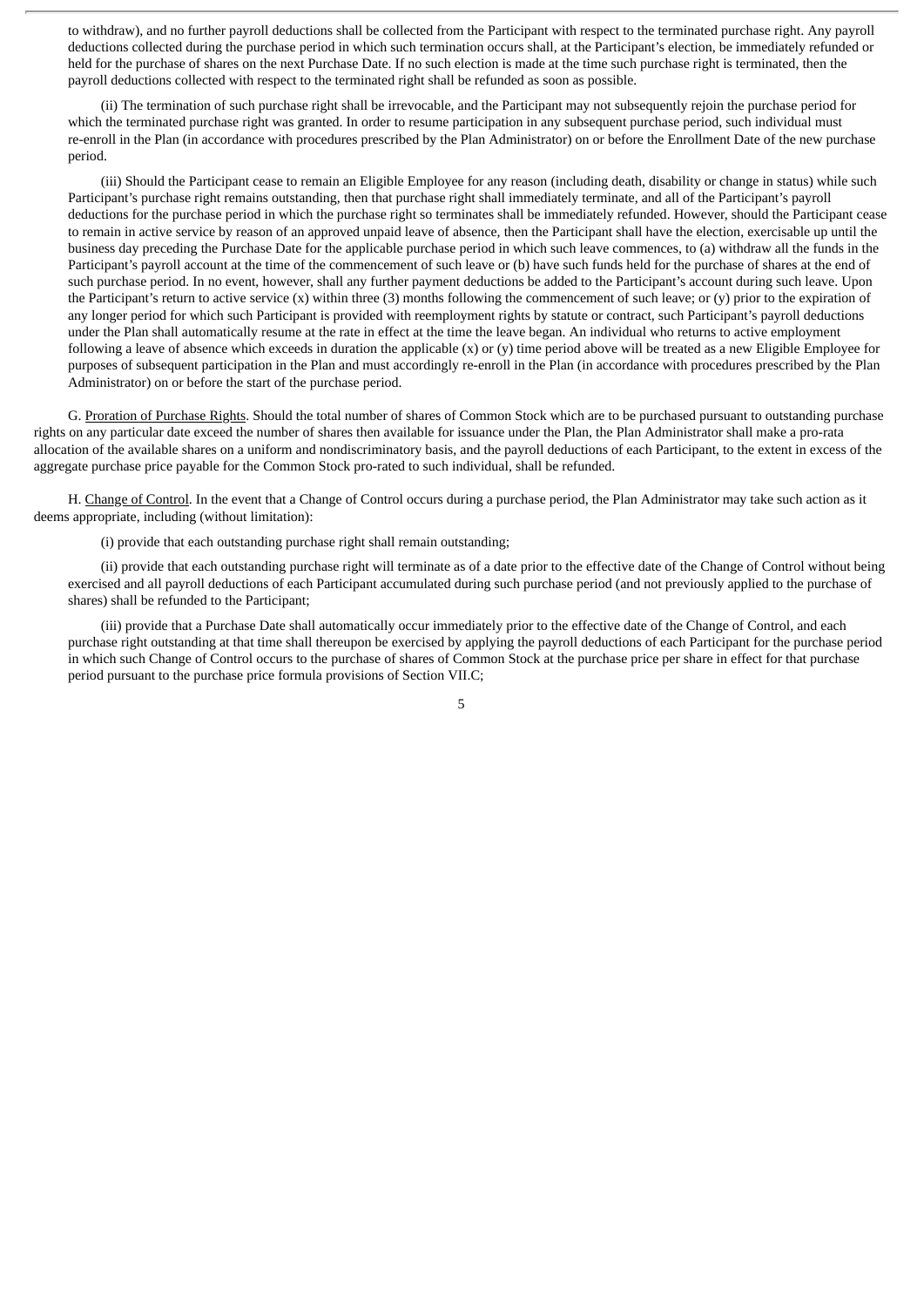to withdraw), and no further payroll deductions shall be collected from the Participant with respect to the terminated purchase right. Any payroll deductions collected during the purchase period in which such termination occurs shall, at the Participant's election, be immediately refunded or held for the purchase of shares on the next Purchase Date. If no such election is made at the time such purchase right is terminated, then the payroll deductions collected with respect to the terminated right shall be refunded as soon as possible.

(ii) The termination of such purchase right shall be irrevocable, and the Participant may not subsequently rejoin the purchase period for which the terminated purchase right was granted. In order to resume participation in any subsequent purchase period, such individual must re-enroll in the Plan (in accordance with procedures prescribed by the Plan Administrator) on or before the Enrollment Date of the new purchase period.

(iii) Should the Participant cease to remain an Eligible Employee for any reason (including death, disability or change in status) while such Participant's purchase right remains outstanding, then that purchase right shall immediately terminate, and all of the Participant's payroll deductions for the purchase period in which the purchase right so terminates shall be immediately refunded. However, should the Participant cease to remain in active service by reason of an approved unpaid leave of absence, then the Participant shall have the election, exercisable up until the business day preceding the Purchase Date for the applicable purchase period in which such leave commences, to (a) withdraw all the funds in the Participant's payroll account at the time of the commencement of such leave or (b) have such funds held for the purchase of shares at the end of such purchase period. In no event, however, shall any further payment deductions be added to the Participant's account during such leave. Upon the Participant's return to active service  $(x)$  within three  $(3)$  months following the commencement of such leave; or  $(y)$  prior to the expiration of any longer period for which such Participant is provided with reemployment rights by statute or contract, such Participant's payroll deductions under the Plan shall automatically resume at the rate in effect at the time the leave began. An individual who returns to active employment following a leave of absence which exceeds in duration the applicable  $(x)$  or  $(y)$  time period above will be treated as a new Eligible Employee for purposes of subsequent participation in the Plan and must accordingly re-enroll in the Plan (in accordance with procedures prescribed by the Plan Administrator) on or before the start of the purchase period.

G. Proration of Purchase Rights. Should the total number of shares of Common Stock which are to be purchased pursuant to outstanding purchase rights on any particular date exceed the number of shares then available for issuance under the Plan, the Plan Administrator shall make a pro-rata allocation of the available shares on a uniform and nondiscriminatory basis, and the payroll deductions of each Participant, to the extent in excess of the aggregate purchase price payable for the Common Stock pro-rated to such individual, shall be refunded.

H. Change of Control. In the event that a Change of Control occurs during a purchase period, the Plan Administrator may take such action as it deems appropriate, including (without limitation):

(i) provide that each outstanding purchase right shall remain outstanding;

(ii) provide that each outstanding purchase right will terminate as of a date prior to the effective date of the Change of Control without being exercised and all payroll deductions of each Participant accumulated during such purchase period (and not previously applied to the purchase of shares) shall be refunded to the Participant;

(iii) provide that a Purchase Date shall automatically occur immediately prior to the effective date of the Change of Control, and each purchase right outstanding at that time shall thereupon be exercised by applying the payroll deductions of each Participant for the purchase period in which such Change of Control occurs to the purchase of shares of Common Stock at the purchase price per share in effect for that purchase period pursuant to the purchase price formula provisions of Section VII.C;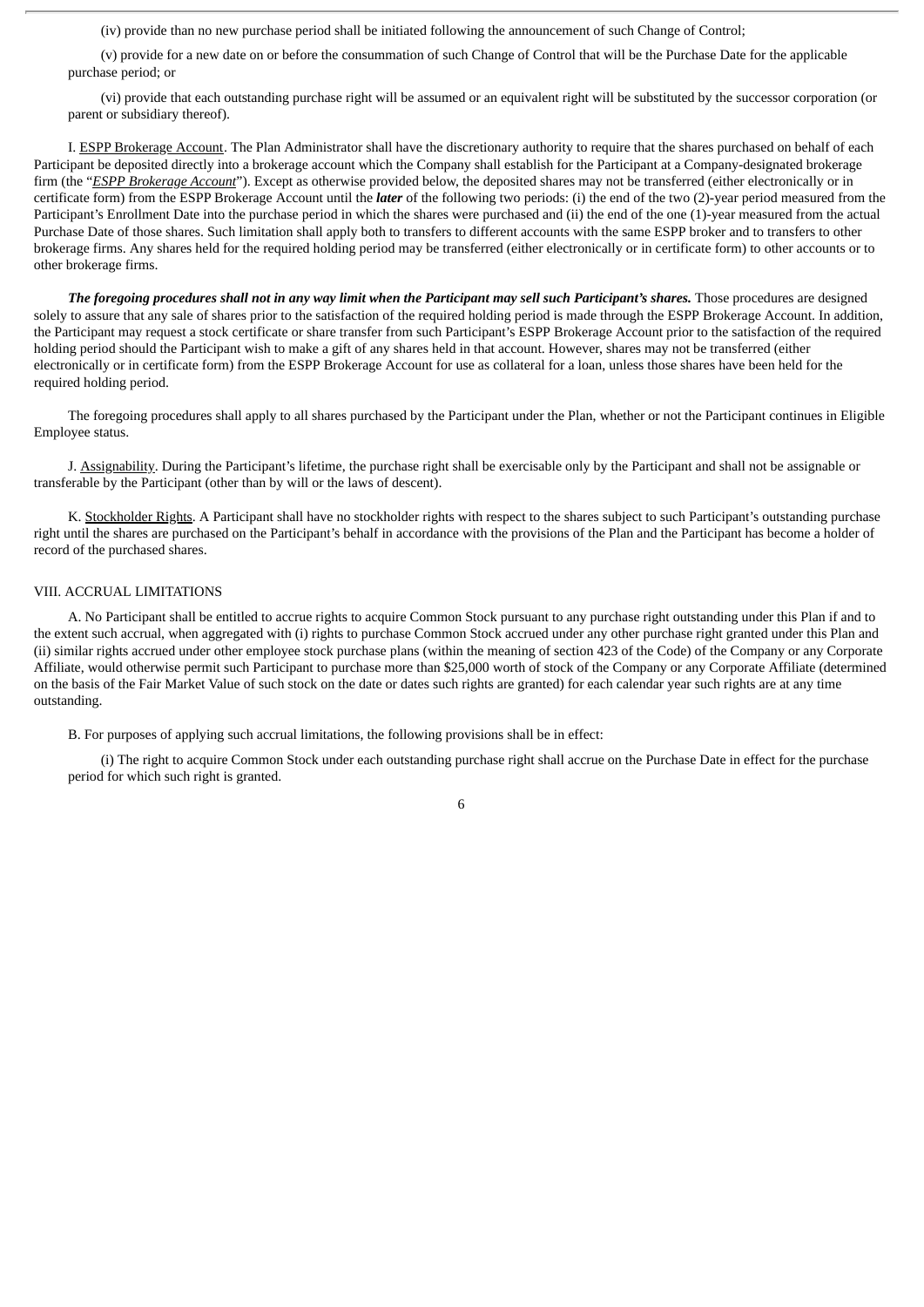(iv) provide than no new purchase period shall be initiated following the announcement of such Change of Control;

(v) provide for a new date on or before the consummation of such Change of Control that will be the Purchase Date for the applicable purchase period; or

(vi) provide that each outstanding purchase right will be assumed or an equivalent right will be substituted by the successor corporation (or parent or subsidiary thereof).

I. ESPP Brokerage Account. The Plan Administrator shall have the discretionary authority to require that the shares purchased on behalf of each Participant be deposited directly into a brokerage account which the Company shall establish for the Participant at a Company-designated brokerage firm (the "*ESPP Brokerage Account*"). Except as otherwise provided below, the deposited shares may not be transferred (either electronically or in certificate form) from the ESPP Brokerage Account until the *later* of the following two periods: (i) the end of the two (2)-year period measured from the Participant's Enrollment Date into the purchase period in which the shares were purchased and (ii) the end of the one (1)-year measured from the actual Purchase Date of those shares. Such limitation shall apply both to transfers to different accounts with the same ESPP broker and to transfers to other brokerage firms. Any shares held for the required holding period may be transferred (either electronically or in certificate form) to other accounts or to other brokerage firms.

The foregoing procedures shall not in any way limit when the Participant may sell such Participant's shares. Those procedures are designed solely to assure that any sale of shares prior to the satisfaction of the required holding period is made through the ESPP Brokerage Account. In addition, the Participant may request a stock certificate or share transfer from such Participant's ESPP Brokerage Account prior to the satisfaction of the required holding period should the Participant wish to make a gift of any shares held in that account. However, shares may not be transferred (either electronically or in certificate form) from the ESPP Brokerage Account for use as collateral for a loan, unless those shares have been held for the required holding period.

The foregoing procedures shall apply to all shares purchased by the Participant under the Plan, whether or not the Participant continues in Eligible Employee status.

J. Assignability. During the Participant's lifetime, the purchase right shall be exercisable only by the Participant and shall not be assignable or transferable by the Participant (other than by will or the laws of descent).

K. Stockholder Rights. A Participant shall have no stockholder rights with respect to the shares subject to such Participant's outstanding purchase right until the shares are purchased on the Participant's behalf in accordance with the provisions of the Plan and the Participant has become a holder of record of the purchased shares.

## VIII. ACCRUAL LIMITATIONS

A. No Participant shall be entitled to accrue rights to acquire Common Stock pursuant to any purchase right outstanding under this Plan if and to the extent such accrual, when aggregated with (i) rights to purchase Common Stock accrued under any other purchase right granted under this Plan and (ii) similar rights accrued under other employee stock purchase plans (within the meaning of section 423 of the Code) of the Company or any Corporate Affiliate, would otherwise permit such Participant to purchase more than \$25,000 worth of stock of the Company or any Corporate Affiliate (determined on the basis of the Fair Market Value of such stock on the date or dates such rights are granted) for each calendar year such rights are at any time outstanding.

B. For purposes of applying such accrual limitations, the following provisions shall be in effect:

(i) The right to acquire Common Stock under each outstanding purchase right shall accrue on the Purchase Date in effect for the purchase period for which such right is granted.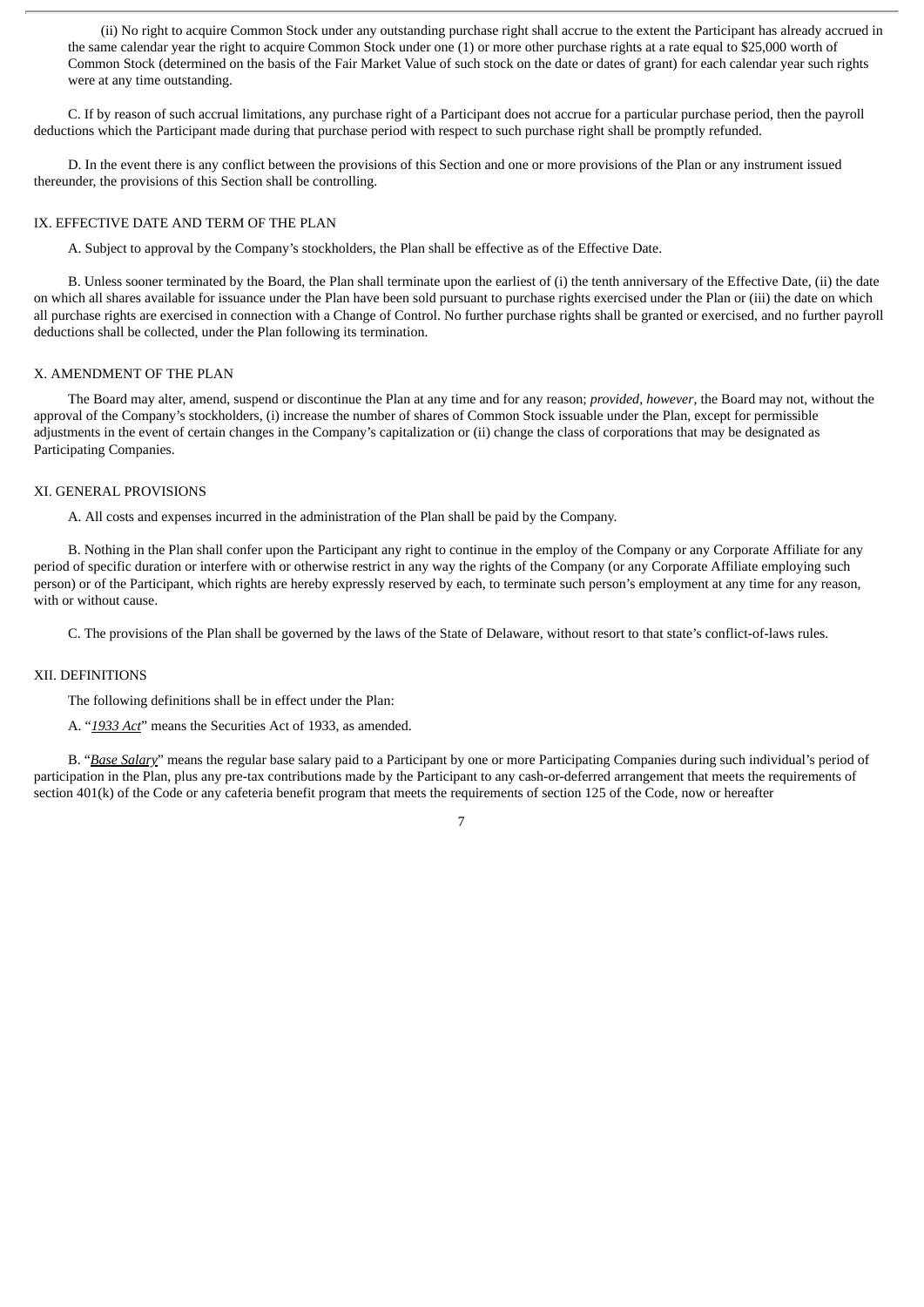(ii) No right to acquire Common Stock under any outstanding purchase right shall accrue to the extent the Participant has already accrued in the same calendar year the right to acquire Common Stock under one (1) or more other purchase rights at a rate equal to \$25,000 worth of Common Stock (determined on the basis of the Fair Market Value of such stock on the date or dates of grant) for each calendar year such rights were at any time outstanding.

C. If by reason of such accrual limitations, any purchase right of a Participant does not accrue for a particular purchase period, then the payroll deductions which the Participant made during that purchase period with respect to such purchase right shall be promptly refunded.

D. In the event there is any conflict between the provisions of this Section and one or more provisions of the Plan or any instrument issued thereunder, the provisions of this Section shall be controlling.

#### IX. EFFECTIVE DATE AND TERM OF THE PLAN

A. Subject to approval by the Company's stockholders, the Plan shall be effective as of the Effective Date.

B. Unless sooner terminated by the Board, the Plan shall terminate upon the earliest of (i) the tenth anniversary of the Effective Date, (ii) the date on which all shares available for issuance under the Plan have been sold pursuant to purchase rights exercised under the Plan or (iii) the date on which all purchase rights are exercised in connection with a Change of Control. No further purchase rights shall be granted or exercised, and no further payroll deductions shall be collected, under the Plan following its termination.

#### X. AMENDMENT OF THE PLAN

The Board may alter, amend, suspend or discontinue the Plan at any time and for any reason; *provided, however*, the Board may not, without the approval of the Company's stockholders, (i) increase the number of shares of Common Stock issuable under the Plan, except for permissible adjustments in the event of certain changes in the Company's capitalization or (ii) change the class of corporations that may be designated as Participating Companies.

#### XI. GENERAL PROVISIONS

A. All costs and expenses incurred in the administration of the Plan shall be paid by the Company.

B. Nothing in the Plan shall confer upon the Participant any right to continue in the employ of the Company or any Corporate Affiliate for any period of specific duration or interfere with or otherwise restrict in any way the rights of the Company (or any Corporate Affiliate employing such person) or of the Participant, which rights are hereby expressly reserved by each, to terminate such person's employment at any time for any reason, with or without cause.

C. The provisions of the Plan shall be governed by the laws of the State of Delaware, without resort to that state's conflict-of-laws rules.

#### XII. DEFINITIONS

The following definitions shall be in effect under the Plan:

A. "*1933 Act*" means the Securities Act of 1933, as amended.

B. "*Base Salary*" means the regular base salary paid to a Participant by one or more Participating Companies during such individual's period of participation in the Plan, plus any pre-tax contributions made by the Participant to any cash-or-deferred arrangement that meets the requirements of section 401(k) of the Code or any cafeteria benefit program that meets the requirements of section 125 of the Code, now or hereafter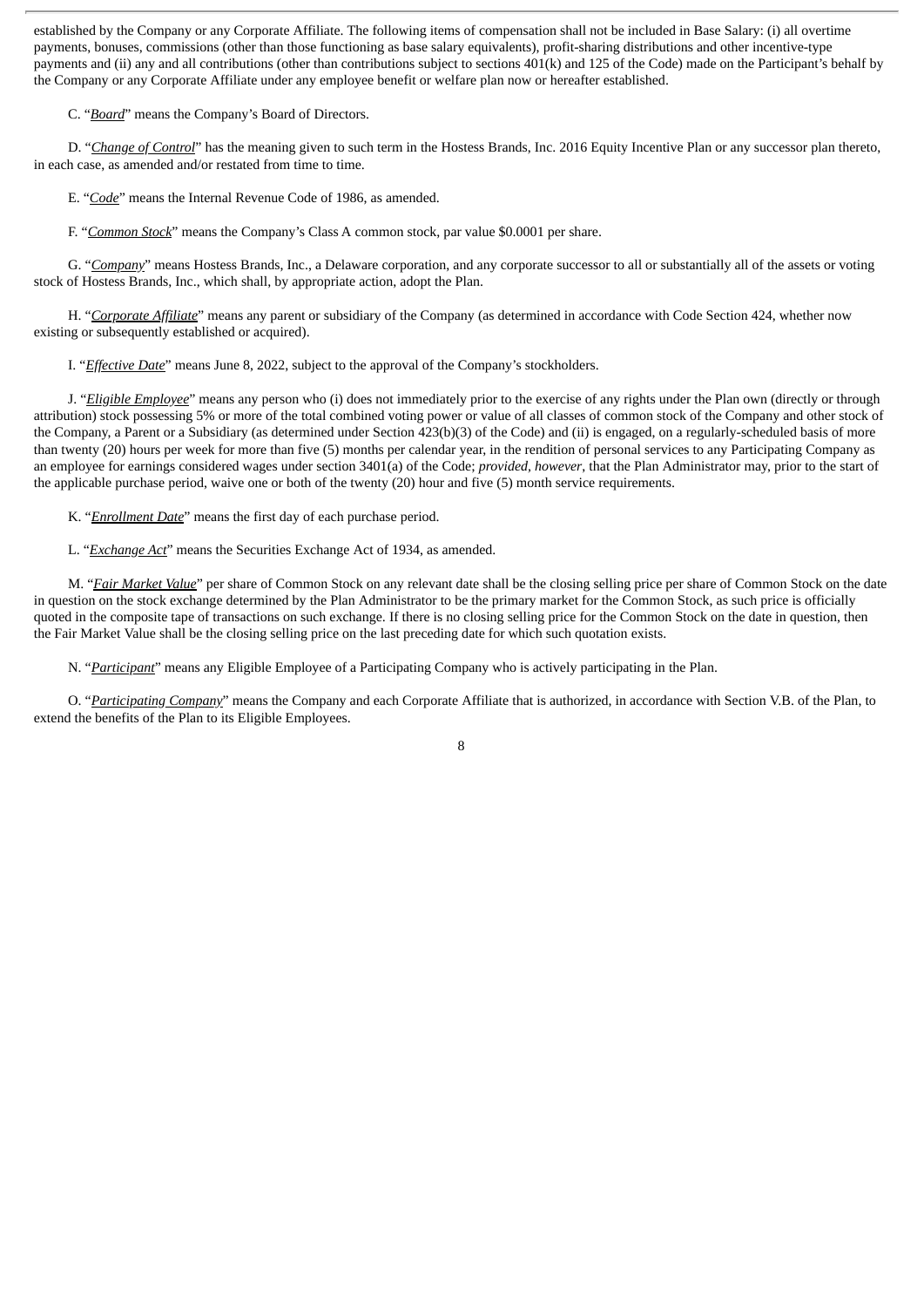established by the Company or any Corporate Affiliate. The following items of compensation shall not be included in Base Salary: (i) all overtime payments, bonuses, commissions (other than those functioning as base salary equivalents), profit-sharing distributions and other incentive-type payments and (ii) any and all contributions (other than contributions subject to sections 401(k) and 125 of the Code) made on the Participant's behalf by the Company or any Corporate Affiliate under any employee benefit or welfare plan now or hereafter established.

C. "*Board*" means the Company's Board of Directors.

D. "*Change of Control*" has the meaning given to such term in the Hostess Brands, Inc. 2016 Equity Incentive Plan or any successor plan thereto, in each case, as amended and/or restated from time to time.

E. "*Code*" means the Internal Revenue Code of 1986, as amended.

F. "*Common Stock*" means the Company's Class A common stock, par value \$0.0001 per share.

G. "*Company*" means Hostess Brands, Inc., a Delaware corporation, and any corporate successor to all or substantially all of the assets or voting stock of Hostess Brands, Inc., which shall, by appropriate action, adopt the Plan.

H. "*Corporate Affiliate*" means any parent or subsidiary of the Company (as determined in accordance with Code Section 424, whether now existing or subsequently established or acquired).

I. "*Effective Date*" means June 8, 2022, subject to the approval of the Company's stockholders.

J. "*Eligible Employee*" means any person who (i) does not immediately prior to the exercise of any rights under the Plan own (directly or through attribution) stock possessing 5% or more of the total combined voting power or value of all classes of common stock of the Company and other stock of the Company, a Parent or a Subsidiary (as determined under Section 423(b)(3) of the Code) and (ii) is engaged, on a regularly-scheduled basis of more than twenty (20) hours per week for more than five (5) months per calendar year, in the rendition of personal services to any Participating Company as an employee for earnings considered wages under section 3401(a) of the Code; *provided, however*, that the Plan Administrator may, prior to the start of the applicable purchase period, waive one or both of the twenty (20) hour and five (5) month service requirements.

K. "*Enrollment Date*" means the first day of each purchase period.

L. "*Exchange Act*" means the Securities Exchange Act of 1934, as amended.

M. "*Fair Market Value*" per share of Common Stock on any relevant date shall be the closing selling price per share of Common Stock on the date in question on the stock exchange determined by the Plan Administrator to be the primary market for the Common Stock, as such price is officially quoted in the composite tape of transactions on such exchange. If there is no closing selling price for the Common Stock on the date in question, then the Fair Market Value shall be the closing selling price on the last preceding date for which such quotation exists.

N. "*Participant*" means any Eligible Employee of a Participating Company who is actively participating in the Plan.

O. "*Participating Company*" means the Company and each Corporate Affiliate that is authorized, in accordance with Section V.B. of the Plan, to extend the benefits of the Plan to its Eligible Employees.